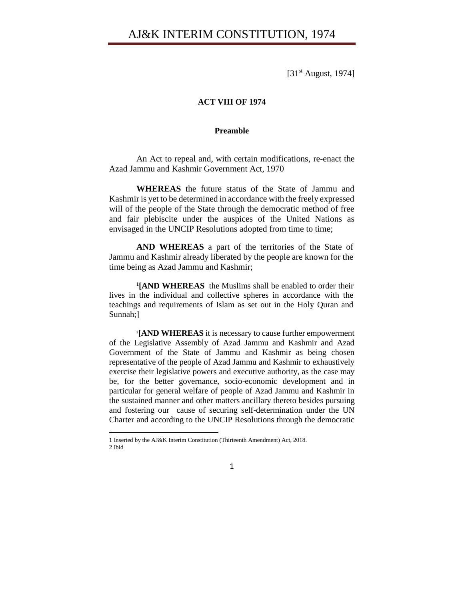[31<sup>st</sup> August, 1974]

### **ACT VIII OF 1974**

#### **Preamble**

An Act to repeal and, with certain modifications, re-enact the Azad Jammu and Kashmir Government Act, 1970

**WHEREAS** the future status of the State of Jammu and Kashmir is yet to be determined in accordance with the freely expressed will of the people of the State through the democratic method of free and fair plebiscite under the auspices of the United Nations as envisaged in the UNCIP Resolutions adopted from time to time;

**AND WHEREAS** a part of the territories of the State of Jammu and Kashmir already liberated by the people are known for the time being as Azad Jammu and Kashmir;

**1 [AND WHEREAS** the Muslims shall be enabled to order their lives in the individual and collective spheres in accordance with the teachings and requirements of Islam as set out in the Holy Quran and Sunnah;]

**2 [AND WHEREAS** it is necessary to cause further empowerment of the Legislative Assembly of Azad Jammu and Kashmir and Azad Government of the State of Jammu and Kashmir as being chosen representative of the people of Azad Jammu and Kashmir to exhaustively exercise their legislative powers and executive authority, as the case may be, for the better governance, socio-economic development and in particular for general welfare of people of Azad Jammu and Kashmir in the sustained manner and other matters ancillary thereto besides pursuing and fostering our cause of securing self-determination under the UN Charter and according to the UNCIP Resolutions through the democratic

l

<sup>1</sup> Inserted by the AJ&K Interim Constitution (Thirteenth Amendment) Act, 2018. 2 Ibid

<sup>1</sup>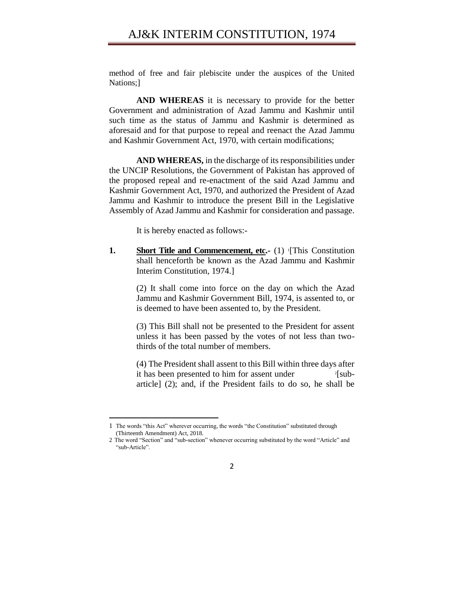### AJ&K INTERIM CONSTITUTION, 1974

method of free and fair plebiscite under the auspices of the United Nations;]

**AND WHEREAS** it is necessary to provide for the better Government and administration of Azad Jammu and Kashmir until such time as the status of Jammu and Kashmir is determined as aforesaid and for that purpose to repeal and reenact the Azad Jammu and Kashmir Government Act, 1970, with certain modifications;

**AND WHEREAS,** in the discharge of its responsibilities under the UNCIP Resolutions, the Government of Pakistan has approved of the proposed repeal and re-enactment of the said Azad Jammu and Kashmir Government Act, 1970, and authorized the President of Azad Jammu and Kashmir to introduce the present Bill in the Legislative Assembly of Azad Jammu and Kashmir for consideration and passage.

It is hereby enacted as follows:-

**1.** Short Title and Commencement, etc.- (1) [This Constitution shall henceforth be known as the Azad Jammu and Kashmir Interim Constitution, 1974.]

> (2) It shall come into force on the day on which the Azad Jammu and Kashmir Government Bill, 1974, is assented to, or is deemed to have been assented to, by the President.

> (3) This Bill shall not be presented to the President for assent unless it has been passed by the votes of not less than twothirds of the total number of members.

> (4) The President shall assent to this Bill within three days after it has been presented to him for assent under  $2$ [subarticle] (2); and, if the President fails to do so, he shall be

 $\overline{a}$ 

<sup>1</sup> The words "this Act" wherever occurring, the words "the Constitution" substituted through (Thirteenth Amendment) Act, 2018.

<sup>2</sup> The word "Section" and "sub-section" whenever occurring substituted by the word "Article" and "sub-Article".

<sup>2</sup>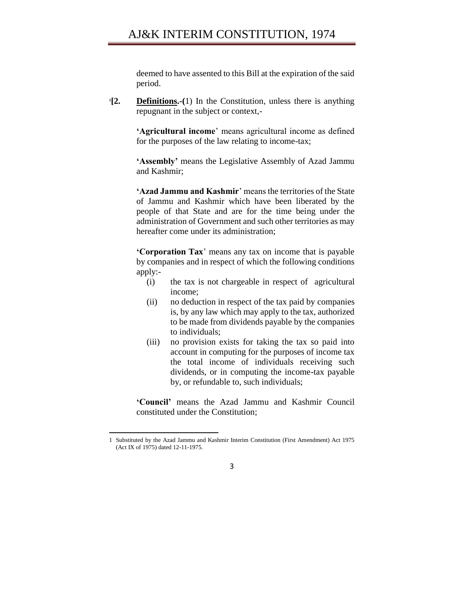deemed to have assented to this Bill at the expiration of the said period.

 $^{1}$ [2. **Definitions.-(1)** In the Constitution, unless there is anything repugnant in the subject or context,-

> **'Agricultural income**' means agricultural income as defined for the purposes of the law relating to income-tax;

> **'Assembly'** means the Legislative Assembly of Azad Jammu and Kashmir;

> **'Azad Jammu and Kashmir**' means the territories of the State of Jammu and Kashmir which have been liberated by the people of that State and are for the time being under the administration of Government and such other territories as may hereafter come under its administration;

> **'Corporation Tax**' means any tax on income that is payable by companies and in respect of which the following conditions apply:-

- (i) the tax is not chargeable in respect of agricultural income;
- (ii) no deduction in respect of the tax paid by companies is, by any law which may apply to the tax, authorized to be made from dividends payable by the companies to individuals;
- (iii) no provision exists for taking the tax so paid into account in computing for the purposes of income tax the total income of individuals receiving such dividends, or in computing the income-tax payable by, or refundable to, such individuals;

**'Council'** means the Azad Jammu and Kashmir Council constituted under the Constitution;

l

<sup>1</sup> Substituted by the Azad Jammu and Kashmir Interim Constitution (First Amendment) Act 1975 (Act IX of 1975) dated 12-11-1975.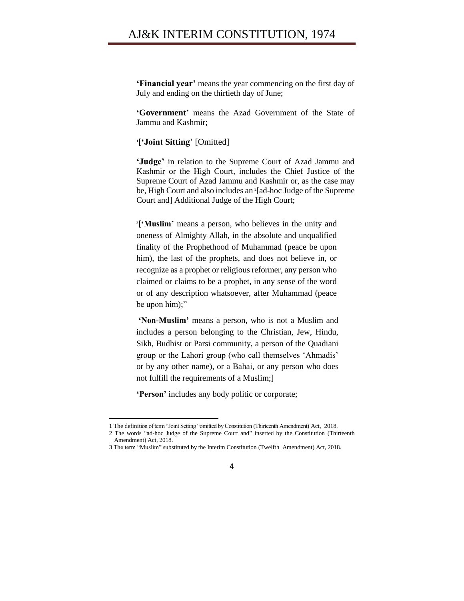# AJ&K INTERIM CONSTITUTION, 1974

**'Financial year'** means the year commencing on the first day of July and ending on the thirtieth day of June;

**'Government'** means the Azad Government of the State of Jammu and Kashmir;

**1 ['Joint Sitting**' [Omitted]

**'Judge'** in relation to the Supreme Court of Azad Jammu and Kashmir or the High Court, includes the Chief Justice of the Supreme Court of Azad Jammu and Kashmir or, as the case may be, High Court and also includes an <sup>2</sup> [ad-hoc Judge of the Supreme Court and] Additional Judge of the High Court;

3 **['Muslim'** means a person, who believes in the unity and oneness of Almighty Allah, in the absolute and unqualified finality of the Prophethood of Muhammad (peace be upon him), the last of the prophets, and does not believe in, or recognize as a prophet or religious reformer, any person who claimed or claims to be a prophet, in any sense of the word or of any description whatsoever, after Muhammad (peace be upon him);"

**'Non-Muslim'** means a person, who is not a Muslim and includes a person belonging to the Christian, Jew, Hindu, Sikh, Budhist or Parsi community, a person of the Quadiani group or the Lahori group (who call themselves 'Ahmadis' or by any other name), or a Bahai, or any person who does not fulfill the requirements of a Muslim;]

**'Person'** includes any body politic or corporate;

<sup>1</sup> The definition of term "Joint Setting "omitted by Constitution (Thirteenth Amendment) Act, 2018.

<sup>2</sup> The words "ad-hoc Judge of the Supreme Court and" inserted by the Constitution (Thirteenth Amendment) Act, 2018.

<sup>3</sup> The term "Muslim" substituted by the Interim Constitution (Twelfth Amendment) Act, 2018.

<sup>4</sup>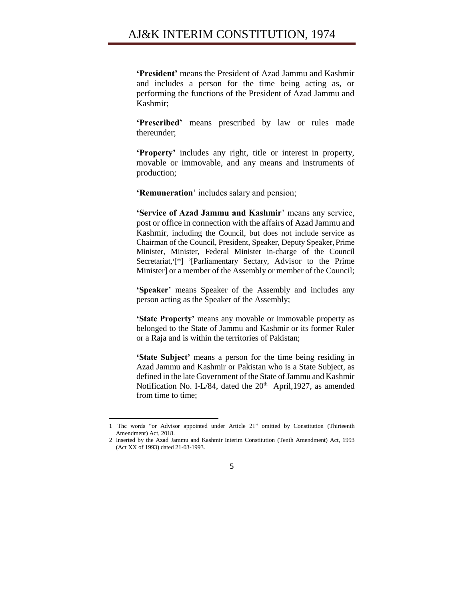**'President'** means the President of Azad Jammu and Kashmir and includes a person for the time being acting as, or performing the functions of the President of Azad Jammu and Kashmir;

**'Prescribed'** means prescribed by law or rules made thereunder;

**'Property'** includes any right, title or interest in property, movable or immovable, and any means and instruments of production;

**'Remuneration**' includes salary and pension;

**'Service of Azad Jammu and Kashmir**' means any service, post or office in connection with the affairs of Azad Jammu and Kashmir, including the Council, but does not include service as Chairman of the Council, President, Speaker, Deputy Speaker, Prime Minister, Minister, Federal Minister in-charge of the Council Secretariat,<sup>[\*]</sup> <sup>2</sup>[Parliamentary Sectary, Advisor to the Prime Minister] or a member of the Assembly or member of the Council;

**'Speaker**' means Speaker of the Assembly and includes any person acting as the Speaker of the Assembly;

**'State Property'** means any movable or immovable property as belonged to the State of Jammu and Kashmir or its former Ruler or a Raja and is within the territories of Pakistan;

**'State Subject'** means a person for the time being residing in Azad Jammu and Kashmir or Pakistan who is a State Subject, as defined in the late Government of the State of Jammu and Kashmir Notification No. I-L/84, dated the  $20<sup>th</sup>$  April, 1927, as amended from time to time;

<sup>1</sup> The words "or Advisor appointed under Article 21" omitted by Constitution (Thirteenth Amendment) Act, 2018.

<sup>2</sup> Inserted by the Azad Jammu and Kashmir Interim Constitution (Tenth Amendment) Act, 1993 (Act XX of 1993) dated 21-03-1993.

<sup>5</sup>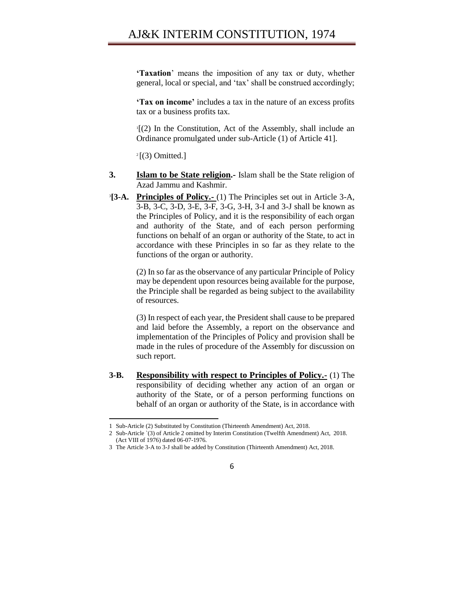**'Taxation**' means the imposition of any tax or duty, whether general, local or special, and 'tax' shall be construed accordingly;

**'Tax on income'** includes a tax in the nature of an excess profits tax or a business profits tax.

1 [(2) In the Constitution, Act of the Assembly, shall include an Ordinance promulgated under sub-Article (1) of Article 41].

 $2$ [(3) Omitted.]

- **3.** Islam to be State religion.- Islam shall be the State religion of Azad Jammu and Kashmir.
- **[3-A.** Principles of Policy.- (1) The Principles set out in Article 3-A, 3-B, 3-C, 3-D, 3-E, 3-F, 3-G, 3-H, 3-I and 3-J shall be known as the Principles of Policy, and it is the responsibility of each organ and authority of the State, and of each person performing functions on behalf of an organ or authority of the State, to act in accordance with these Principles in so far as they relate to the functions of the organ or authority.

(2) In so far as the observance of any particular Principle of Policy may be dependent upon resources being available for the purpose, the Principle shall be regarded as being subject to the availability of resources.

(3) In respect of each year, the President shall cause to be prepared and laid before the Assembly, a report on the observance and implementation of the Principles of Policy and provision shall be made in the rules of procedure of the Assembly for discussion on such report.

**3-B. Responsibility with respect to Principles of Policy.-** (1) The responsibility of deciding whether any action of an organ or authority of the State, or of a person performing functions on behalf of an organ or authority of the State, is in accordance with

<sup>1</sup> Sub-Article (2) Substituted by Constitution (Thirteenth Amendment) Act, 2018.

<sup>2</sup> Sub-Article `(3) of Article 2 omitted by Interim Constitution (Twelfth Amendment) Act, 2018. (Act VIII of 1976) dated 06-07-1976.

<sup>3</sup> The Article 3-A to 3-J shall be added by Constitution (Thirteenth Amendment) Act, 2018.

<sup>6</sup>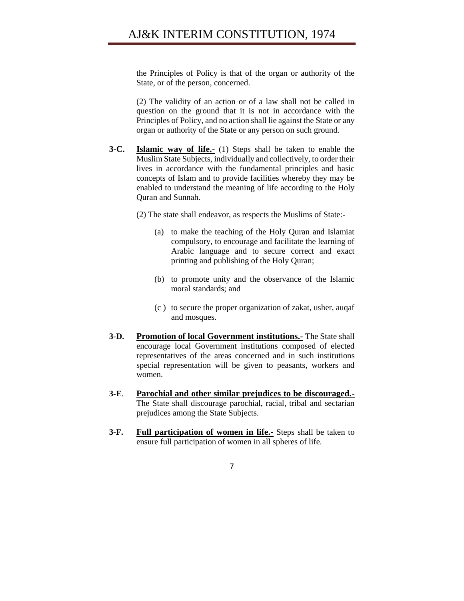the Principles of Policy is that of the organ or authority of the State, or of the person, concerned.

(2) The validity of an action or of a law shall not be called in question on the ground that it is not in accordance with the Principles of Policy, and no action shall lie against the State or any organ or authority of the State or any person on such ground.

**3-C. Islamic way of life.-** (1) Steps shall be taken to enable the Muslim State Subjects, individually and collectively, to order their lives in accordance with the fundamental principles and basic concepts of Islam and to provide facilities whereby they may be enabled to understand the meaning of life according to the Holy Quran and Sunnah.

(2) The state shall endeavor, as respects the Muslims of State:-

- (a) to make the teaching of the Holy Quran and Islamiat compulsory, to encourage and facilitate the learning of Arabic language and to secure correct and exact printing and publishing of the Holy Quran;
- (b) to promote unity and the observance of the Islamic moral standards; and
- (c ) to secure the proper organization of zakat, usher, auqaf and mosques.
- **3-D. Promotion of local Government institutions.-** The State shall encourage local Government institutions composed of elected representatives of the areas concerned and in such institutions special representation will be given to peasants, workers and women.
- **3-E**. **Parochial and other similar prejudices to be discouraged.-** The State shall discourage parochial, racial, tribal and sectarian prejudices among the State Subjects.
- **3-F. Full participation of women in life.-** Steps shall be taken to ensure full participation of women in all spheres of life.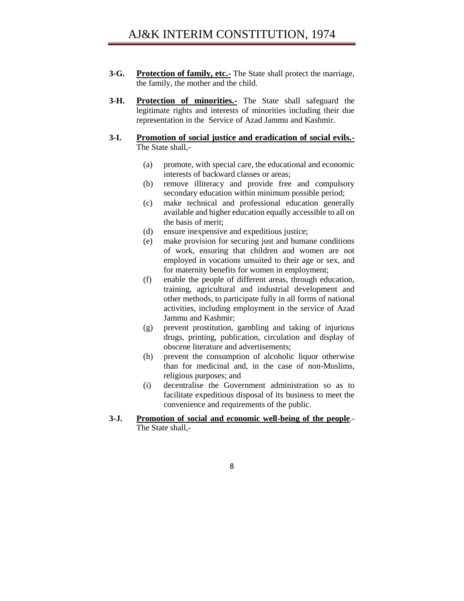- **3-G. Protection of family, etc.-** The State shall protect the marriage, the family, the mother and the child.
- **3-H. Protection of minorities.-** The State shall safeguard the legitimate rights and interests of minorities including their due representation in the Service of Azad Jammu and Kashmir.

### **3-I. Promotion of social justice and eradication of social evils.-** The State shall,-

- (a) promote, with special care, the educational and economic interests of backward classes or areas;
- (b) remove illiteracy and provide free and compulsory secondary education within minimum possible period;
- (c) make technical and professional education generally available and higher education equally accessible to all on the basis of merit;
- (d) ensure inexpensive and expeditious justice;
- (e) make provision for securing just and humane conditions of work, ensuring that children and women are not employed in vocations unsuited to their age or sex, and for maternity benefits for women in employment;
- (f) enable the people of different areas, through education, training, agricultural and industrial development and other methods, to participate fully in all forms of national activities, including employment in the service of Azad Jammu and Kashmir;
- (g) prevent prostitution, gambling and taking of injurious drugs, printing, publication, circulation and display of obscene literature and advertisements;
- (h) prevent the consumption of alcoholic liquor otherwise than for medicinal and, in the case of non-Muslims, religious purposes; and
- (i) decentralise the Government administration so as to facilitate expeditious disposal of its business to meet the convenience and requirements of the public.
- **3-J. Promotion of social and economic well-being of the people**.- The State shall,-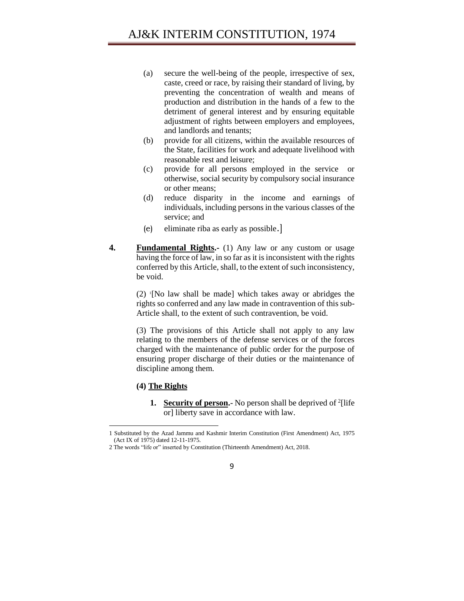- (a) secure the well-being of the people, irrespective of sex, caste, creed or race, by raising their standard of living, by preventing the concentration of wealth and means of production and distribution in the hands of a few to the detriment of general interest and by ensuring equitable adjustment of rights between employers and employees, and landlords and tenants;
- (b) provide for all citizens, within the available resources of the State, facilities for work and adequate livelihood with reasonable rest and leisure;
- (c) provide for all persons employed in the service or otherwise, social security by compulsory social insurance or other means;
- (d) reduce disparity in the income and earnings of individuals, including persons in the various classes of the service; and
- (e) eliminate riba as early as possible.]
- **4. Fundamental Rights.-** (1) Any law or any custom or usage having the force of law, in so far as it is inconsistent with the rights conferred by this Article, shall, to the extent of such inconsistency, be void.

(2) <sup>1</sup> [No law shall be made] which takes away or abridges the rights so conferred and any law made in contravention of this sub-Article shall, to the extent of such contravention, be void.

(3) The provisions of this Article shall not apply to any law relating to the members of the defense services or of the forces charged with the maintenance of public order for the purpose of ensuring proper discharge of their duties or the maintenance of discipline among them.

### **(4) The Rights**

 $\overline{\phantom{a}}$ 

**1.** Security of person. No person shall be deprived of <sup>2</sup>[life or] liberty save in accordance with law.

<sup>2</sup> The words "life or" inserted by Constitution (Thirteenth Amendment) Act, 2018.



<sup>1</sup> Substituted by the Azad Jammu and Kashmir Interim Constitution (First Amendment) Act, 1975 (Act IX of 1975) dated 12-11-1975.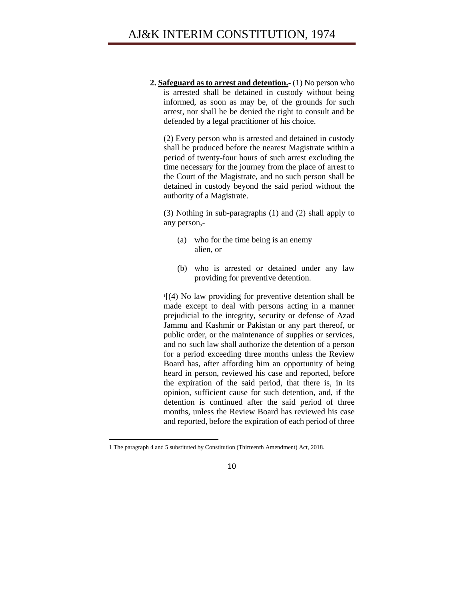**2. Safeguard as to arrest and detention.-** (1) No person who is arrested shall be detained in custody without being informed, as soon as may be, of the grounds for such arrest, nor shall he be denied the right to consult and be defended by a legal practitioner of his choice.

(2) Every person who is arrested and detained in custody shall be produced before the nearest Magistrate within a period of twenty-four hours of such arrest excluding the time necessary for the journey from the place of arrest to the Court of the Magistrate, and no such person shall be detained in custody beyond the said period without the authority of a Magistrate.

(3) Nothing in sub-paragraphs (1) and (2) shall apply to any person,-

- (a) who for the time being is an enemy alien, or
- (b) who is arrested or detained under any law providing for preventive detention.

1 [(4) No law providing for preventive detention shall be made except to deal with persons acting in a manner prejudicial to the integrity, security or defense of Azad Jammu and Kashmir or Pakistan or any part thereof, or public order, or the maintenance of supplies or services, and no such law shall authorize the detention of a person for a period exceeding three months unless the Review Board has, after affording him an opportunity of being heard in person, reviewed his case and reported, before the expiration of the said period, that there is, in its opinion, sufficient cause for such detention, and, if the detention is continued after the said period of three months, unless the Review Board has reviewed his case and reported, before the expiration of each period of three

 $\overline{\phantom{a}}$ 1 The paragraph 4 and 5 substituted by Constitution (Thirteenth Amendment) Act, 2018.

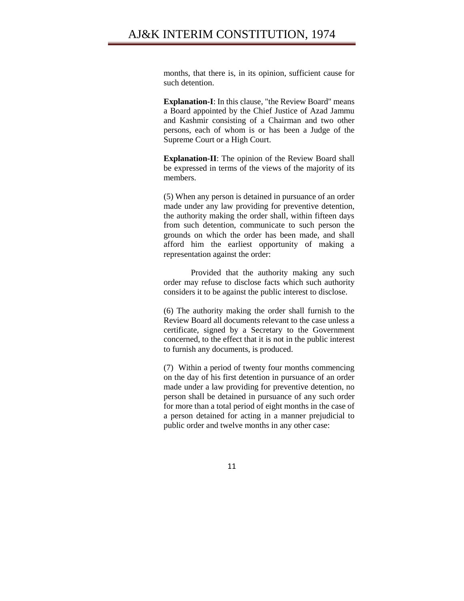months, that there is, in its opinion, sufficient cause for such detention.

**Explanation-I**: In this clause, "the Review Board" means a Board appointed by the Chief Justice of Azad Jammu and Kashmir consisting of a Chairman and two other persons, each of whom is or has been a Judge of the Supreme Court or a High Court.

**Explanation-II**: The opinion of the Review Board shall be expressed in terms of the views of the majority of its members.

(5) When any person is detained in pursuance of an order made under any law providing for preventive detention, the authority making the order shall, within fifteen days from such detention, communicate to such person the grounds on which the order has been made, and shall afford him the earliest opportunity of making a representation against the order:

Provided that the authority making any such order may refuse to disclose facts which such authority considers it to be against the public interest to disclose.

(6) The authority making the order shall furnish to the Review Board all documents relevant to the case unless a certificate, signed by a Secretary to the Government concerned, to the effect that it is not in the public interest to furnish any documents, is produced.

(7) Within a period of twenty four months commencing on the day of his first detention in pursuance of an order made under a law providing for preventive detention, no person shall be detained in pursuance of any such order for more than a total period of eight months in the case of a person detained for acting in a manner prejudicial to public order and twelve months in any other case: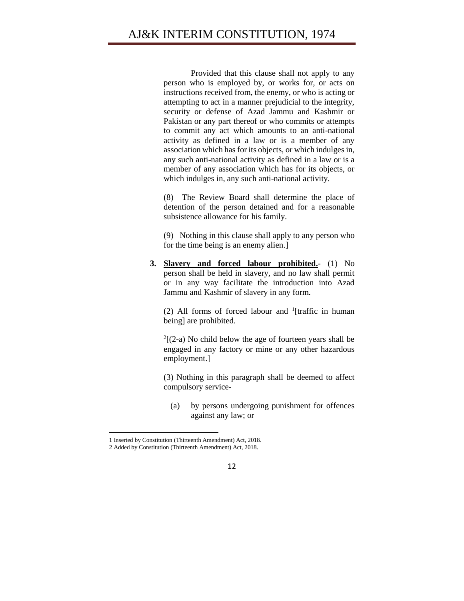Provided that this clause shall not apply to any person who is employed by, or works for, or acts on instructions received from, the enemy, or who is acting or attempting to act in a manner prejudicial to the integrity, security or defense of Azad Jammu and Kashmir or Pakistan or any part thereof or who commits or attempts to commit any act which amounts to an anti-national activity as defined in a law or is a member of any association which has for its objects, or which indulges in, any such anti-national activity as defined in a law or is a member of any association which has for its objects, or which indulges in, any such anti-national activity.

(8) The Review Board shall determine the place of detention of the person detained and for a reasonable subsistence allowance for his family.

(9) Nothing in this clause shall apply to any person who for the time being is an enemy alien.]

**3. Slavery and forced labour prohibited.-** (1) No person shall be held in slavery, and no law shall permit or in any way facilitate the introduction into Azad Jammu and Kashmir of slavery in any form.

(2) All forms of forced labour and  $\frac{1}{1}$  [traffic in human being] are prohibited.

 $2[(2-a)$  No child below the age of fourteen years shall be engaged in any factory or mine or any other hazardous employment.]

(3) Nothing in this paragraph shall be deemed to affect compulsory service-

(a) by persons undergoing punishment for offences against any law; or

l

<sup>2</sup> Added by Constitution (Thirteenth Amendment) Act, 2018.



<sup>1</sup> Inserted by Constitution (Thirteenth Amendment) Act, 2018.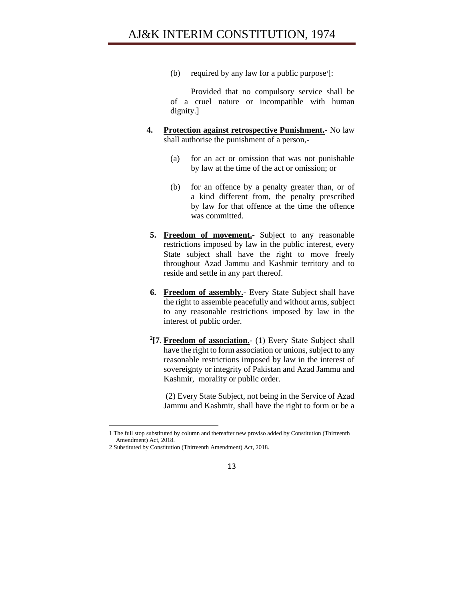(b) required by any law for a public purpose<sup>1</sup>[:

Provided that no compulsory service shall be of a cruel nature or incompatible with human dignity.]

- **4. Protection against retrospective Punishment.-** No law shall authorise the punishment of a person,-
	- (a) for an act or omission that was not punishable by law at the time of the act or omission; or
	- (b) for an offence by a penalty greater than, or of a kind different from, the penalty prescribed by law for that offence at the time the offence was committed.
	- **5. Freedom of movement.-** Subject to any reasonable restrictions imposed by law in the public interest, every State subject shall have the right to move freely throughout Azad Jammu and Kashmir territory and to reside and settle in any part thereof.
	- **6. Freedom of assembly.-** Every State Subject shall have the right to assemble peacefully and without arms, subject to any reasonable restrictions imposed by law in the interest of public order.
	- **2 [7**. **Freedom of association.-** (1) Every State Subject shall have the right to form association or unions, subject to any reasonable restrictions imposed by law in the interest of sovereignty or integrity of Pakistan and Azad Jammu and Kashmir, morality or public order.

(2) Every State Subject, not being in the Service of Azad Jammu and Kashmir, shall have the right to form or be a

<sup>1</sup> The full stop substituted by column and thereafter new proviso added by Constitution (Thirteenth Amendment) Act, 2018.

<sup>2</sup> Substituted by Constitution (Thirteenth Amendment) Act, 2018.

<sup>13</sup>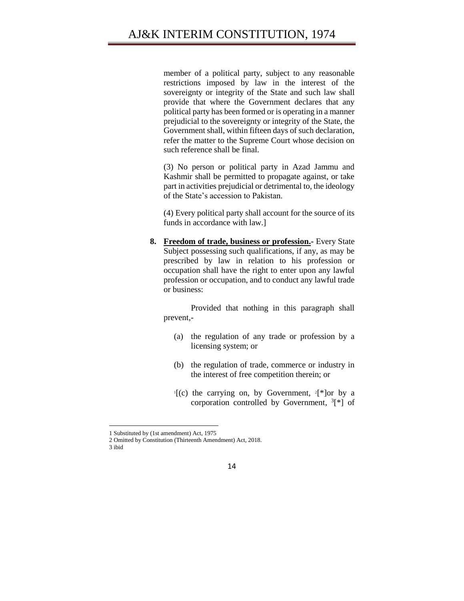member of a political party, subject to any reasonable restrictions imposed by law in the interest of the sovereignty or integrity of the State and such law shall provide that where the Government declares that any political party has been formed or is operating in a manner prejudicial to the sovereignty or integrity of the State, the Government shall, within fifteen days of such declaration, refer the matter to the Supreme Court whose decision on such reference shall be final.

(3) No person or political party in Azad Jammu and Kashmir shall be permitted to propagate against, or take part in activities prejudicial or detrimental to, the ideology of the State's accession to Pakistan.

(4) Every political party shall account for the source of its funds in accordance with law.]

**8. Freedom of trade, business or profession.-** Every State Subject possessing such qualifications, if any, as may be prescribed by law in relation to his profession or occupation shall have the right to enter upon any lawful profession or occupation, and to conduct any lawful trade or business:

Provided that nothing in this paragraph shall prevent,-

- (a) the regulation of any trade or profession by a licensing system; or
- (b) the regulation of trade, commerce or industry in the interest of free competition therein; or
- $\Gamma$ [(c) the carrying on, by Government,  $\Gamma$ <sup>\*</sup>]or by a corporation controlled by Government,  ${}^{3}$ [\*] of

 $\overline{\phantom{a}}$ 

<sup>1</sup> Substituted by (1st amendment) Act, 1975

<sup>2</sup> Omitted by Constitution (Thirteenth Amendment) Act, 2018.

<sup>3</sup> ibid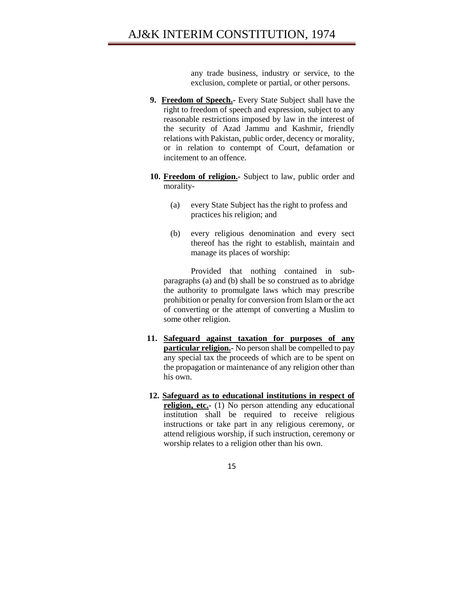any trade business, industry or service, to the exclusion, complete or partial, or other persons.

- **9. Freedom of Speech.-** Every State Subject shall have the right to freedom of speech and expression, subject to any reasonable restrictions imposed by law in the interest of the security of Azad Jammu and Kashmir, friendly relations with Pakistan, public order, decency or morality, or in relation to contempt of Court, defamation or incitement to an offence.
- **10. Freedom of religion.-** Subject to law, public order and morality-
	- (a) every State Subject has the right to profess and practices his religion; and
	- (b) every religious denomination and every sect thereof has the right to establish, maintain and manage its places of worship:

Provided that nothing contained in subparagraphs (a) and (b) shall be so construed as to abridge the authority to promulgate laws which may prescribe prohibition or penalty for conversion from Islam or the act of converting or the attempt of converting a Muslim to some other religion.

- **11. Safeguard against taxation for purposes of any particular religion.** No person shall be compelled to pay any special tax the proceeds of which are to be spent on the propagation or maintenance of any religion other than his own.
- **12. Safeguard as to educational institutions in respect of religion, etc.-** (1) No person attending any educational institution shall be required to receive religious instructions or take part in any religious ceremony, or attend religious worship, if such instruction, ceremony or worship relates to a religion other than his own.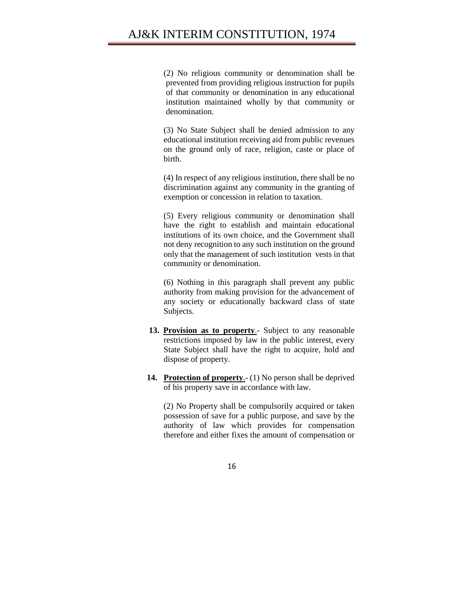(2) No religious community or denomination shall be prevented from providing religious instruction for pupils of that community or denomination in any educational institution maintained wholly by that community or denomination.

(3) No State Subject shall be denied admission to any educational institution receiving aid from public revenues on the ground only of race, religion, caste or place of birth.

(4) In respect of any religious institution, there shall be no discrimination against any community in the granting of exemption or concession in relation to taxation.

(5) Every religious community or denomination shall have the right to establish and maintain educational institutions of its own choice, and the Government shall not deny recognition to any such institution on the ground only that the management of such institution vests in that community or denomination.

(6) Nothing in this paragraph shall prevent any public authority from making provision for the advancement of any society or educationally backward class of state Subjects.

- **13. Provision as to property**.- Subject to any reasonable restrictions imposed by law in the public interest, every State Subject shall have the right to acquire, hold and dispose of property.
- **14. Protection of property**.- (1) No person shall be deprived of his property save in accordance with law.

(2) No Property shall be compulsorily acquired or taken possession of save for a public purpose, and save by the authority of law which provides for compensation therefore and either fixes the amount of compensation or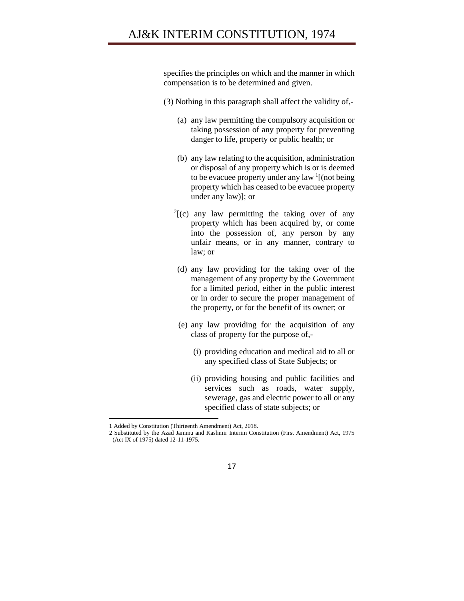# AJ&K INTERIM CONSTITUTION, 1974

specifies the principles on which and the manner in which compensation is to be determined and given.

- (3) Nothing in this paragraph shall affect the validity of,-
	- (a) any law permitting the compulsory acquisition or taking possession of any property for preventing danger to life, property or public health; or
	- (b) any law relating to the acquisition, administration or disposal of any property which is or is deemed to be evacuee property under any law <sup>1</sup>[(not being property which has ceased to be evacuee property under any law)]; or
	- $2[$ (c) any law permitting the taking over of any property which has been acquired by, or come into the possession of, any person by any unfair means, or in any manner, contrary to law; or
	- (d) any law providing for the taking over of the management of any property by the Government for a limited period, either in the public interest or in order to secure the proper management of the property, or for the benefit of its owner; or
	- (e) any law providing for the acquisition of any class of property for the purpose of,-
		- (i) providing education and medical aid to all or any specified class of State Subjects; or
		- (ii) providing housing and public facilities and services such as roads, water supply, sewerage, gas and electric power to all or any specified class of state subjects; or

<sup>1</sup> Added by Constitution (Thirteenth Amendment) Act, 2018.

<sup>2</sup> Substituted by the Azad Jammu and Kashmir Interim Constitution (First Amendment) Act, 1975 (Act IX of 1975) dated 12-11-1975.

<sup>17</sup>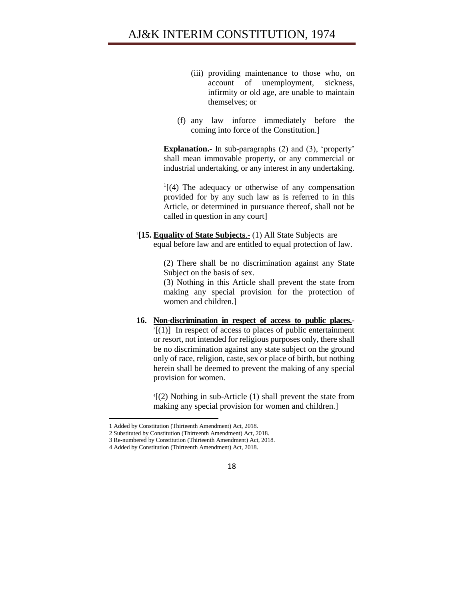- (iii) providing maintenance to those who, on account of unemployment, sickness, infirmity or old age, are unable to maintain themselves; or
- (f) any law inforce immediately before the coming into force of the Constitution.]

**Explanation.-** In sub-paragraphs (2) and (3), 'property' shall mean immovable property, or any commercial or industrial undertaking, or any interest in any undertaking.

 $<sup>1</sup>$ [(4) The adequacy or otherwise of any compensation</sup> provided for by any such law as is referred to in this Article, or determined in pursuance thereof, shall not be called in question in any court]

2 **[15. Equality of State Subjects**.- (1) All State Subjects are equal before law and are entitled to equal protection of law.

> (2) There shall be no discrimination against any State Subject on the basis of sex.

> (3) Nothing in this Article shall prevent the state from making any special provision for the protection of women and children.]

**16. Non-discrimination in respect of access to public places.-**  $\mathbb{F}[(1)]$  In respect of access to places of public entertainment or resort, not intended for religious purposes only, there shall be no discrimination against any state subject on the ground only of race, religion, caste, sex or place of birth, but nothing herein shall be deemed to prevent the making of any special provision for women.

4 [(2) Nothing in sub-Article (1) shall prevent the state from making any special provision for women and children.]

<sup>4</sup> Added by Constitution (Thirteenth Amendment) Act, 2018.



<sup>1</sup> Added by Constitution (Thirteenth Amendment) Act, 2018.

<sup>2</sup> Substituted by Constitution (Thirteenth Amendment) Act, 2018.

<sup>3</sup> Re-numbered by Constitution (Thirteenth Amendment) Act, 2018.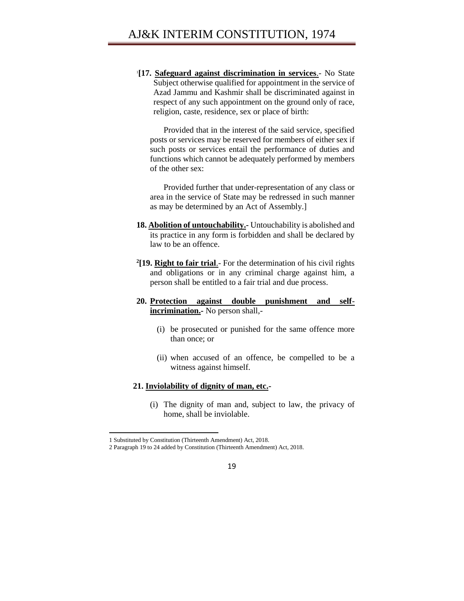1 **[17. Safeguard against discrimination in services**.- No State Subject otherwise qualified for appointment in the service of Azad Jammu and Kashmir shall be discriminated against in respect of any such appointment on the ground only of race, religion, caste, residence, sex or place of birth:

Provided that in the interest of the said service, specified posts or services may be reserved for members of either sex if such posts or services entail the performance of duties and functions which cannot be adequately performed by members of the other sex:

Provided further that under-representation of any class or area in the service of State may be redressed in such manner as may be determined by an Act of Assembly.]

- **18. Abolition of untouchability.-** Untouchability is abolished and its practice in any form is forbidden and shall be declared by law to be an offence.
- **2 [19. Right to fair trial**.- For the determination of his civil rights and obligations or in any criminal charge against him, a person shall be entitled to a fair trial and due process.
- **20. Protection against double punishment and selfincrimination.-** No person shall,-
	- (i) be prosecuted or punished for the same offence more than once; or
	- (ii) when accused of an offence, be compelled to be a witness against himself.

### **21. Inviolability of dignity of man, etc.-**

(i) The dignity of man and, subject to law, the privacy of home, shall be inviolable.

l

<sup>1</sup> Substituted by Constitution (Thirteenth Amendment) Act, 2018.

<sup>2</sup> Paragraph 19 to 24 added by Constitution (Thirteenth Amendment) Act, 2018.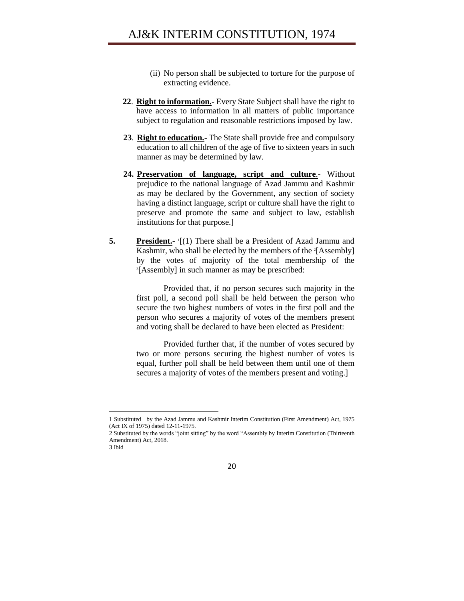- (ii) No person shall be subjected to torture for the purpose of extracting evidence.
- **22**. **Right to information.-** Every State Subject shall have the right to have access to information in all matters of public importance subject to regulation and reasonable restrictions imposed by law.
- **23**. **Right to education.-** The State shall provide free and compulsory education to all children of the age of five to sixteen years in such manner as may be determined by law.
- **24. Preservation of language, script and culture**.- Without prejudice to the national language of Azad Jammu and Kashmir as may be declared by the Government, any section of society having a distinct language, script or culture shall have the right to preserve and promote the same and subject to law, establish institutions for that purpose.]
- **5. President.** I(1) There shall be a President of Azad Jammu and Kashmir, who shall be elected by the members of the <sup>2</sup>[Assembly] by the votes of majority of the total membership of the <sup>3</sup>[Assembly] in such manner as may be prescribed:

Provided that, if no person secures such majority in the first poll, a second poll shall be held between the person who secure the two highest numbers of votes in the first poll and the person who secures a majority of votes of the members present and voting shall be declared to have been elected as President:

Provided further that, if the number of votes secured by two or more persons securing the highest number of votes is equal, further poll shall be held between them until one of them secures a majority of votes of the members present and voting.]

20

<sup>1</sup> Substituted by the Azad Jammu and Kashmir Interim Constitution (First Amendment) Act, 1975 (Act IX of 1975) dated 12-11-1975.

<sup>2</sup> Substituted by the words "joint sitting" by the word "Assembly by Interim Constitution (Thirteenth Amendment) Act, 2018. 3 Ibid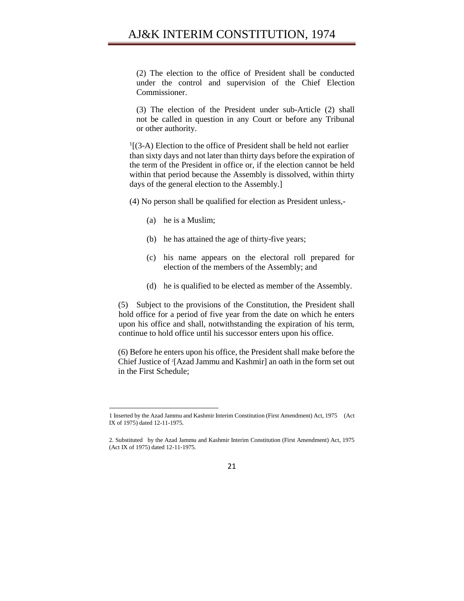(2) The election to the office of President shall be conducted under the control and supervision of the Chief Election Commissioner.

(3) The election of the President under sub-Article (2) shall not be called in question in any Court or before any Tribunal or other authority.

<sup>1</sup>[(3-A) Election to the office of President shall be held not earlier than sixty days and not later than thirty days before the expiration of the term of the President in office or, if the election cannot be held within that period because the Assembly is dissolved, within thirty days of the general election to the Assembly.]

(4) No person shall be qualified for election as President unless,-

(a) he is a Muslim;

 $\overline{a}$ 

- (b) he has attained the age of thirty-five years;
- (c) his name appears on the electoral roll prepared for election of the members of the Assembly; and
- (d) he is qualified to be elected as member of the Assembly.

(5) Subject to the provisions of the Constitution, the President shall hold office for a period of five year from the date on which he enters upon his office and shall, notwithstanding the expiration of his term, continue to hold office until his successor enters upon his office.

(6) Before he enters upon his office, the President shall make before the Chief Justice of <sup>2</sup> [Azad Jammu and Kashmir] an oath in the form set out in the First Schedule;

<sup>2.</sup> Substituted by the Azad Jammu and Kashmir Interim Constitution (First Amendment) Act, 1975 (Act IX of 1975) dated 12-11-1975.



<sup>1</sup> Inserted by the Azad Jammu and Kashmir Interim Constitution (First Amendment) Act, 1975 (Act IX of 1975) dated 12-11-1975.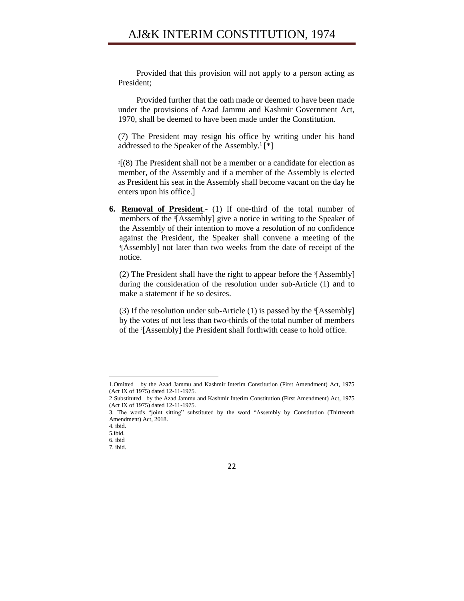## AJ&K INTERIM CONSTITUTION, 1974

Provided that this provision will not apply to a person acting as President;

Provided further that the oath made or deemed to have been made under the provisions of Azad Jammu and Kashmir Government Act, 1970, shall be deemed to have been made under the Constitution.

(7) The President may resign his office by writing under his hand addressed to the Speaker of the Assembly.<sup>1</sup>[\*]

2 [(8) The President shall not be a member or a candidate for election as member, of the Assembly and if a member of the Assembly is elected as President his seat in the Assembly shall become vacant on the day he enters upon his office.]

**6. Removal of President**.- (1) If one-third of the total number of members of the <sup>3</sup> [Assembly] give a notice in writing to the Speaker of the Assembly of their intention to move a resolution of no confidence against the President, the Speaker shall convene a meeting of the 4 [Assembly] not later than two weeks from the date of receipt of the notice.

(2) The President shall have the right to appear before the <sup>s</sup>[Assembly] during the consideration of the resolution under sub-Article (1) and to make a statement if he so desires.

(3) If the resolution under sub-Article  $(1)$  is passed by the  $[Assembly]$ by the votes of not less than two-thirds of the total number of members of the <sup>7</sup> [Assembly] the President shall forthwith cease to hold office.

 $\overline{a}$ 

<sup>1.</sup>Omitted by the Azad Jammu and Kashmir Interim Constitution (First Amendment) Act, 1975 (Act IX of 1975) dated 12-11-1975.

<sup>2</sup> Substituted by the Azad Jammu and Kashmir Interim Constitution (First Amendment) Act, 1975 (Act IX of 1975) dated 12-11-1975.

<sup>3.</sup> The words "joint sitting" substituted by the word "Assembly by Constitution (Thirteenth Amendment) Act, 2018.

<sup>4.</sup> ibid.

<sup>5.</sup>ibid.

<sup>6.</sup> ibid

<sup>7.</sup> ibid.

<sup>22</sup>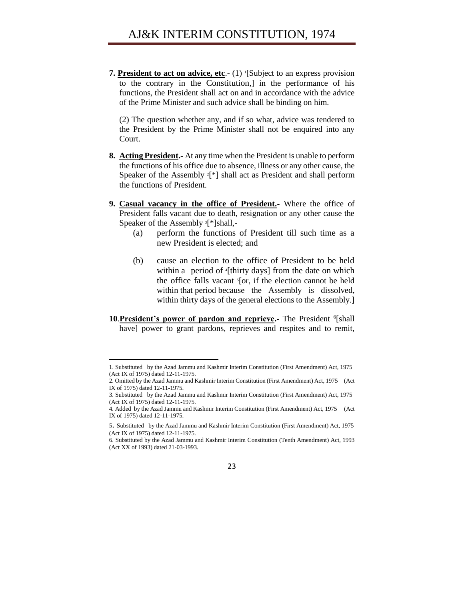**7. President to act on advice, etc.**- (1) [Subject to an express provision to the contrary in the Constitution,] in the performance of his functions, the President shall act on and in accordance with the advice of the Prime Minister and such advice shall be binding on him.

(2) The question whether any, and if so what, advice was tendered to the President by the Prime Minister shall not be enquired into any Court.

- **8. Acting President.-** At any time when the President is unable to perform the functions of his office due to absence, illness or any other cause, the Speaker of the Assembly <sup>2</sup><sup>[\*]</sup> shall act as President and shall perform the functions of President.
- **9. Casual vacancy in the office of President.-** Where the office of President falls vacant due to death, resignation or any other cause the Speaker of the Assembly <sup>3</sup>[\*]shall,-
	- (a) perform the functions of President till such time as a new President is elected; and
	- (b) cause an election to the office of President to be held within a period of '[thirty days] from the date on which the office falls vacant <sup>5</sup>[or, if the election cannot be held within that period because the Assembly is dissolved, within thirty days of the general elections to the Assembly.]
- 10. President's power of pardon and reprieve. The President <sup>6</sup>[shall have] power to grant pardons, reprieves and respites and to remit,

<sup>6.</sup> Substituted by the Azad Jammu and Kashmir Interim Constitution (Tenth Amendment) Act, 1993 (Act XX of 1993) dated 21-03-1993.



<sup>1.</sup> Substituted by the Azad Jammu and Kashmir Interim Constitution (First Amendment) Act, 1975 (Act IX of 1975) dated 12-11-1975.

<sup>2.</sup> Omitted by the Azad Jammu and Kashmir Interim Constitution (First Amendment) Act, 1975 (Act IX of 1975) dated 12-11-1975.

<sup>3.</sup> Substituted by the Azad Jammu and Kashmir Interim Constitution (First Amendment) Act, 1975 (Act IX of 1975) dated 12-11-1975.

<sup>4.</sup> Added by the Azad Jammu and Kashmir Interim Constitution (First Amendment) Act, 1975 (Act IX of 1975) dated 12-11-1975.

<sup>5</sup>. Substituted by the Azad Jammu and Kashmir Interim Constitution (First Amendment) Act, 1975 (Act IX of 1975) dated 12-11-1975.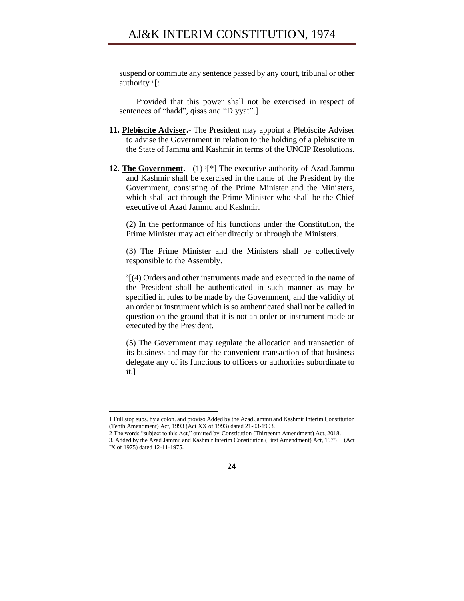suspend or commute any sentence passed by any court, tribunal or other authority<sup>1</sup>[:

Provided that this power shall not be exercised in respect of sentences of "hadd", qisas and "Diyyat".]

- **11. Plebiscite Adviser.** The President may appoint a Plebiscite Adviser to advise the Government in relation to the holding of a plebiscite in the State of Jammu and Kashmir in terms of the UNCIP Resolutions.
- **12. The Government.** (1) <sup>2</sup><sup>[\*]</sup> The executive authority of Azad Jammu and Kashmir shall be exercised in the name of the President by the Government, consisting of the Prime Minister and the Ministers, which shall act through the Prime Minister who shall be the Chief executive of Azad Jammu and Kashmir.

(2) In the performance of his functions under the Constitution, the Prime Minister may act either directly or through the Ministers.

(3) The Prime Minister and the Ministers shall be collectively responsible to the Assembly.

 $3(4)$  Orders and other instruments made and executed in the name of the President shall be authenticated in such manner as may be specified in rules to be made by the Government, and the validity of an order or instrument which is so authenticated shall not be called in question on the ground that it is not an order or instrument made or executed by the President.

(5) The Government may regulate the allocation and transaction of its business and may for the convenient transaction of that business delegate any of its functions to officers or authorities subordinate to it.]

<sup>3.</sup> Added by the Azad Jammu and Kashmir Interim Constitution (First Amendment) Act, 1975 (Act IX of 1975) dated 12-11-1975.



<sup>1</sup> Full stop subs. by a colon. and proviso Added by the Azad Jammu and Kashmir Interim Constitution (Tenth Amendment) Act, 1993 (Act XX of 1993) dated 21-03-1993.

<sup>2</sup> The words "subject to this Act," omitted by Constitution (Thirteenth Amendment) Act, 2018.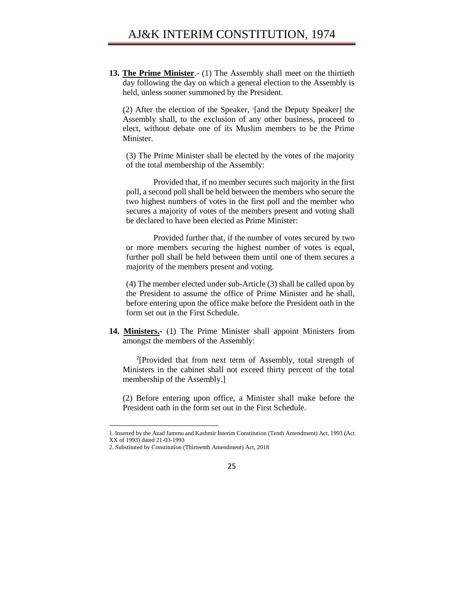**13. The Prime Minister**.- (1) The Assembly shall meet on the thirtieth day following the day on which a general election to the Assembly is held, unless sooner summoned by the President.

(2) After the election of the Speaker, <sup>1</sup> [and the Deputy Speaker] the Assembly shall, to the exclusion of any other business, proceed to elect, without debate one of its Muslim members to be the Prime Minister.

(3) The Prime Minister shall be elected by the votes of the majority of the total membership of the Assembly:

Provided that, if no member secures such majority in the first poll, a second poll shall be held between the members who secure the two highest numbers of votes in the first poll and the member who secures a majority of votes of the members present and voting shall be declared to have been elected as Prime Minister:

Provided further that, if the number of votes secured by two or more members securing the highest number of votes is equal, further poll shall be held between them until one of them secures a majority of the members present and voting.

(4) The member elected under sub-Article (3) shall be called upon by the President to assume the office of Prime Minister and he shall, before entering upon the office make before the President oath in the form set out in the First Schedule.

**14. Ministers.-** (1) The Prime Minister shall appoint Ministers from amongst the members of the Assembly:

2 [Provided that from next term of Assembly, total strength of Ministers in the cabinet shall not exceed thirty percent of the total membership of the Assembly.]

(2) Before entering upon office, a Minister shall make before the President oath in the form set out in the First Schedule.

<sup>1.</sup> Inserted by the Azad Jammu and Kashmir Interim Constitution (Tenth Amendment) Act, 1993 (Act XX of 1993) dated 21-03-1993

<sup>2.</sup> Substituted by Constitution (Thirteenth Amendment) Act, 2018

<sup>25</sup>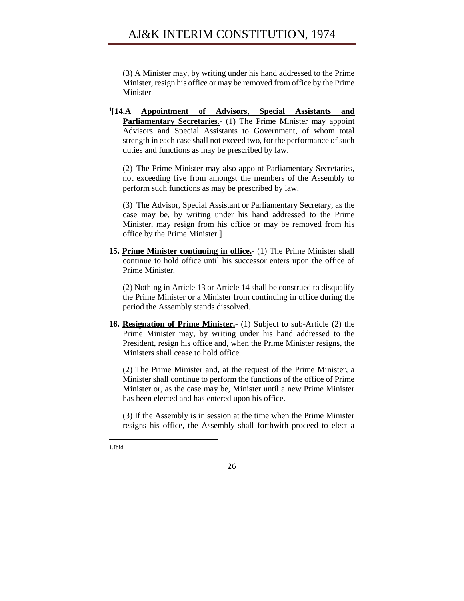(3) A Minister may, by writing under his hand addressed to the Prime Minister, resign his office or may be removed from office by the Prime Minister

1 [**14.A Appointment of Advisors, Special Assistants and Parliamentary Secretaries.**- (1) The Prime Minister may appoint Advisors and Special Assistants to Government, of whom total strength in each case shall not exceed two, for the performance of such duties and functions as may be prescribed by law.

(2) The Prime Minister may also appoint Parliamentary Secretaries, not exceeding five from amongst the members of the Assembly to perform such functions as may be prescribed by law.

(3) The Advisor, Special Assistant or Parliamentary Secretary, as the case may be, by writing under his hand addressed to the Prime Minister, may resign from his office or may be removed from his office by the Prime Minister.]

**15. Prime Minister continuing in office.-** (1) The Prime Minister shall continue to hold office until his successor enters upon the office of Prime Minister.

(2) Nothing in Article 13 or Article 14 shall be construed to disqualify the Prime Minister or a Minister from continuing in office during the period the Assembly stands dissolved.

**16. Resignation of Prime Minister.-** (1) Subject to sub-Article (2) the Prime Minister may, by writing under his hand addressed to the President, resign his office and, when the Prime Minister resigns, the Ministers shall cease to hold office.

(2) The Prime Minister and, at the request of the Prime Minister, a Minister shall continue to perform the functions of the office of Prime Minister or, as the case may be, Minister until a new Prime Minister has been elected and has entered upon his office.

(3) If the Assembly is in session at the time when the Prime Minister resigns his office, the Assembly shall forthwith proceed to elect a

 $\overline{\phantom{a}}$ 1.Ibid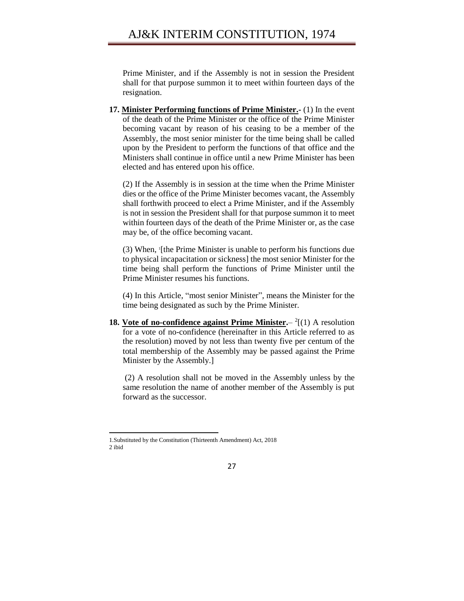Prime Minister, and if the Assembly is not in session the President shall for that purpose summon it to meet within fourteen days of the resignation.

**17. Minister Performing functions of Prime Minister.-** (1) In the event of the death of the Prime Minister or the office of the Prime Minister becoming vacant by reason of his ceasing to be a member of the Assembly, the most senior minister for the time being shall be called upon by the President to perform the functions of that office and the Ministers shall continue in office until a new Prime Minister has been elected and has entered upon his office.

(2) If the Assembly is in session at the time when the Prime Minister dies or the office of the Prime Minister becomes vacant, the Assembly shall forthwith proceed to elect a Prime Minister, and if the Assembly is not in session the President shall for that purpose summon it to meet within fourteen days of the death of the Prime Minister or, as the case may be, of the office becoming vacant.

(3) When, <sup>1</sup> [the Prime Minister is unable to perform his functions due to physical incapacitation or sickness] the most senior Minister for the time being shall perform the functions of Prime Minister until the Prime Minister resumes his functions.

(4) In this Article, "most senior Minister", means the Minister for the time being designated as such by the Prime Minister.

**18. Vote of no-confidence against Prime Minister.** – <sup>2</sup>[(1) A resolution for a vote of no-confidence (hereinafter in this Article referred to as the resolution) moved by not less than twenty five per centum of the total membership of the Assembly may be passed against the Prime Minister by the Assembly.]

(2) A resolution shall not be moved in the Assembly unless by the same resolution the name of another member of the Assembly is put forward as the successor.

l

<sup>1.</sup>Substituted by the Constitution (Thirteenth Amendment) Act, 2018 2 ibid

<sup>27</sup>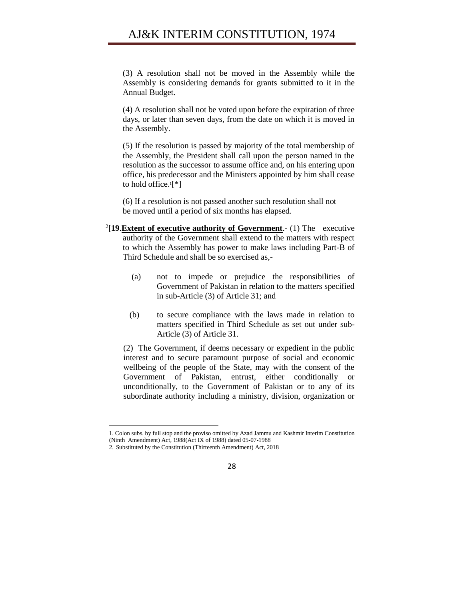(3) A resolution shall not be moved in the Assembly while the Assembly is considering demands for grants submitted to it in the Annual Budget.

(4) A resolution shall not be voted upon before the expiration of three days, or later than seven days, from the date on which it is moved in the Assembly.

(5) If the resolution is passed by majority of the total membership of the Assembly, the President shall call upon the person named in the resolution as the successor to assume office and, on his entering upon office, his predecessor and the Ministers appointed by him shall cease to hold office.<sup>1</sup> [\*]

(6) If a resolution is not passed another such resolution shall not be moved until a period of six months has elapsed.

- 2 **[19**.**Extent of executive authority of Government**.- (1) The executive authority of the Government shall extend to the matters with respect to which the Assembly has power to make laws including Part-B of Third Schedule and shall be so exercised as,-
	- (a) not to impede or prejudice the responsibilities of Government of Pakistan in relation to the matters specified in sub-Article (3) of Article 31; and
	- (b) to secure compliance with the laws made in relation to matters specified in Third Schedule as set out under sub-Article (3) of Article 31.

(2) The Government, if deems necessary or expedient in the public interest and to secure paramount purpose of social and economic wellbeing of the people of the State, may with the consent of the Government of Pakistan, entrust, either conditionally or unconditionally, to the Government of Pakistan or to any of its subordinate authority including a ministry, division, organization or



<sup>1.</sup> Colon subs. by full stop and the proviso omitted by Azad Jammu and Kashmir Interim Constitution (Ninth Amendment) Act, 1988(Act IX of 1988) dated 05-07-1988

<sup>2.</sup> Substituted by the Constitution (Thirteenth Amendment) Act, 2018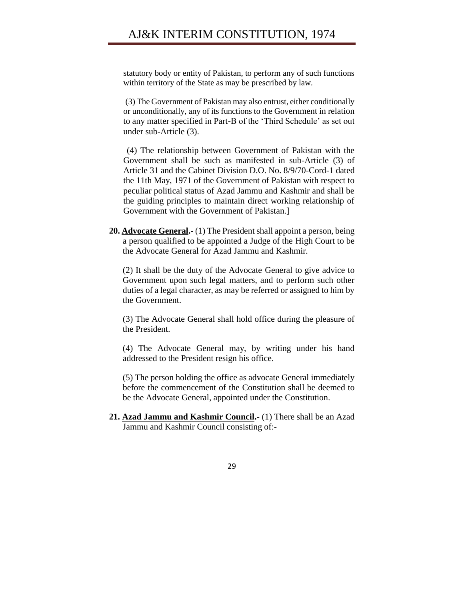statutory body or entity of Pakistan, to perform any of such functions within territory of the State as may be prescribed by law.

(3) The Government of Pakistan may also entrust, either conditionally or unconditionally, any of its functions to the Government in relation to any matter specified in Part-B of the 'Third Schedule' as set out under sub-Article (3).

(4) The relationship between Government of Pakistan with the Government shall be such as manifested in sub-Article (3) of Article 31 and the Cabinet Division D.O. No. 8/9/70-Cord-1 dated the 11th May, 1971 of the Government of Pakistan with respect to peculiar political status of Azad Jammu and Kashmir and shall be the guiding principles to maintain direct working relationship of Government with the Government of Pakistan.]

**20. Advocate General.-** (1) The President shall appoint a person, being a person qualified to be appointed a Judge of the High Court to be the Advocate General for Azad Jammu and Kashmir.

(2) It shall be the duty of the Advocate General to give advice to Government upon such legal matters, and to perform such other duties of a legal character, as may be referred or assigned to him by the Government.

(3) The Advocate General shall hold office during the pleasure of the President.

(4) The Advocate General may, by writing under his hand addressed to the President resign his office.

(5) The person holding the office as advocate General immediately before the commencement of the Constitution shall be deemed to be the Advocate General, appointed under the Constitution.

**21. Azad Jammu and Kashmir Council.-** (1) There shall be an Azad Jammu and Kashmir Council consisting of:-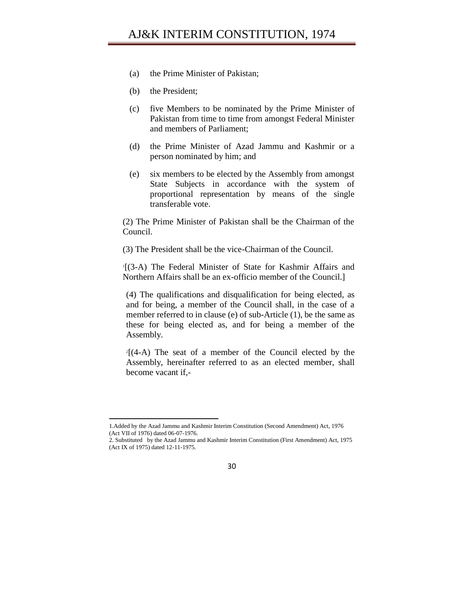- (a) the Prime Minister of Pakistan;
- (b) the President;
- (c) five Members to be nominated by the Prime Minister of Pakistan from time to time from amongst Federal Minister and members of Parliament;
- (d) the Prime Minister of Azad Jammu and Kashmir or a person nominated by him; and
- (e) six members to be elected by the Assembly from amongst State Subjects in accordance with the system of proportional representation by means of the single transferable vote.

(2) The Prime Minister of Pakistan shall be the Chairman of the Council.

(3) The President shall be the vice-Chairman of the Council.

1 [(3-A) The Federal Minister of State for Kashmir Affairs and Northern Affairs shall be an ex-officio member of the Council.]

(4) The qualifications and disqualification for being elected, as and for being, a member of the Council shall, in the case of a member referred to in clause (e) of sub-Article (1), be the same as these for being elected as, and for being a member of the Assembly.

2 [(4-A) The seat of a member of the Council elected by the Assembly, hereinafter referred to as an elected member, shall become vacant if,-

<sup>1.</sup>Added by the Azad Jammu and Kashmir Interim Constitution (Second Amendment) Act, 1976 (Act VII of 1976) dated 06-07-1976.

<sup>2.</sup> Substituted by the Azad Jammu and Kashmir Interim Constitution (First Amendment) Act, 1975 (Act IX of 1975) dated 12-11-1975.

<sup>30</sup>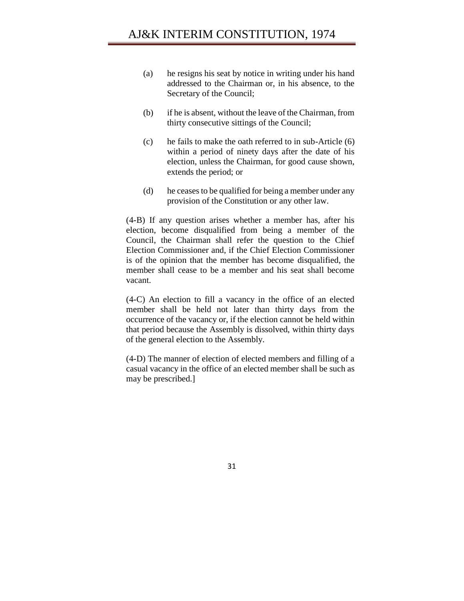- (a) he resigns his seat by notice in writing under his hand addressed to the Chairman or, in his absence, to the Secretary of the Council;
- (b) if he is absent, without the leave of the Chairman, from thirty consecutive sittings of the Council;
- (c) he fails to make the oath referred to in sub-Article (6) within a period of ninety days after the date of his election, unless the Chairman, for good cause shown, extends the period; or
- (d) he ceases to be qualified for being a member under any provision of the Constitution or any other law.

(4-B) If any question arises whether a member has, after his election, become disqualified from being a member of the Council, the Chairman shall refer the question to the Chief Election Commissioner and, if the Chief Election Commissioner is of the opinion that the member has become disqualified, the member shall cease to be a member and his seat shall become vacant.

(4-C) An election to fill a vacancy in the office of an elected member shall be held not later than thirty days from the occurrence of the vacancy or, if the election cannot be held within that period because the Assembly is dissolved, within thirty days of the general election to the Assembly.

(4-D) The manner of election of elected members and filling of a casual vacancy in the office of an elected member shall be such as may be prescribed.]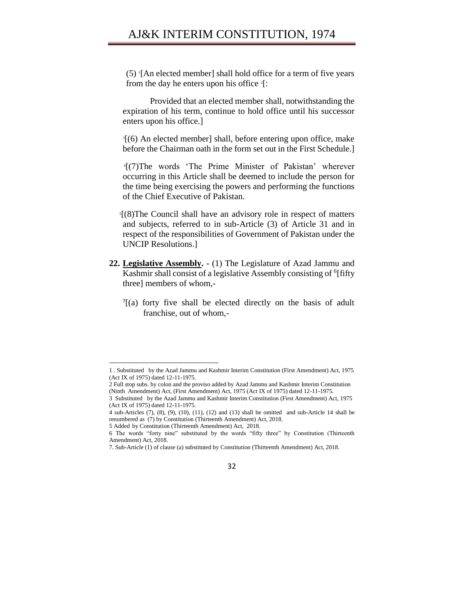## AJ&K INTERIM CONSTITUTION, 1974

(5) <sup>1</sup> [An elected member] shall hold office for a term of five years from the day he enters upon his office <sup>2</sup>[:

Provided that an elected member shall, notwithstanding the expiration of his term, continue to hold office until his successor enters upon his office.]

3 [(6) An elected member] shall, before entering upon office, make before the Chairman oath in the form set out in the First Schedule.]

4 [(7)The words 'The Prime Minister of Pakistan' wherever occurring in this Article shall be deemed to include the person for the time being exercising the powers and performing the functions of the Chief Executive of Pakistan.

5 [(8)The Council shall have an advisory role in respect of matters and subjects, referred to in sub-Article (3) of Article 31 and in respect of the responsibilities of Government of Pakistan under the UNCIP Resolutions.]

- **22. Legislative Assembly. -** (1) The Legislature of Azad Jammu and Kashmir shall consist of a legislative Assembly consisting of <sup>6</sup>[fifty three] members of whom,-
	- $7[(a)$  forty five shall be elected directly on the basis of adult franchise, out of whom,-

<sup>7.</sup> Sub-Article (1) of clause (a) substituted by Constitution (Thirteenth Amendment) Act, 2018.



<sup>1</sup> . Substituted by the Azad Jammu and Kashmir Interim Constitution (First Amendment) Act, 1975 (Act IX of 1975) dated 12-11-1975.

<sup>2</sup> Full stop subs. by colon and the proviso added by Azad Jammu and Kashmir Interim Constitution (Ninth Amendment) Act, (First Amendment) Act, 1975 (Act IX of 1975) dated 12-11-1975.

<sup>3</sup> Substituted by the Azad Jammu and Kashmir Interim Constitution (First Amendment) Act, 1975 (Act IX of 1975) dated 12-11-1975.

<sup>4</sup> sub-Articles (7), (8), (9), (10), (11), (12) and (13) shall be omitted and sub-Article 14 shall be renumbered as (7) by Constitution (Thirteenth Amendment) Act, 2018.

<sup>5</sup> Added by Constitution (Thirteenth Amendment) Act, 2018.

<sup>6</sup> The words "forty nine" substituted by the words "fifty three" by Constitution (Thirteenth Amendment) Act, 2018.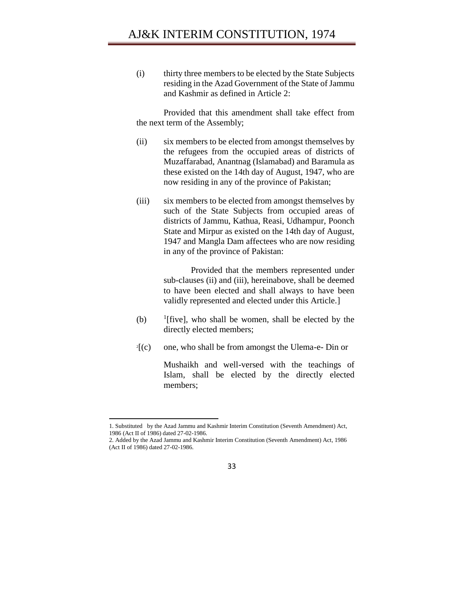(i) thirty three members to be elected by the State Subjects residing in the Azad Government of the State of Jammu and Kashmir as defined in Article 2:

Provided that this amendment shall take effect from the next term of the Assembly;

- (ii) six members to be elected from amongst themselves by the refugees from the occupied areas of districts of Muzaffarabad, Anantnag (Islamabad) and Baramula as these existed on the 14th day of August, 1947, who are now residing in any of the province of Pakistan;
- (iii) six members to be elected from amongst themselves by such of the State Subjects from occupied areas of districts of Jammu, Kathua, Reasi, Udhampur, Poonch State and Mirpur as existed on the 14th day of August, 1947 and Mangla Dam affectees who are now residing in any of the province of Pakistan:

Provided that the members represented under sub-clauses (ii) and (iii), hereinabove, shall be deemed to have been elected and shall always to have been validly represented and elected under this Article.]

- (b) <sup>1</sup> <sup>1</sup>[five], who shall be women, shall be elected by the directly elected members;
- $2\lceil (c) \rceil$ [(c) one, who shall be from amongst the Ulema-e- Din or

Mushaikh and well-versed with the teachings of Islam, shall be elected by the directly elected members;

<sup>1.</sup> Substituted by the Azad Jammu and Kashmir Interim Constitution (Seventh Amendment) Act, 1986 (Act II of 1986) dated 27-02-1986.

<sup>2.</sup> Added by the Azad Jammu and Kashmir Interim Constitution (Seventh Amendment) Act, 1986 (Act II of 1986) dated 27-02-1986.

<sup>33</sup>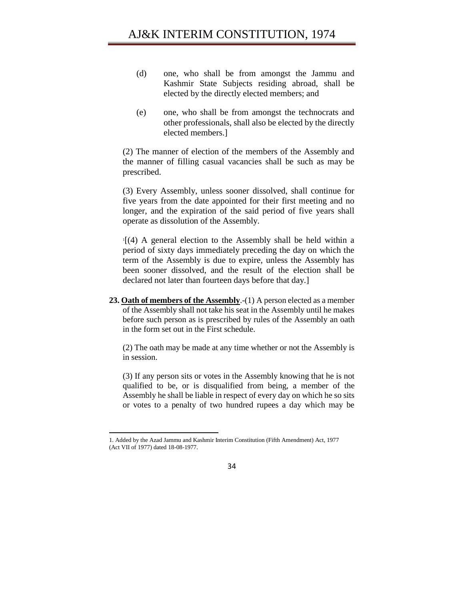- (d) one, who shall be from amongst the Jammu and Kashmir State Subjects residing abroad, shall be elected by the directly elected members; and
- (e) one, who shall be from amongst the technocrats and other professionals, shall also be elected by the directly elected members.]

(2) The manner of election of the members of the Assembly and the manner of filling casual vacancies shall be such as may be prescribed.

(3) Every Assembly, unless sooner dissolved, shall continue for five years from the date appointed for their first meeting and no longer, and the expiration of the said period of five years shall operate as dissolution of the Assembly.

1 [(4) A general election to the Assembly shall be held within a period of sixty days immediately preceding the day on which the term of the Assembly is due to expire, unless the Assembly has been sooner dissolved, and the result of the election shall be declared not later than fourteen days before that day.]

**23. Oath of members of the Assembly**.-(1) A person elected as a member of the Assembly shall not take his seat in the Assembly until he makes before such person as is prescribed by rules of the Assembly an oath in the form set out in the First schedule.

(2) The oath may be made at any time whether or not the Assembly is in session.

(3) If any person sits or votes in the Assembly knowing that he is not qualified to be, or is disqualified from being, a member of the Assembly he shall be liable in respect of every day on which he so sits or votes to a penalty of two hundred rupees a day which may be

l



<sup>1.</sup> Added by the Azad Jammu and Kashmir Interim Constitution (Fifth Amendment) Act, 1977 (Act VII of 1977) dated 18-08-1977.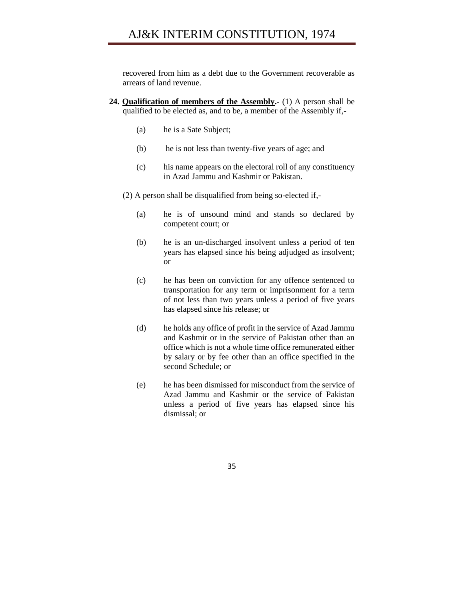# AJ&K INTERIM CONSTITUTION, 1974

recovered from him as a debt due to the Government recoverable as arrears of land revenue.

- **24. Qualification of members of the Assembly.-** (1) A person shall be qualified to be elected as, and to be, a member of the Assembly if,-
	- (a) he is a Sate Subject;
	- (b) he is not less than twenty-five years of age; and
	- (c) his name appears on the electoral roll of any constituency in Azad Jammu and Kashmir or Pakistan.
	- (2) A person shall be disqualified from being so-elected if,-
		- (a) he is of unsound mind and stands so declared by competent court; or
		- (b) he is an un-discharged insolvent unless a period of ten years has elapsed since his being adjudged as insolvent; or
		- (c) he has been on conviction for any offence sentenced to transportation for any term or imprisonment for a term of not less than two years unless a period of five years has elapsed since his release; or
		- (d) he holds any office of profit in the service of Azad Jammu and Kashmir or in the service of Pakistan other than an office which is not a whole time office remunerated either by salary or by fee other than an office specified in the second Schedule; or
		- (e) he has been dismissed for misconduct from the service of Azad Jammu and Kashmir or the service of Pakistan unless a period of five years has elapsed since his dismissal; or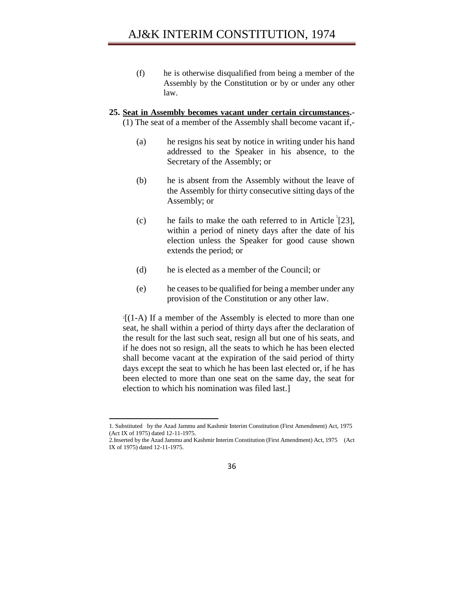(f) he is otherwise disqualified from being a member of the Assembly by the Constitution or by or under any other law.

#### **25. Seat in Assembly becomes vacant under certain circumstances.**- (1) The seat of a member of the Assembly shall become vacant if,-

- (a) he resigns his seat by notice in writing under his hand addressed to the Speaker in his absence, to the Secretary of the Assembly; or
- (b) he is absent from the Assembly without the leave of the Assembly for thirty consecutive sitting days of the Assembly; or
- (c) he fails to make the oath referred to in Article  $[23]$ , within a period of ninety days after the date of his election unless the Speaker for good cause shown extends the period; or
- (d) he is elected as a member of the Council; or
- (e) he ceases to be qualified for being a member under any provision of the Constitution or any other law.

2 [(1-A) If a member of the Assembly is elected to more than one seat, he shall within a period of thirty days after the declaration of the result for the last such seat, resign all but one of his seats, and if he does not so resign, all the seats to which he has been elected shall become vacant at the expiration of the said period of thirty days except the seat to which he has been last elected or, if he has been elected to more than one seat on the same day, the seat for election to which his nomination was filed last.]

<sup>2.</sup>Inserted by the Azad Jammu and Kashmir Interim Constitution (First Amendment) Act, 1975 (Act IX of 1975) dated 12-11-1975.



<sup>1.</sup> Substituted by the Azad Jammu and Kashmir Interim Constitution (First Amendment) Act, 1975 (Act IX of 1975) dated 12-11-1975.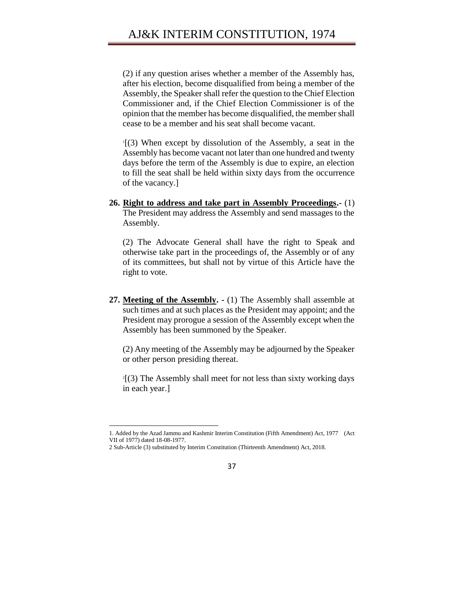(2) if any question arises whether a member of the Assembly has, after his election, become disqualified from being a member of the Assembly, the Speaker shall refer the question to the Chief Election Commissioner and, if the Chief Election Commissioner is of the opinion that the member has become disqualified, the member shall cease to be a member and his seat shall become vacant.

1 [(3) When except by dissolution of the Assembly, a seat in the Assembly has become vacant not later than one hundred and twenty days before the term of the Assembly is due to expire, an election to fill the seat shall be held within sixty days from the occurrence of the vacancy.]

**26. Right to address and take part in Assembly Proceedings.-** (1) The President may address the Assembly and send massages to the Assembly.

(2) The Advocate General shall have the right to Speak and otherwise take part in the proceedings of, the Assembly or of any of its committees, but shall not by virtue of this Article have the right to vote.

**27. Meeting of the Assembly. -** (1) The Assembly shall assemble at such times and at such places as the President may appoint; and the President may prorogue a session of the Assembly except when the Assembly has been summoned by the Speaker.

(2) Any meeting of the Assembly may be adjourned by the Speaker or other person presiding thereat.

 $2[3]$  The Assembly shall meet for not less than sixty working days in each year.]

<sup>1.</sup> Added by the Azad Jammu and Kashmir Interim Constitution (Fifth Amendment) Act, 1977 (Act VII of 1977) dated 18-08-1977.

<sup>2</sup> Sub-Article (3) substituted by Interim Constitution (Thirteenth Amendment) Act, 2018.

<sup>37</sup>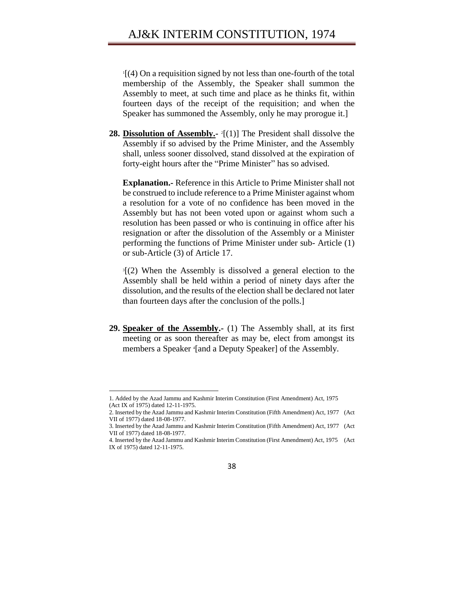1 [(4) On a requisition signed by not less than one-fourth of the total membership of the Assembly, the Speaker shall summon the Assembly to meet, at such time and place as he thinks fit, within fourteen days of the receipt of the requisition; and when the Speaker has summoned the Assembly, only he may prorogue it.]

**28. Dissolution of Assembly.**  $\cdot$  <sup>2</sup>[(1)] The President shall dissolve the Assembly if so advised by the Prime Minister, and the Assembly shall, unless sooner dissolved, stand dissolved at the expiration of forty-eight hours after the "Prime Minister" has so advised.

**Explanation.-** Reference in this Article to Prime Minister shall not be construed to include reference to a Prime Minister against whom a resolution for a vote of no confidence has been moved in the Assembly but has not been voted upon or against whom such a resolution has been passed or who is continuing in office after his resignation or after the dissolution of the Assembly or a Minister performing the functions of Prime Minister under sub- Article (1) or sub-Article (3) of Article 17.

3 [(2) When the Assembly is dissolved a general election to the Assembly shall be held within a period of ninety days after the dissolution, and the results of the election shall be declared not later than fourteen days after the conclusion of the polls.]

**29. Speaker of the Assembly.-** (1) The Assembly shall, at its first meeting or as soon thereafter as may be, elect from amongst its members a Speaker <sup>4</sup> [and a Deputy Speaker] of the Assembly.

 $\overline{a}$ 

<sup>1.</sup> Added by the Azad Jammu and Kashmir Interim Constitution (First Amendment) Act, 1975 (Act IX of 1975) dated 12-11-1975.

<sup>2.</sup> Inserted by the Azad Jammu and Kashmir Interim Constitution (Fifth Amendment) Act, 1977 (Act VII of 1977) dated 18-08-1977.

<sup>3.</sup> Inserted by the Azad Jammu and Kashmir Interim Constitution (Fifth Amendment) Act, 1977 (Act VII of 1977) dated 18-08-1977.

<sup>4.</sup> Inserted by the Azad Jammu and Kashmir Interim Constitution (First Amendment) Act, 1975 (Act IX of 1975) dated 12-11-1975.

<sup>38</sup>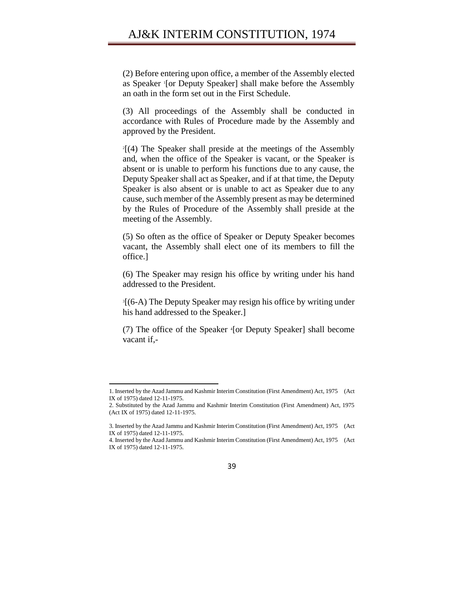(2) Before entering upon office, a member of the Assembly elected as Speaker <sup>1</sup> [or Deputy Speaker] shall make before the Assembly an oath in the form set out in the First Schedule.

(3) All proceedings of the Assembly shall be conducted in accordance with Rules of Procedure made by the Assembly and approved by the President.

2 [(4) The Speaker shall preside at the meetings of the Assembly and, when the office of the Speaker is vacant, or the Speaker is absent or is unable to perform his functions due to any cause, the Deputy Speaker shall act as Speaker, and if at that time, the Deputy Speaker is also absent or is unable to act as Speaker due to any cause, such member of the Assembly present as may be determined by the Rules of Procedure of the Assembly shall preside at the meeting of the Assembly.

(5) So often as the office of Speaker or Deputy Speaker becomes vacant, the Assembly shall elect one of its members to fill the office.]

(6) The Speaker may resign his office by writing under his hand addressed to the President.

3 [(6-A) The Deputy Speaker may resign his office by writing under his hand addressed to the Speaker.]

(7) The office of the Speaker <sup>4</sup> [or Deputy Speaker] shall become vacant if,-

l

<sup>4.</sup> Inserted by the Azad Jammu and Kashmir Interim Constitution (First Amendment) Act, 1975 (Act IX of 1975) dated 12-11-1975.



<sup>1.</sup> Inserted by the Azad Jammu and Kashmir Interim Constitution (First Amendment) Act, 1975 (Act IX of 1975) dated 12-11-1975.

<sup>2.</sup> Substituted by the Azad Jammu and Kashmir Interim Constitution (First Amendment) Act, 1975 (Act IX of 1975) dated 12-11-1975.

<sup>3.</sup> Inserted by the Azad Jammu and Kashmir Interim Constitution (First Amendment) Act, 1975 (Act IX of 1975) dated 12-11-1975.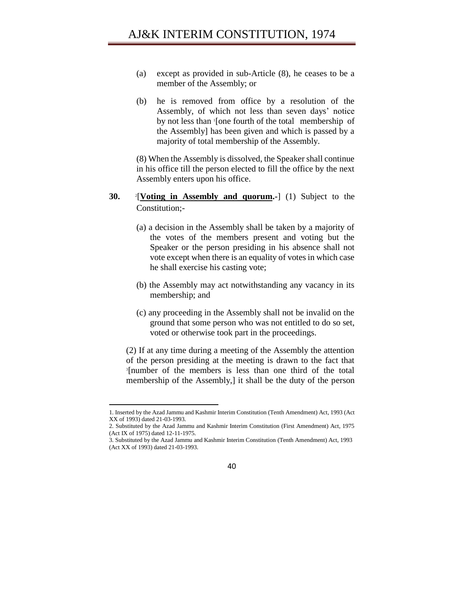- (a) except as provided in sub-Article (8), he ceases to be a member of the Assembly; or
- (b) he is removed from office by a resolution of the Assembly, of which not less than seven days' notice by not less than <sup>1</sup> [one fourth of the total membership of the Assembly] has been given and which is passed by a majority of total membership of the Assembly.

(8) When the Assembly is dissolved, the Speaker shall continue in his office till the person elected to fill the office by the next Assembly enters upon his office.

- **30.**  2 [**Voting in Assembly and quorum.-**] (1) Subject to the Constitution;-
	- (a) a decision in the Assembly shall be taken by a majority of the votes of the members present and voting but the Speaker or the person presiding in his absence shall not vote except when there is an equality of votes in which case he shall exercise his casting vote;
	- (b) the Assembly may act notwithstanding any vacancy in its membership; and
	- (c) any proceeding in the Assembly shall not be invalid on the ground that some person who was not entitled to do so set, voted or otherwise took part in the proceedings.

(2) If at any time during a meeting of the Assembly the attention of the person presiding at the meeting is drawn to the fact that 3 [number of the members is less than one third of the total membership of the Assembly,] it shall be the duty of the person

 $\overline{a}$ 

<sup>3.</sup> Substituted by the Azad Jammu and Kashmir Interim Constitution (Tenth Amendment) Act, 1993 (Act XX of 1993) dated 21-03-1993.



<sup>1.</sup> Inserted by the Azad Jammu and Kashmir Interim Constitution (Tenth Amendment) Act, 1993 (Act XX of 1993) dated 21-03-1993.

<sup>2.</sup> Substituted by the Azad Jammu and Kashmir Interim Constitution (First Amendment) Act, 1975 (Act IX of 1975) dated 12-11-1975.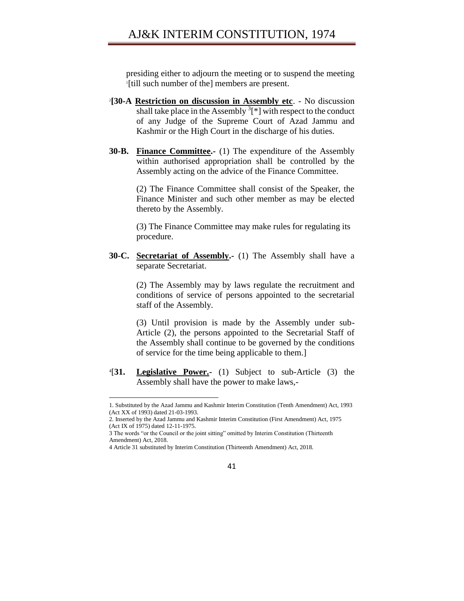presiding either to adjourn the meeting or to suspend the meeting 1 [till such number of the] members are present.

- 2 **[30-A Restriction on discussion in Assembly etc**. No discussion shall take place in the Assembly  ${}^{3}$ [\*] with respect to the conduct of any Judge of the Supreme Court of Azad Jammu and Kashmir or the High Court in the discharge of his duties.
- **30-B. Finance Committee.-** (1) The expenditure of the Assembly within authorised appropriation shall be controlled by the Assembly acting on the advice of the Finance Committee.

(2) The Finance Committee shall consist of the Speaker, the Finance Minister and such other member as may be elected thereto by the Assembly.

(3) The Finance Committee may make rules for regulating its procedure.

**30-C. Secretariat of Assembly.-** (1) The Assembly shall have a separate Secretariat.

> (2) The Assembly may by laws regulate the recruitment and conditions of service of persons appointed to the secretarial staff of the Assembly.

> (3) Until provision is made by the Assembly under sub-Article (2), the persons appointed to the Secretarial Staff of the Assembly shall continue to be governed by the conditions of service for the time being applicable to them.]

 $4[31]$ **Legislative Power.-** (1) Subject to sub-Article (3) the Assembly shall have the power to make laws,-

l



<sup>1.</sup> Substituted by the Azad Jammu and Kashmir Interim Constitution (Tenth Amendment) Act, 1993 (Act XX of 1993) dated 21-03-1993.

<sup>2.</sup> Inserted by the Azad Jammu and Kashmir Interim Constitution (First Amendment) Act, 1975 (Act IX of 1975) dated 12-11-1975.

<sup>3</sup> The words "or the Council or the joint sitting" omitted by Interim Constitution (Thirteenth Amendment) Act, 2018.

<sup>4</sup> Article 31 substituted by Interim Constitution (Thirteenth Amendment) Act, 2018.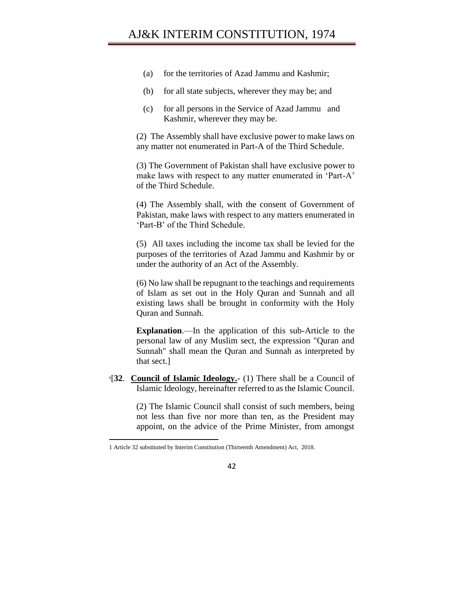- (a) for the territories of Azad Jammu and Kashmir;
- (b) for all state subjects, wherever they may be; and
- (c) for all persons in the Service of Azad Jammu and Kashmir, wherever they may be.

(2) The Assembly shall have exclusive power to make laws on any matter not enumerated in Part-A of the Third Schedule.

(3) The Government of Pakistan shall have exclusive power to make laws with respect to any matter enumerated in 'Part-A' of the Third Schedule.

(4) The Assembly shall, with the consent of Government of Pakistan, make laws with respect to any matters enumerated in 'Part-B' of the Third Schedule.

(5) All taxes including the income tax shall be levied for the purposes of the territories of Azad Jammu and Kashmir by or under the authority of an Act of the Assembly.

(6) No law shall be repugnant to the teachings and requirements of Islam as set out in the Holy Quran and Sunnah and all existing laws shall be brought in conformity with the Holy Quran and Sunnah.

**Explanation**.—In the application of this sub-Article to the personal law of any Muslim sect, the expression "Quran and Sunnah" shall mean the Quran and Sunnah as interpreted by that sect.]

**1** [**32**. **Council of Islamic Ideology.**- (1) There shall be a Council of Islamic Ideology, hereinafter referred to as the Islamic Council.

> (2) The Islamic Council shall consist of such members, being not less than five nor more than ten, as the President may appoint, on the advice of the Prime Minister, from amongst



<sup>1</sup> Article 32 substituted by Interim Constitution (Thirteenth Amendment) Act, 2018.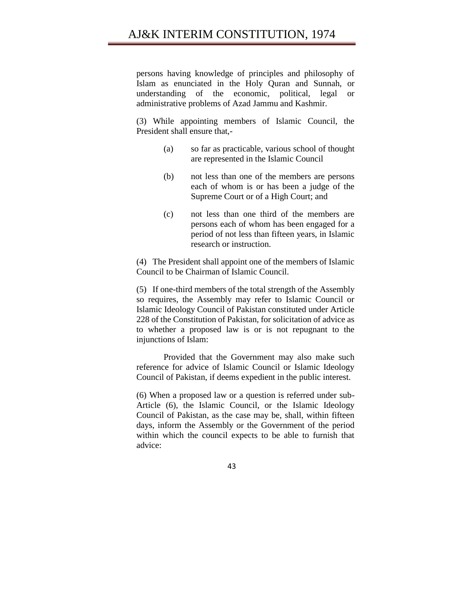persons having knowledge of principles and philosophy of Islam as enunciated in the Holy Quran and Sunnah, or understanding of the economic, political, legal or administrative problems of Azad Jammu and Kashmir.

(3) While appointing members of Islamic Council, the President shall ensure that,-

- (a) so far as practicable, various school of thought are represented in the Islamic Council
- (b) not less than one of the members are persons each of whom is or has been a judge of the Supreme Court or of a High Court; and
- (c) not less than one third of the members are persons each of whom has been engaged for a period of not less than fifteen years, in Islamic research or instruction.

(4) The President shall appoint one of the members of Islamic Council to be Chairman of Islamic Council.

(5) If one-third members of the total strength of the Assembly so requires, the Assembly may refer to Islamic Council or Islamic Ideology Council of Pakistan constituted under Article 228 of the Constitution of Pakistan, for solicitation of advice as to whether a proposed law is or is not repugnant to the injunctions of Islam:

Provided that the Government may also make such reference for advice of Islamic Council or Islamic Ideology Council of Pakistan, if deems expedient in the public interest.

(6) When a proposed law or a question is referred under sub-Article (6), the Islamic Council, or the Islamic Ideology Council of Pakistan, as the case may be, shall, within fifteen days, inform the Assembly or the Government of the period within which the council expects to be able to furnish that advice:

43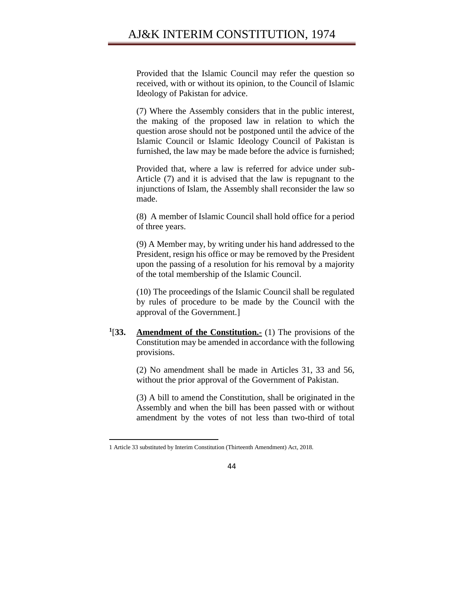Provided that the Islamic Council may refer the question so received, with or without its opinion, to the Council of Islamic Ideology of Pakistan for advice.

(7) Where the Assembly considers that in the public interest, the making of the proposed law in relation to which the question arose should not be postponed until the advice of the Islamic Council or Islamic Ideology Council of Pakistan is furnished, the law may be made before the advice is furnished;

Provided that, where a law is referred for advice under sub-Article (7) and it is advised that the law is repugnant to the injunctions of Islam, the Assembly shall reconsider the law so made.

(8) A member of Islamic Council shall hold office for a period of three years.

(9) A Member may, by writing under his hand addressed to the President, resign his office or may be removed by the President upon the passing of a resolution for his removal by a majority of the total membership of the Islamic Council.

(10) The proceedings of the Islamic Council shall be regulated by rules of procedure to be made by the Council with the approval of the Government.]

 $1$ [33.] **<u>Amendment of the Constitution.-</u>** (1) The provisions of the Constitution may be amended in accordance with the following provisions.

> (2) No amendment shall be made in Articles 31, 33 and 56, without the prior approval of the Government of Pakistan.

> (3) A bill to amend the Constitution, shall be originated in the Assembly and when the bill has been passed with or without amendment by the votes of not less than two-third of total

<sup>1</sup> Article 33 substituted by Interim Constitution (Thirteenth Amendment) Act, 2018.

<sup>44</sup>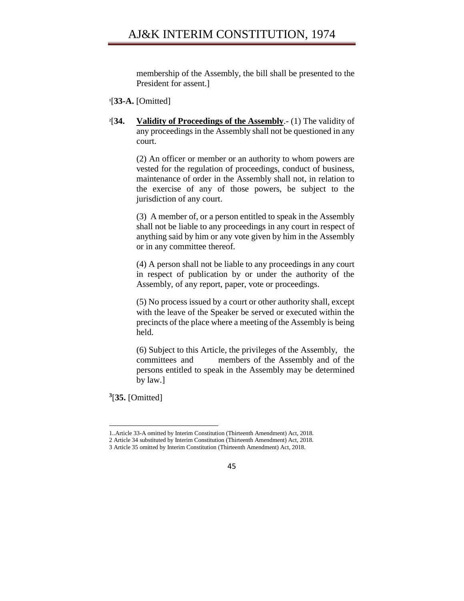membership of the Assembly, the bill shall be presented to the President for assent.]

- **1** [**33-A.** [Omitted]
- $2[34]$ [**34. Validity of Proceedings of the Assembly**.- (1) The validity of any proceedings in the Assembly shall not be questioned in any court.

(2) An officer or member or an authority to whom powers are vested for the regulation of proceedings, conduct of business, maintenance of order in the Assembly shall not, in relation to the exercise of any of those powers, be subject to the jurisdiction of any court.

(3) A member of, or a person entitled to speak in the Assembly shall not be liable to any proceedings in any court in respect of anything said by him or any vote given by him in the Assembly or in any committee thereof.

(4) A person shall not be liable to any proceedings in any court in respect of publication by or under the authority of the Assembly, of any report, paper, vote or proceedings.

(5) No process issued by a court or other authority shall, except with the leave of the Speaker be served or executed within the precincts of the place where a meeting of the Assembly is being held.

(6) Subject to this Article, the privileges of the Assembly, the committees and members of the Assembly and of the persons entitled to speak in the Assembly may be determined by law.]

**3** [**35.** [Omitted]

<sup>1..</sup>Article 33-A omitted by Interim Constitution (Thirteenth Amendment) Act, 2018. 2 Article 34 substituted by Interim Constitution (Thirteenth Amendment) Act, 2018. 3 Article 35 omitted by Interim Constitution (Thirteenth Amendment) Act, 2018.

<sup>45</sup>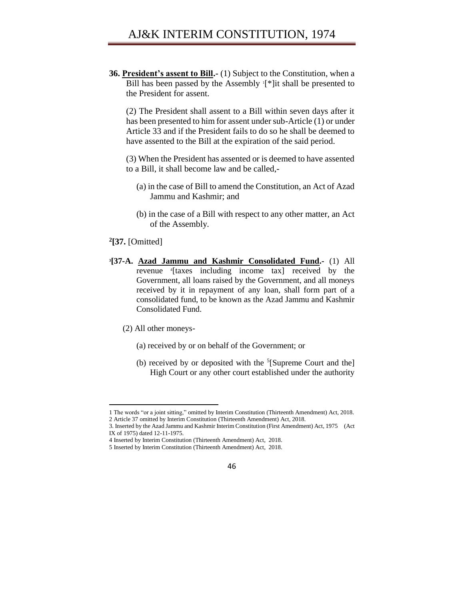**36. President's assent to Bill.-** (1) Subject to the Constitution, when a Bill has been passed by the Assembly '[\*]it shall be presented to the President for assent.

(2) The President shall assent to a Bill within seven days after it has been presented to him for assent under sub-Article (1) or under Article 33 and if the President fails to do so he shall be deemed to have assented to the Bill at the expiration of the said period.

(3) When the President has assented or is deemed to have assented to a Bill, it shall become law and be called,-

- (a) in the case of Bill to amend the Constitution, an Act of Azad Jammu and Kashmir; and
- (b) in the case of a Bill with respect to any other matter, an Act of the Assembly.

#### **2 [37.** [Omitted]

 $\overline{a}$ 

- **3 [37-A. Azad Jammu and Kashmir Consolidated Fund.-** (1) All revenue <sup>4</sup> [taxes including income tax] received by the Government, all loans raised by the Government, and all moneys received by it in repayment of any loan, shall form part of a consolidated fund, to be known as the Azad Jammu and Kashmir Consolidated Fund.
	- (2) All other moneys-
		- (a) received by or on behalf of the Government; or
		- (b) received by or deposited with the <sup>5</sup>[Supreme Court and the] High Court or any other court established under the authority

<sup>1</sup> The words "or a joint sitting," omitted by Interim Constitution (Thirteenth Amendment) Act, 2018.

<sup>2</sup> Article 37 omitted by Interim Constitution (Thirteenth Amendment) Act, 2018.

<sup>3.</sup> Inserted by the Azad Jammu and Kashmir Interim Constitution (First Amendment) Act, 1975 (Act IX of 1975) dated 12-11-1975.

<sup>4</sup> Inserted by Interim Constitution (Thirteenth Amendment) Act, 2018.

<sup>5</sup> Inserted by Interim Constitution (Thirteenth Amendment) Act, 2018.

<sup>46</sup>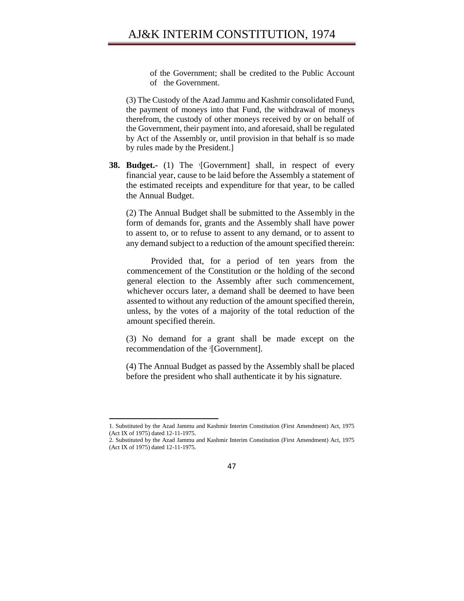of the Government; shall be credited to the Public Account of the Government.

(3) The Custody of the Azad Jammu and Kashmir consolidated Fund, the payment of moneys into that Fund, the withdrawal of moneys therefrom, the custody of other moneys received by or on behalf of the Government, their payment into, and aforesaid, shall be regulated by Act of the Assembly or, until provision in that behalf is so made by rules made by the President.]

**38. Budget.-** (1) The <sup>1</sup> [Government] shall, in respect of every financial year, cause to be laid before the Assembly a statement of the estimated receipts and expenditure for that year, to be called the Annual Budget.

(2) The Annual Budget shall be submitted to the Assembly in the form of demands for, grants and the Assembly shall have power to assent to, or to refuse to assent to any demand, or to assent to any demand subject to a reduction of the amount specified therein:

Provided that, for a period of ten years from the commencement of the Constitution or the holding of the second general election to the Assembly after such commencement, whichever occurs later, a demand shall be deemed to have been assented to without any reduction of the amount specified therein, unless, by the votes of a majority of the total reduction of the amount specified therein.

(3) No demand for a grant shall be made except on the recommendation of the <sup>2</sup>[Government].

(4) The Annual Budget as passed by the Assembly shall be placed before the president who shall authenticate it by his signature.

<sup>1.</sup> Substituted by the Azad Jammu and Kashmir Interim Constitution (First Amendment) Act, 1975 (Act IX of 1975) dated 12-11-1975.

<sup>2.</sup> Substituted by the Azad Jammu and Kashmir Interim Constitution (First Amendment) Act, 1975 (Act IX of 1975) dated 12-11-1975.

<sup>47</sup>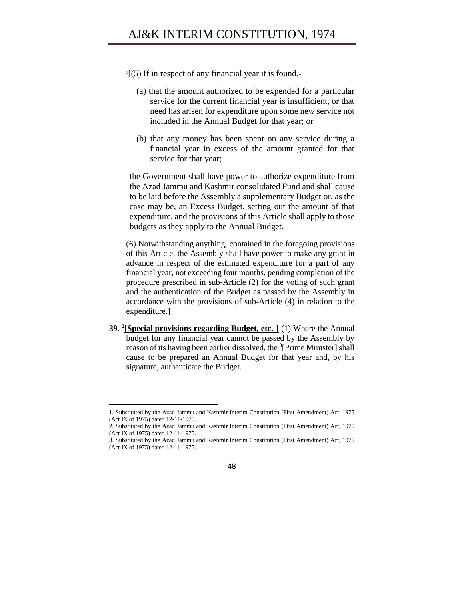- $\Gamma$ [(5) If in respect of any financial year it is found,-
	- (a) that the amount authorized to be expended for a particular service for the current financial year is insufficient, or that need has arisen for expenditure upon some new service not included in the Annual Budget for that year; or
	- (b) that any money has been spent on any service during a financial year in excess of the amount granted for that service for that year;

the Government shall have power to authorize expenditure from the Azad Jammu and Kashmir consolidated Fund and shall cause to be laid before the Assembly a supplementary Budget or, as the case may be, an Excess Budget, setting out the amount of that expenditure, and the provisions of this Article shall apply to those budgets as they apply to the Annual Budget.

(6) Notwithstanding anything, contained in the foregoing provisions of this Article, the Assembly shall have power to make any grant in advance in respect of the estimated expenditure for a part of any financial year, not exceeding four months, pending completion of the procedure prescribed in sub-Article (2) for the voting of such grant and the authentication of the Budget as passed by the Assembly in accordance with the provisions of sub-Article (4) in relation to the expenditure.]

**39. <sup>2</sup> [Special provisions regarding Budget, etc.-]** (1) Where the Annual budget for any financial year cannot be passed by the Assembly by reason of its having been earlier dissolved, the <sup>3</sup>[Prime Minister] shall cause to be prepared an Annual Budget for that year and, by his signature, authenticate the Budget.

 $\overline{a}$ 

<sup>3.</sup> Substituted by the Azad Jammu and Kashmir Interim Constitution (First Amendment) Act, 1975 (Act IX of 1975) dated 12-11-1975.



<sup>1.</sup> Substituted by the Azad Jammu and Kashmir Interim Constitution (First Amendment) Act, 1975 (Act IX of 1975) dated 12-11-1975.

<sup>2.</sup> Substituted by the Azad Jammu and Kashmir Interim Constitution (First Amendment) Act, 1975 (Act IX of 1975) dated 12-11-1975.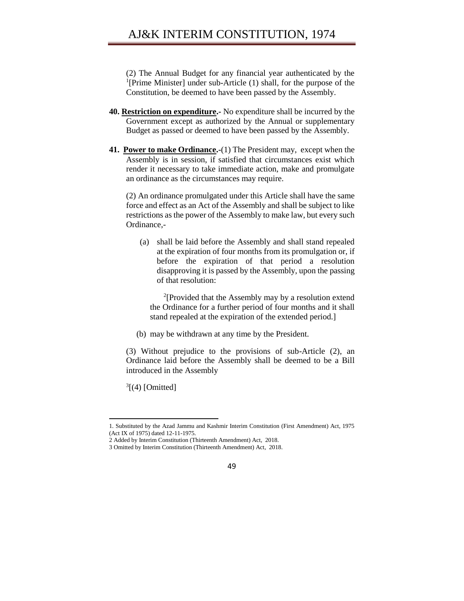(2) The Annual Budget for any financial year authenticated by the <sup>1</sup>[Prime Minister] under sub-Article (1) shall, for the purpose of the Constitution, be deemed to have been passed by the Assembly.

- **40. Restriction on expenditure.-** No expenditure shall be incurred by the Government except as authorized by the Annual or supplementary Budget as passed or deemed to have been passed by the Assembly.
- **41. Power to make Ordinance.-**(1) The President may, except when the Assembly is in session, if satisfied that circumstances exist which render it necessary to take immediate action, make and promulgate an ordinance as the circumstances may require.

(2) An ordinance promulgated under this Article shall have the same force and effect as an Act of the Assembly and shall be subject to like restrictions as the power of the Assembly to make law, but every such Ordinance,-

(a) shall be laid before the Assembly and shall stand repealed at the expiration of four months from its promulgation or, if before the expiration of that period a resolution disapproving it is passed by the Assembly, upon the passing of that resolution:

2 [Provided that the Assembly may by a resolution extend the Ordinance for a further period of four months and it shall stand repealed at the expiration of the extended period.]

(b) may be withdrawn at any time by the President.

(3) Without prejudice to the provisions of sub-Article (2), an Ordinance laid before the Assembly shall be deemed to be a Bill introduced in the Assembly

 $3[$ (4) [Omitted]

<sup>1.</sup> Substituted by the Azad Jammu and Kashmir Interim Constitution (First Amendment) Act, 1975 (Act IX of 1975) dated 12-11-1975.

<sup>2</sup> Added by Interim Constitution (Thirteenth Amendment) Act, 2018.

<sup>3</sup> Omitted by Interim Constitution (Thirteenth Amendment) Act, 2018.

<sup>49</sup>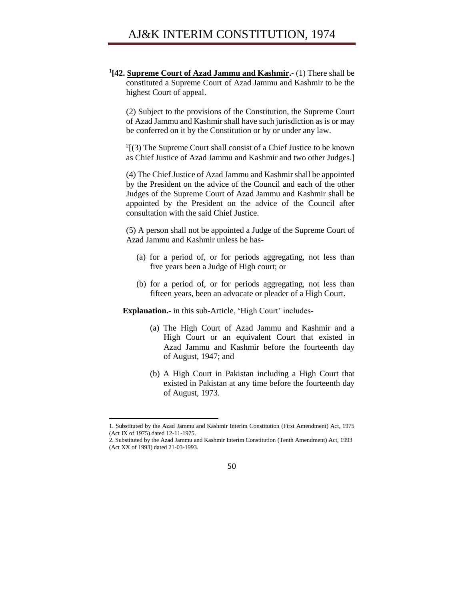**1 [42. Supreme Court of Azad Jammu and Kashmir.-** (1) There shall be constituted a Supreme Court of Azad Jammu and Kashmir to be the highest Court of appeal.

(2) Subject to the provisions of the Constitution, the Supreme Court of Azad Jammu and Kashmir shall have such jurisdiction as is or may be conferred on it by the Constitution or by or under any law.

 $2(3)$  The Supreme Court shall consist of a Chief Justice to be known as Chief Justice of Azad Jammu and Kashmir and two other Judges.]

(4) The Chief Justice of Azad Jammu and Kashmir shall be appointed by the President on the advice of the Council and each of the other Judges of the Supreme Court of Azad Jammu and Kashmir shall be appointed by the President on the advice of the Council after consultation with the said Chief Justice.

(5) A person shall not be appointed a Judge of the Supreme Court of Azad Jammu and Kashmir unless he has-

- (a) for a period of, or for periods aggregating, not less than five years been a Judge of High court; or
- (b) for a period of, or for periods aggregating, not less than fifteen years, been an advocate or pleader of a High Court.

**Explanation.**- in this sub-Article, 'High Court' includes-

- (a) The High Court of Azad Jammu and Kashmir and a High Court or an equivalent Court that existed in Azad Jammu and Kashmir before the fourteenth day of August, 1947; and
- (b) A High Court in Pakistan including a High Court that existed in Pakistan at any time before the fourteenth day of August, 1973.

<sup>2.</sup> Substituted by the Azad Jammu and Kashmir Interim Constitution (Tenth Amendment) Act, 1993 (Act XX of 1993) dated 21-03-1993.



<sup>1.</sup> Substituted by the Azad Jammu and Kashmir Interim Constitution (First Amendment) Act, 1975 (Act IX of 1975) dated 12-11-1975.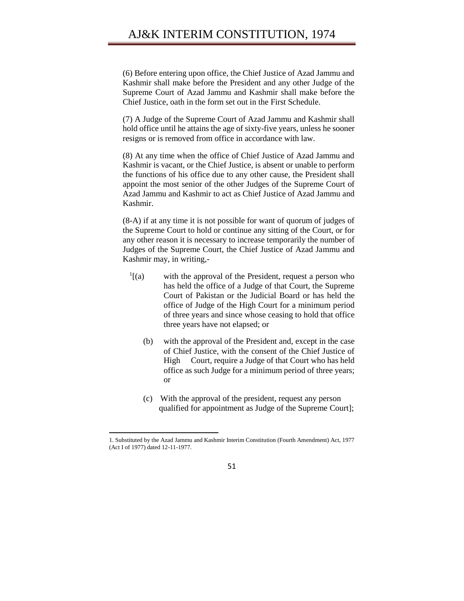(6) Before entering upon office, the Chief Justice of Azad Jammu and Kashmir shall make before the President and any other Judge of the Supreme Court of Azad Jammu and Kashmir shall make before the Chief Justice, oath in the form set out in the First Schedule.

(7) A Judge of the Supreme Court of Azad Jammu and Kashmir shall hold office until he attains the age of sixty-five years, unless he sooner resigns or is removed from office in accordance with law.

(8) At any time when the office of Chief Justice of Azad Jammu and Kashmir is vacant, or the Chief Justice, is absent or unable to perform the functions of his office due to any other cause, the President shall appoint the most senior of the other Judges of the Supreme Court of Azad Jammu and Kashmir to act as Chief Justice of Azad Jammu and Kashmir.

(8-A) if at any time it is not possible for want of quorum of judges of the Supreme Court to hold or continue any sitting of the Court, or for any other reason it is necessary to increase temporarily the number of Judges of the Supreme Court, the Chief Justice of Azad Jammu and Kashmir may, in writing,-

- $\frac{1}{a}$ [(a) with the approval of the President, request a person who has held the office of a Judge of that Court, the Supreme Court of Pakistan or the Judicial Board or has held the office of Judge of the High Court for a minimum period of three years and since whose ceasing to hold that office three years have not elapsed; or
	- (b) with the approval of the President and, except in the case of Chief Justice, with the consent of the Chief Justice of High Court, require a Judge of that Court who has held office as such Judge for a minimum period of three years; or
	- (c) With the approval of the president, request any person qualified for appointment as Judge of the Supreme Court];

l



<sup>1.</sup> Substituted by the Azad Jammu and Kashmir Interim Constitution (Fourth Amendment) Act, 1977 (Act I of 1977) dated 12-11-1977.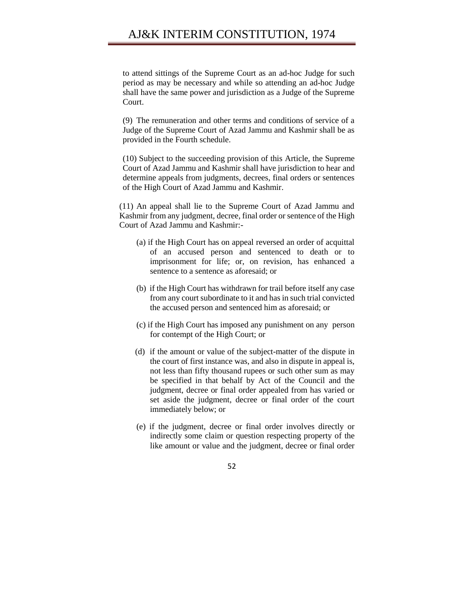# AJ&K INTERIM CONSTITUTION, 1974

to attend sittings of the Supreme Court as an ad-hoc Judge for such period as may be necessary and while so attending an ad-hoc Judge shall have the same power and jurisdiction as a Judge of the Supreme Court.

(9) The remuneration and other terms and conditions of service of a Judge of the Supreme Court of Azad Jammu and Kashmir shall be as provided in the Fourth schedule.

(10) Subject to the succeeding provision of this Article, the Supreme Court of Azad Jammu and Kashmir shall have jurisdiction to hear and determine appeals from judgments, decrees, final orders or sentences of the High Court of Azad Jammu and Kashmir.

(11) An appeal shall lie to the Supreme Court of Azad Jammu and Kashmir from any judgment, decree, final order or sentence of the High Court of Azad Jammu and Kashmir:-

- (a) if the High Court has on appeal reversed an order of acquittal of an accused person and sentenced to death or to imprisonment for life; or, on revision, has enhanced a sentence to a sentence as aforesaid; or
- (b) if the High Court has withdrawn for trail before itself any case from any court subordinate to it and has in such trial convicted the accused person and sentenced him as aforesaid; or
- (c) if the High Court has imposed any punishment on any person for contempt of the High Court; or
- (d) if the amount or value of the subject-matter of the dispute in the court of first instance was, and also in dispute in appeal is, not less than fifty thousand rupees or such other sum as may be specified in that behalf by Act of the Council and the judgment, decree or final order appealed from has varied or set aside the judgment, decree or final order of the court immediately below; or
- (e) if the judgment, decree or final order involves directly or indirectly some claim or question respecting property of the like amount or value and the judgment, decree or final order

#### 52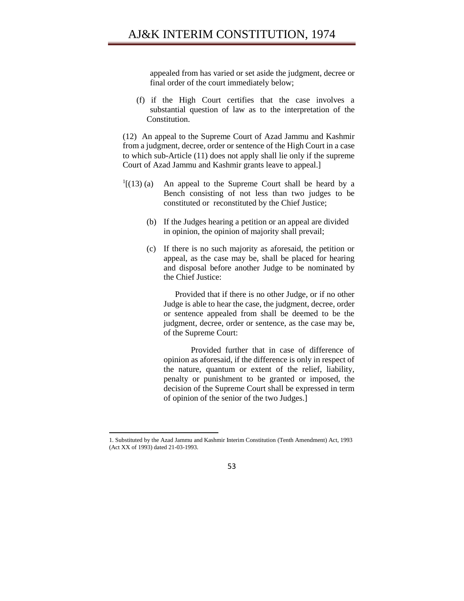appealed from has varied or set aside the judgment, decree or final order of the court immediately below;

(f) if the High Court certifies that the case involves a substantial question of law as to the interpretation of the Constitution.

(12) An appeal to the Supreme Court of Azad Jammu and Kashmir from a judgment, decree, order or sentence of the High Court in a case to which sub-Article (11) does not apply shall lie only if the supreme Court of Azad Jammu and Kashmir grants leave to appeal.]

- $1[(13)(a)$  An appeal to the Supreme Court shall be heard by a Bench consisting of not less than two judges to be constituted or reconstituted by the Chief Justice;
	- (b) If the Judges hearing a petition or an appeal are divided in opinion, the opinion of majority shall prevail;
	- (c) If there is no such majority as aforesaid, the petition or appeal, as the case may be, shall be placed for hearing and disposal before another Judge to be nominated by the Chief Justice:

Provided that if there is no other Judge, or if no other Judge is able to hear the case, the judgment, decree, order or sentence appealed from shall be deemed to be the judgment, decree, order or sentence, as the case may be, of the Supreme Court:

Provided further that in case of difference of opinion as aforesaid, if the difference is only in respect of the nature, quantum or extent of the relief, liability, penalty or punishment to be granted or imposed, the decision of the Supreme Court shall be expressed in term of opinion of the senior of the two Judges.]

l

<sup>1.</sup> Substituted by the Azad Jammu and Kashmir Interim Constitution (Tenth Amendment) Act, 1993 (Act XX of 1993) dated 21-03-1993.

<sup>53</sup>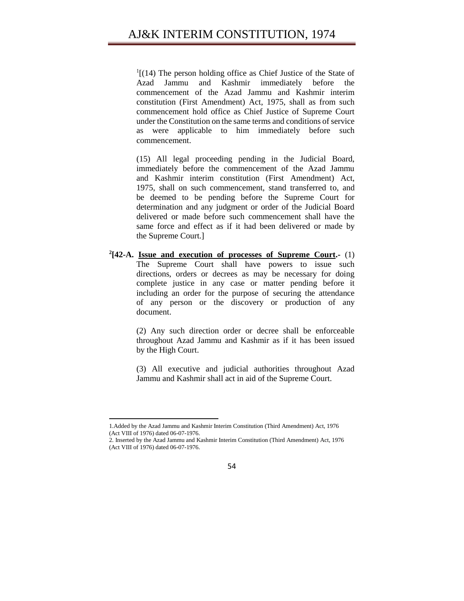$<sup>1</sup>$ [(14) The person holding office as Chief Justice of the State of</sup> Azad Jammu and Kashmir immediately before the commencement of the Azad Jammu and Kashmir interim constitution (First Amendment) Act, 1975, shall as from such commencement hold office as Chief Justice of Supreme Court under the Constitution on the same terms and conditions of service as were applicable to him immediately before such commencement.

(15) All legal proceeding pending in the Judicial Board, immediately before the commencement of the Azad Jammu and Kashmir interim constitution (First Amendment) Act, 1975, shall on such commencement, stand transferred to, and be deemed to be pending before the Supreme Court for determination and any judgment or order of the Judicial Board delivered or made before such commencement shall have the same force and effect as if it had been delivered or made by the Supreme Court.]

**2 [42-A. Issue and execution of processes of Supreme Court.-** (1) The Supreme Court shall have powers to issue such directions, orders or decrees as may be necessary for doing complete justice in any case or matter pending before it including an order for the purpose of securing the attendance of any person or the discovery or production of any document.

> (2) Any such direction order or decree shall be enforceable throughout Azad Jammu and Kashmir as if it has been issued by the High Court.

> (3) All executive and judicial authorities throughout Azad Jammu and Kashmir shall act in aid of the Supreme Court.

<sup>2.</sup> Inserted by the Azad Jammu and Kashmir Interim Constitution (Third Amendment) Act, 1976 (Act VIII of 1976) dated 06-07-1976.



<sup>1.</sup>Added by the Azad Jammu and Kashmir Interim Constitution (Third Amendment) Act, 1976 (Act VIII of 1976) dated 06-07-1976.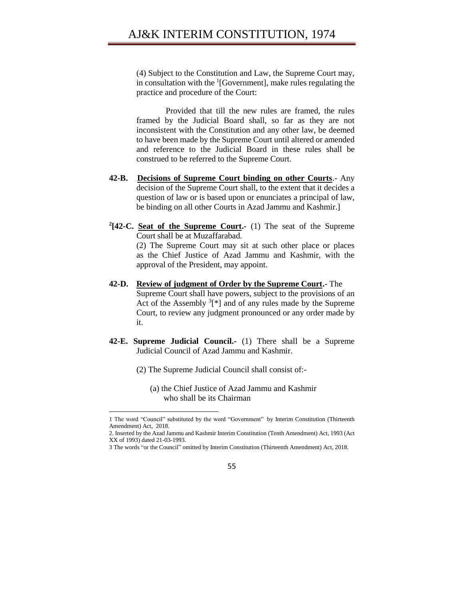(4) Subject to the Constitution and Law, the Supreme Court may, in consultation with the  ${}^{1}[Government]$ , make rules regulating the practice and procedure of the Court:

Provided that till the new rules are framed, the rules framed by the Judicial Board shall, so far as they are not inconsistent with the Constitution and any other law, be deemed to have been made by the Supreme Court until altered or amended and reference to the Judicial Board in these rules shall be construed to be referred to the Supreme Court.

- **42-B. Decisions of Supreme Court binding on other Courts**.- Any decision of the Supreme Court shall, to the extent that it decides a question of law or is based upon or enunciates a principal of law, be binding on all other Courts in Azad Jammu and Kashmir.]
- **2 [42-C. Seat of the Supreme Court.-** (1) The seat of the Supreme Court shall be at Muzaffarabad.

(2) The Supreme Court may sit at such other place or places as the Chief Justice of Azad Jammu and Kashmir, with the approval of the President, may appoint.

- **42-D. Review of judgment of Order by the Supreme Court.** The Supreme Court shall have powers, subject to the provisions of an Act of the Assembly  $3$ [\*] and of any rules made by the Supreme Court, to review any judgment pronounced or any order made by it.
- **42-E. Supreme Judicial Council.-** (1) There shall be a Supreme Judicial Council of Azad Jammu and Kashmir.
	- (2) The Supreme Judicial Council shall consist of:-

 $\overline{\phantom{a}}$ 

(a) the Chief Justice of Azad Jammu and Kashmir who shall be its Chairman

<sup>1</sup> The word "Council" substituted by the word "Government" by Interim Constitution (Thirteenth Amendment) Act, 2018.

<sup>2.</sup> Inserted by the Azad Jammu and Kashmir Interim Constitution (Tenth Amendment) Act, 1993 (Act XX of 1993) dated 21-03-1993.

<sup>3</sup> The words "or the Council" omitted by Interim Constitution (Thirteenth Amendment) Act, 2018.

<sup>55</sup>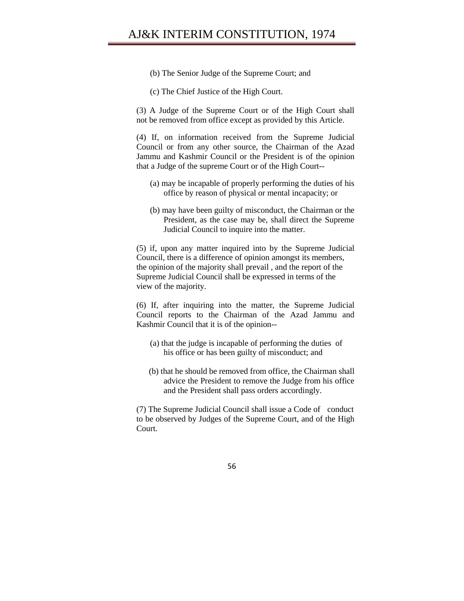# AJ&K INTERIM CONSTITUTION, 1974

- (b) The Senior Judge of the Supreme Court; and
- (c) The Chief Justice of the High Court.

(3) A Judge of the Supreme Court or of the High Court shall not be removed from office except as provided by this Article.

(4) If, on information received from the Supreme Judicial Council or from any other source, the Chairman of the Azad Jammu and Kashmir Council or the President is of the opinion that a Judge of the supreme Court or of the High Court--

- (a) may be incapable of properly performing the duties of his office by reason of physical or mental incapacity; or
- (b) may have been guilty of misconduct, the Chairman or the President, as the case may be, shall direct the Supreme Judicial Council to inquire into the matter.

(5) if, upon any matter inquired into by the Supreme Judicial Council, there is a difference of opinion amongst its members, the opinion of the majority shall prevail , and the report of the Supreme Judicial Council shall be expressed in terms of the view of the majority.

(6) If, after inquiring into the matter, the Supreme Judicial Council reports to the Chairman of the Azad Jammu and Kashmir Council that it is of the opinion--

- (a) that the judge is incapable of performing the duties of his office or has been guilty of misconduct; and
- (b) that he should be removed from office, the Chairman shall advice the President to remove the Judge from his office and the President shall pass orders accordingly.

(7) The Supreme Judicial Council shall issue a Code of conduct to be observed by Judges of the Supreme Court, and of the High Court.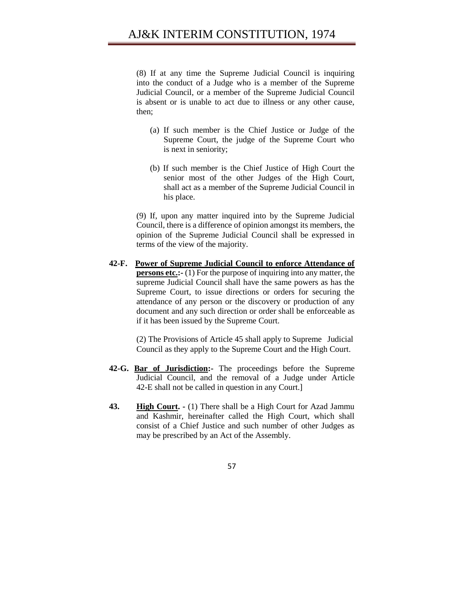(8) If at any time the Supreme Judicial Council is inquiring into the conduct of a Judge who is a member of the Supreme Judicial Council, or a member of the Supreme Judicial Council is absent or is unable to act due to illness or any other cause, then;

- (a) If such member is the Chief Justice or Judge of the Supreme Court, the judge of the Supreme Court who is next in seniority;
- (b) If such member is the Chief Justice of High Court the senior most of the other Judges of the High Court, shall act as a member of the Supreme Judicial Council in his place.

(9) If, upon any matter inquired into by the Supreme Judicial Council, there is a difference of opinion amongst its members, the opinion of the Supreme Judicial Council shall be expressed in terms of the view of the majority.

**42-F. Power of Supreme Judicial Council to enforce Attendance of persons etc.:-** (1) For the purpose of inquiring into any matter, the supreme Judicial Council shall have the same powers as has the Supreme Court, to issue directions or orders for securing the attendance of any person or the discovery or production of any document and any such direction or order shall be enforceable as if it has been issued by the Supreme Court.

> (2) The Provisions of Article 45 shall apply to Supreme Judicial Council as they apply to the Supreme Court and the High Court.

- **42-G. Bar of Jurisdiction:-** The proceedings before the Supreme Judicial Council, and the removal of a Judge under Article 42-E shall not be called in question in any Court.]
- **43. High Court. -** (1) There shall be a High Court for Azad Jammu and Kashmir, hereinafter called the High Court, which shall consist of a Chief Justice and such number of other Judges as may be prescribed by an Act of the Assembly.

57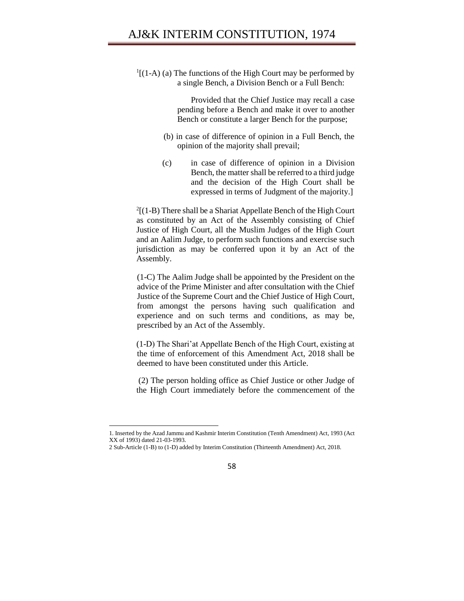$<sup>1</sup>$ [(1-A) (a) The functions of the High Court may be performed by</sup> a single Bench, a Division Bench or a Full Bench:

> Provided that the Chief Justice may recall a case pending before a Bench and make it over to another Bench or constitute a larger Bench for the purpose;

- (b) in case of difference of opinion in a Full Bench, the opinion of the majority shall prevail;
- (c) in case of difference of opinion in a Division Bench, the matter shall be referred to a third judge and the decision of the High Court shall be expressed in terms of Judgment of the majority.]

 $2(1-B)$  There shall be a Shariat Appellate Bench of the High Court as constituted by an Act of the Assembly consisting of Chief Justice of High Court, all the Muslim Judges of the High Court and an Aalim Judge, to perform such functions and exercise such jurisdiction as may be conferred upon it by an Act of the Assembly.

(1-C) The Aalim Judge shall be appointed by the President on the advice of the Prime Minister and after consultation with the Chief Justice of the Supreme Court and the Chief Justice of High Court, from amongst the persons having such qualification and experience and on such terms and conditions, as may be, prescribed by an Act of the Assembly.

(1-D) The Shari'at Appellate Bench of the High Court, existing at the time of enforcement of this Amendment Act, 2018 shall be deemed to have been constituted under this Article.

(2) The person holding office as Chief Justice or other Judge of the High Court immediately before the commencement of the



<sup>1.</sup> Inserted by the Azad Jammu and Kashmir Interim Constitution (Tenth Amendment) Act, 1993 (Act XX of 1993) dated 21-03-1993.

<sup>2</sup> Sub-Article (1-B) to (1-D) added by Interim Constitution (Thirteenth Amendment) Act, 2018.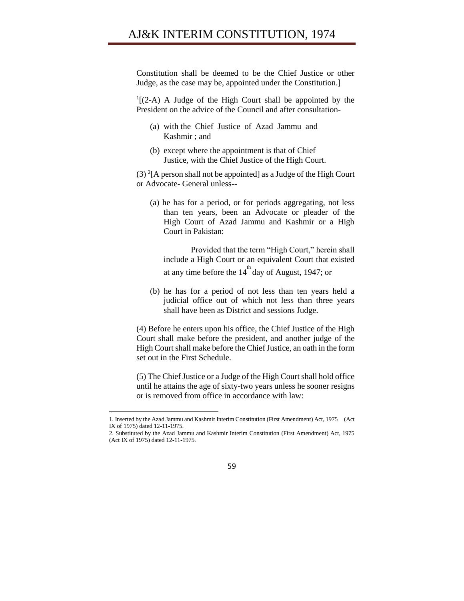Constitution shall be deemed to be the Chief Justice or other Judge, as the case may be, appointed under the Constitution.]

 $<sup>1</sup>$ [(2-A) A Judge of the High Court shall be appointed by the</sup> President on the advice of the Council and after consultation-

- (a) with the Chief Justice of Azad Jammu and Kashmir ; and
- (b) except where the appointment is that of Chief Justice, with the Chief Justice of the High Court.

(3)  ${}^{2}$ [A person shall not be appointed] as a Judge of the High Court or Advocate- General unless--

(a) he has for a period, or for periods aggregating, not less than ten years, been an Advocate or pleader of the High Court of Azad Jammu and Kashmir or a High Court in Pakistan:

Provided that the term "High Court," herein shall include a High Court or an equivalent Court that existed at any time before the  $14<sup>th</sup>$  day of August, 1947; or

(b) he has for a period of not less than ten years held a judicial office out of which not less than three years shall have been as District and sessions Judge.

(4) Before he enters upon his office, the Chief Justice of the High Court shall make before the president, and another judge of the High Court shall make before the Chief Justice, an oath in the form set out in the First Schedule.

(5) The Chief Justice or a Judge of the High Court shall hold office until he attains the age of sixty-two years unless he sooner resigns or is removed from office in accordance with law:

<sup>2.</sup> Substituted by the Azad Jammu and Kashmir Interim Constitution (First Amendment) Act, 1975 (Act IX of 1975) dated 12-11-1975.



<sup>1.</sup> Inserted by the Azad Jammu and Kashmir Interim Constitution (First Amendment) Act, 1975 (Act IX of 1975) dated 12-11-1975.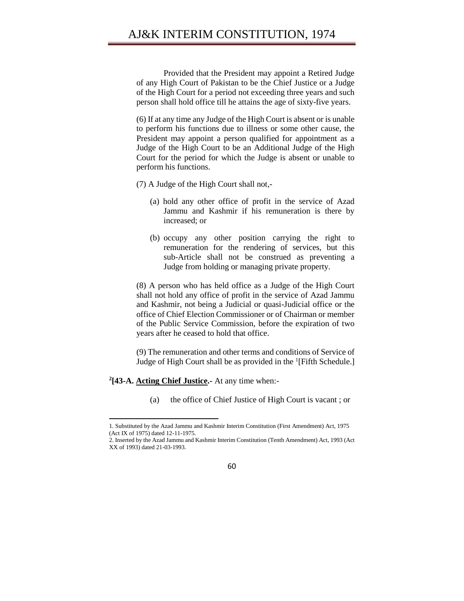## AJ&K INTERIM CONSTITUTION, 1974

Provided that the President may appoint a Retired Judge of any High Court of Pakistan to be the Chief Justice or a Judge of the High Court for a period not exceeding three years and such person shall hold office till he attains the age of sixty-five years.

(6) If at any time any Judge of the High Court is absent or is unable to perform his functions due to illness or some other cause, the President may appoint a person qualified for appointment as a Judge of the High Court to be an Additional Judge of the High Court for the period for which the Judge is absent or unable to perform his functions.

(7) A Judge of the High Court shall not,-

- (a) hold any other office of profit in the service of Azad Jammu and Kashmir if his remuneration is there by increased; or
- (b) occupy any other position carrying the right to remuneration for the rendering of services, but this sub-Article shall not be construed as preventing a Judge from holding or managing private property.

(8) A person who has held office as a Judge of the High Court shall not hold any office of profit in the service of Azad Jammu and Kashmir, not being a Judicial or quasi-Judicial office or the office of Chief Election Commissioner or of Chairman or member of the Public Service Commission, before the expiration of two years after he ceased to hold that office.

(9) The remuneration and other terms and conditions of Service of Judge of High Court shall be as provided in the <sup>1</sup>[Fifth Schedule.]

#### **2 [43-A. Acting Chief Justice.-** At any time when:-

 $\overline{\phantom{a}}$ 

(a) the office of Chief Justice of High Court is vacant ; or

<sup>2.</sup> Inserted by the Azad Jammu and Kashmir Interim Constitution (Tenth Amendment) Act, 1993 (Act XX of 1993) dated 21-03-1993.



<sup>1.</sup> Substituted by the Azad Jammu and Kashmir Interim Constitution (First Amendment) Act, 1975 (Act IX of 1975) dated 12-11-1975.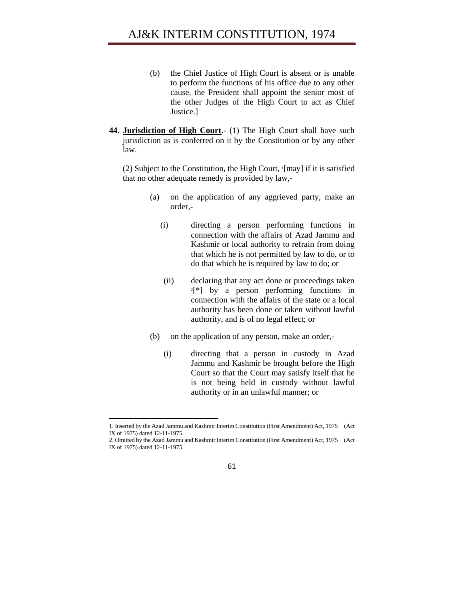- (b) the Chief Justice of High Court is absent or is unable to perform the functions of his office due to any other cause, the President shall appoint the senior most of the other Judges of the High Court to act as Chief Justice.]
- **44. Jurisdiction of High Court.-** (1) The High Court shall have such jurisdiction as is conferred on it by the Constitution or by any other law.

(2) Subject to the Constitution, the High Court, 1 [may] if it is satisfied that no other adequate remedy is provided by law,-

- (a) on the application of any aggrieved party, make an order,-
	- (i) directing a person performing functions in connection with the affairs of Azad Jammu and Kashmir or local authority to refrain from doing that which he is not permitted by law to do, or to do that which he is required by law to do; or
	- (ii) declaring that any act done or proceedings taken 2 [\*] by a person performing functions in connection with the affairs of the state or a local authority has been done or taken without lawful authority, and is of no legal effect; or
- (b) on the application of any person, make an order,-
	- (i) directing that a person in custody in Azad Jammu and Kashmir be brought before the High Court so that the Court may satisfy itself that he is not being held in custody without lawful authority or in an unlawful manner; or

<sup>2.</sup> Omitted by the Azad Jammu and Kashmir Interim Constitution (First Amendment) Act, 1975 (Act IX of 1975) dated 12-11-1975.



<sup>1.</sup> Inserted by the Azad Jammu and Kashmir Interim Constitution (First Amendment) Act, 1975 (Act IX of 1975) dated 12-11-1975.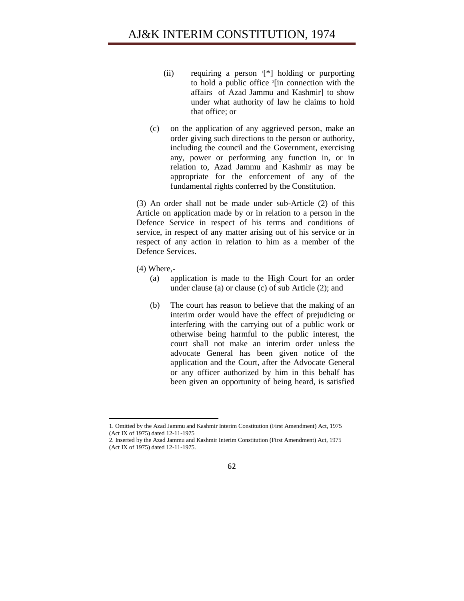- (ii) requiring a person <sup>1</sup> [\*] holding or purporting to hold a public office <sup>2</sup> [in connection with the affairs of Azad Jammu and Kashmir] to show under what authority of law he claims to hold that office; or
- (c) on the application of any aggrieved person, make an order giving such directions to the person or authority, including the council and the Government, exercising any, power or performing any function in, or in relation to, Azad Jammu and Kashmir as may be appropriate for the enforcement of any of the fundamental rights conferred by the Constitution.

(3) An order shall not be made under sub-Article (2) of this Article on application made by or in relation to a person in the Defence Service in respect of his terms and conditions of service, in respect of any matter arising out of his service or in respect of any action in relation to him as a member of the Defence Services.

(4) Where,-

- (a) application is made to the High Court for an order under clause (a) or clause (c) of sub Article (2); and
- (b) The court has reason to believe that the making of an interim order would have the effect of prejudicing or interfering with the carrying out of a public work or otherwise being harmful to the public interest, the court shall not make an interim order unless the advocate General has been given notice of the application and the Court, after the Advocate General or any officer authorized by him in this behalf has been given an opportunity of being heard, is satisfied

<sup>2.</sup> Inserted by the Azad Jammu and Kashmir Interim Constitution (First Amendment) Act, 1975 (Act IX of 1975) dated 12-11-1975.



<sup>1.</sup> Omitted by the Azad Jammu and Kashmir Interim Constitution (First Amendment) Act, 1975 (Act IX of 1975) dated 12-11-1975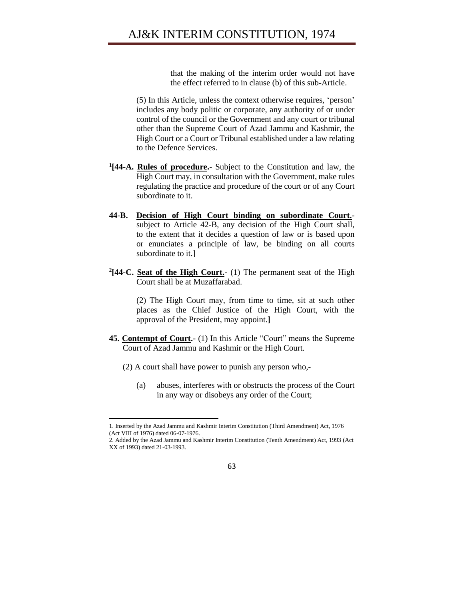that the making of the interim order would not have the effect referred to in clause (b) of this sub-Article.

(5) In this Article, unless the context otherwise requires, 'person' includes any body politic or corporate, any authority of or under control of the council or the Government and any court or tribunal other than the Supreme Court of Azad Jammu and Kashmir, the High Court or a Court or Tribunal established under a law relating to the Defence Services.

- **1 [44-A. Rules of procedure.** Subject to the Constitution and law, the High Court may, in consultation with the Government, make rules regulating the practice and procedure of the court or of any Court subordinate to it.
- **44-B. Decision of High Court binding on subordinate Court.** subject to Article 42-B, any decision of the High Court shall, to the extent that it decides a question of law or is based upon or enunciates a principle of law, be binding on all courts subordinate to it.]
- <sup>2</sup>[44-C. Seat of the High Court.- (1) The permanent seat of the High Court shall be at Muzaffarabad.

(2) The High Court may, from time to time, sit at such other places as the Chief Justice of the High Court, with the approval of the President, may appoint.**]** 

- **45. Contempt of Court.-** (1) In this Article "Court" means the Supreme Court of Azad Jammu and Kashmir or the High Court.
	- (2) A court shall have power to punish any person who,-

 $\overline{\phantom{a}}$ 

(a) abuses, interferes with or obstructs the process of the Court in any way or disobeys any order of the Court;

<sup>1.</sup> Inserted by the Azad Jammu and Kashmir Interim Constitution (Third Amendment) Act, 1976 (Act VIII of 1976) dated 06-07-1976.

<sup>2.</sup> Added by the Azad Jammu and Kashmir Interim Constitution (Tenth Amendment) Act, 1993 (Act XX of 1993) dated 21-03-1993.

<sup>63</sup>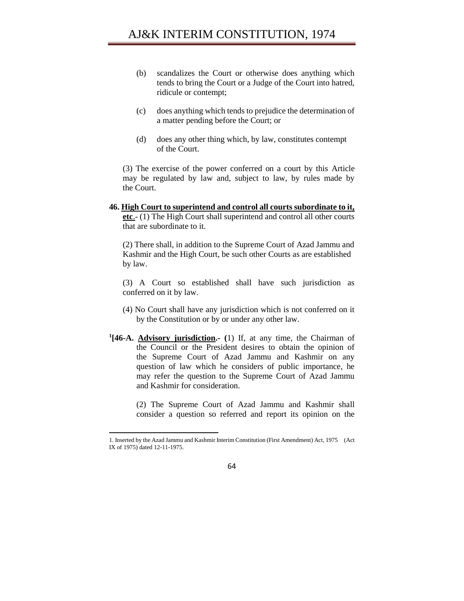- (b) scandalizes the Court or otherwise does anything which tends to bring the Court or a Judge of the Court into hatred, ridicule or contempt;
- (c) does anything which tends to prejudice the determination of a matter pending before the Court; or
- (d) does any other thing which, by law, constitutes contempt of the Court.

(3) The exercise of the power conferred on a court by this Article may be regulated by law and, subject to law, by rules made by the Court.

**46. High Court to superintend and control all courts subordinate to it, etc**.- (1) The High Court shall superintend and control all other courts that are subordinate to it.

(2) There shall, in addition to the Supreme Court of Azad Jammu and Kashmir and the High Court, be such other Courts as are established by law.

(3) A Court so established shall have such jurisdiction as conferred on it by law.

- (4) No Court shall have any jurisdiction which is not conferred on it by the Constitution or by or under any other law.
- **1 [46-A. Advisory jurisdiction.- (**1) If, at any time, the Chairman of the Council or the President desires to obtain the opinion of the Supreme Court of Azad Jammu and Kashmir on any question of law which he considers of public importance, he may refer the question to the Supreme Court of Azad Jammu and Kashmir for consideration.

(2) The Supreme Court of Azad Jammu and Kashmir shall consider a question so referred and report its opinion on the

l

64

<sup>1.</sup> Inserted by the Azad Jammu and Kashmir Interim Constitution (First Amendment) Act, 1975 (Act IX of 1975) dated 12-11-1975.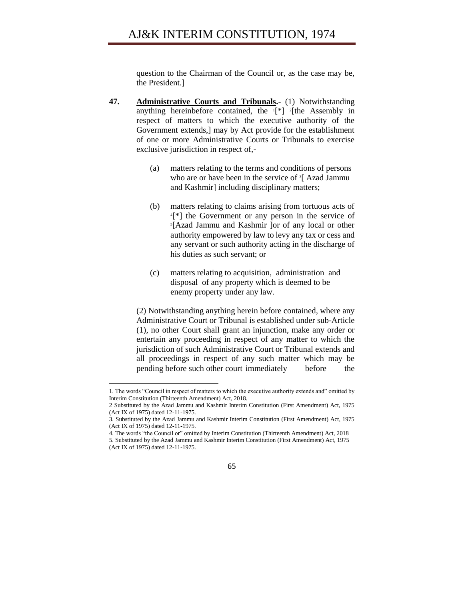question to the Chairman of the Council or, as the case may be, the President.]

- **47. Administrative Courts and Tribunals.** (1) Notwithstanding anything hereinbefore contained, the  $[\n\ast]$  <sup>2</sup>[the Assembly in respect of matters to which the executive authority of the Government extends,] may by Act provide for the establishment of one or more Administrative Courts or Tribunals to exercise exclusive jurisdiction in respect of,-
	- (a) matters relating to the terms and conditions of persons who are or have been in the service of <sup>3</sup>[ Azad Jammu and Kashmir] including disciplinary matters;
	- (b) matters relating to claims arising from tortuous acts of 4 [\*] the Government or any person in the service of 5 [Azad Jammu and Kashmir ]or of any local or other authority empowered by law to levy any tax or cess and any servant or such authority acting in the discharge of his duties as such servant; or
	- (c) matters relating to acquisition, administration and disposal of any property which is deemed to be enemy property under any law.

(2) Notwithstanding anything herein before contained, where any Administrative Court or Tribunal is established under sub-Article (1), no other Court shall grant an injunction, make any order or entertain any proceeding in respect of any matter to which the jurisdiction of such Administrative Court or Tribunal extends and all proceedings in respect of any such matter which may be pending before such other court immediately before the

l

<sup>1.</sup> The words "Council in respect of matters to which the executive authority extends and" omitted by Interim Constitution (Thirteenth Amendment) Act, 2018.

<sup>2</sup> Substituted by the Azad Jammu and Kashmir Interim Constitution (First Amendment) Act, 1975 (Act IX of 1975) dated 12-11-1975.

<sup>3.</sup> Substituted by the Azad Jammu and Kashmir Interim Constitution (First Amendment) Act, 1975 (Act IX of 1975) dated 12-11-1975.

<sup>4.</sup> The words "the Council or" omitted by Interim Constitution (Thirteenth Amendment) Act, 2018 5. Substituted by the Azad Jammu and Kashmir Interim Constitution (First Amendment) Act, 1975 (Act IX of 1975) dated 12-11-1975.

<sup>65</sup>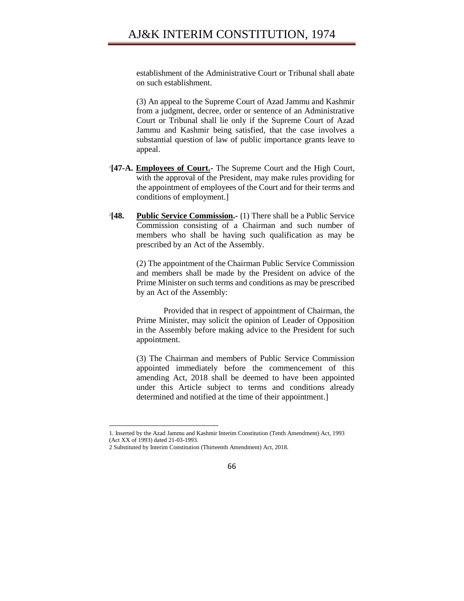establishment of the Administrative Court or Tribunal shall abate on such establishment.

(3) An appeal to the Supreme Court of Azad Jammu and Kashmir from a judgment, decree, order or sentence of an Administrative Court or Tribunal shall lie only if the Supreme Court of Azad Jammu and Kashmir being satisfied, that the case involves a substantial question of law of public importance grants leave to appeal.

- 1 **[47-A. Employees of Court.-** The Supreme Court and the High Court, with the approval of the President, may make rules providing for the appointment of employees of the Court and for their terms and conditions of employment.]
- $^{2}$ [48. **Public Service Commission.** (1) There shall be a Public Service Commission consisting of a Chairman and such number of members who shall be having such qualification as may be prescribed by an Act of the Assembly.

(2) The appointment of the Chairman Public Service Commission and members shall be made by the President on advice of the Prime Minister on such terms and conditions as may be prescribed by an Act of the Assembly:

Provided that in respect of appointment of Chairman, the Prime Minister, may solicit the opinion of Leader of Opposition in the Assembly before making advice to the President for such appointment.

(3) The Chairman and members of Public Service Commission appointed immediately before the commencement of this amending Act, 2018 shall be deemed to have been appointed under this Article subject to terms and conditions already determined and notified at the time of their appointment.]

<sup>1.</sup> Inserted by the Azad Jammu and Kashmir Interim Constitution (Tenth Amendment) Act, 1993 (Act XX of 1993) dated 21-03-1993.

<sup>2</sup> Substituted by Interim Constitution (Thirteenth Amendment) Act, 2018.

<sup>66</sup>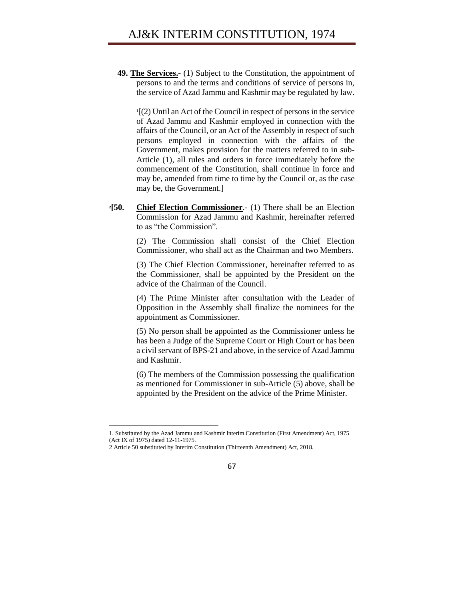**49. The Services.-** (1) Subject to the Constitution, the appointment of persons to and the terms and conditions of service of persons in, the service of Azad Jammu and Kashmir may be regulated by law.

1 [(2) Until an Act of the Council in respect of persons in the service of Azad Jammu and Kashmir employed in connection with the affairs of the Council, or an Act of the Assembly in respect of such persons employed in connection with the affairs of the Government, makes provision for the matters referred to in sub-Article (1), all rules and orders in force immediately before the commencement of the Constitution, shall continue in force and may be, amended from time to time by the Council or, as the case may be, the Government.]

**<sup>2</sup>[50. Chief Election Commissioner**.- (1) There shall be an Election Commission for Azad Jammu and Kashmir, hereinafter referred to as "the Commission".

> (2) The Commission shall consist of the Chief Election Commissioner, who shall act as the Chairman and two Members.

> (3) The Chief Election Commissioner, hereinafter referred to as the Commissioner, shall be appointed by the President on the advice of the Chairman of the Council.

> (4) The Prime Minister after consultation with the Leader of Opposition in the Assembly shall finalize the nominees for the appointment as Commissioner.

> (5) No person shall be appointed as the Commissioner unless he has been a Judge of the Supreme Court or High Court or has been a civil servant of BPS-21 and above, in the service of Azad Jammu and Kashmir.

> (6) The members of the Commission possessing the qualification as mentioned for Commissioner in sub-Article (5) above, shall be appointed by the President on the advice of the Prime Minister.



<sup>1.</sup> Substituted by the Azad Jammu and Kashmir Interim Constitution (First Amendment) Act, 1975 (Act IX of 1975) dated 12-11-1975.

<sup>2</sup> Article 50 substituted by Interim Constitution (Thirteenth Amendment) Act, 2018.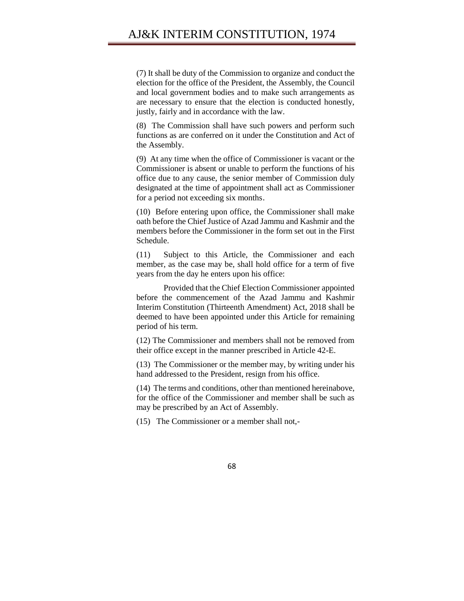(7) It shall be duty of the Commission to organize and conduct the election for the office of the President, the Assembly, the Council and local government bodies and to make such arrangements as are necessary to ensure that the election is conducted honestly, justly, fairly and in accordance with the law.

(8) The Commission shall have such powers and perform such functions as are conferred on it under the Constitution and Act of the Assembly.

(9) At any time when the office of Commissioner is vacant or the Commissioner is absent or unable to perform the functions of his office due to any cause, the senior member of Commission duly designated at the time of appointment shall act as Commissioner for a period not exceeding six months.

(10) Before entering upon office, the Commissioner shall make oath before the Chief Justice of Azad Jammu and Kashmir and the members before the Commissioner in the form set out in the First Schedule.

(11) Subject to this Article, the Commissioner and each member, as the case may be, shall hold office for a term of five years from the day he enters upon his office:

Provided that the Chief Election Commissioner appointed before the commencement of the Azad Jammu and Kashmir Interim Constitution (Thirteenth Amendment) Act, 2018 shall be deemed to have been appointed under this Article for remaining period of his term.

(12) The Commissioner and members shall not be removed from their office except in the manner prescribed in Article 42-E.

(13) The Commissioner or the member may, by writing under his hand addressed to the President, resign from his office.

(14) The terms and conditions, other than mentioned hereinabove, for the office of the Commissioner and member shall be such as may be prescribed by an Act of Assembly.

(15) The Commissioner or a member shall not,-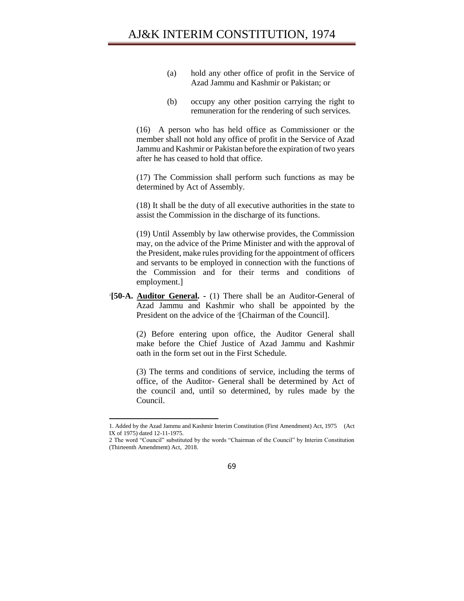- (a) hold any other office of profit in the Service of Azad Jammu and Kashmir or Pakistan; or
- (b) occupy any other position carrying the right to remuneration for the rendering of such services.

(16) A person who has held office as Commissioner or the member shall not hold any office of profit in the Service of Azad Jammu and Kashmir or Pakistan before the expiration of two years after he has ceased to hold that office.

(17) The Commission shall perform such functions as may be determined by Act of Assembly.

(18) It shall be the duty of all executive authorities in the state to assist the Commission in the discharge of its functions.

(19) Until Assembly by law otherwise provides, the Commission may, on the advice of the Prime Minister and with the approval of the President, make rules providing for the appointment of officers and servants to be employed in connection with the functions of the Commission and for their terms and conditions of employment.]

1 **[50-A. Auditor General. -** (1) There shall be an Auditor-General of Azad Jammu and Kashmir who shall be appointed by the President on the advice of the <sup>2</sup>[Chairman of the Council].

> (2) Before entering upon office, the Auditor General shall make before the Chief Justice of Azad Jammu and Kashmir oath in the form set out in the First Schedule.

> (3) The terms and conditions of service, including the terms of office, of the Auditor- General shall be determined by Act of the council and, until so determined, by rules made by the Council.

<sup>2</sup> The word "Council" substituted by the words "Chairman of the Council" by Interim Constitution (Thirteenth Amendment) Act, 2018.



<sup>1.</sup> Added by the Azad Jammu and Kashmir Interim Constitution (First Amendment) Act, 1975 (Act IX of 1975) dated 12-11-1975.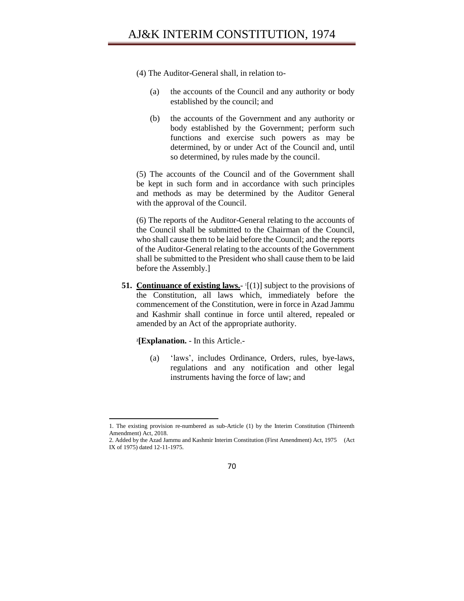- (4) The Auditor-General shall, in relation to-
	- (a) the accounts of the Council and any authority or body established by the council; and
	- (b) the accounts of the Government and any authority or body established by the Government; perform such functions and exercise such powers as may be determined, by or under Act of the Council and, until so determined, by rules made by the council.

(5) The accounts of the Council and of the Government shall be kept in such form and in accordance with such principles and methods as may be determined by the Auditor General with the approval of the Council.

(6) The reports of the Auditor-General relating to the accounts of the Council shall be submitted to the Chairman of the Council, who shall cause them to be laid before the Council; and the reports of the Auditor-General relating to the accounts of the Government shall be submitted to the President who shall cause them to be laid before the Assembly.]

**51.** Continuance of existing laws.  $\lceil (1) \rceil$  subject to the provisions of the Constitution, all laws which, immediately before the commencement of the Constitution, were in force in Azad Jammu and Kashmir shall continue in force until altered, repealed or amended by an Act of the appropriate authority.

**2 [Explanation.** - In this Article.-

 $\overline{\phantom{a}}$ 

(a) 'laws', includes Ordinance, Orders, rules, bye-laws, regulations and any notification and other legal instruments having the force of law; and

<sup>2.</sup> Added by the Azad Jammu and Kashmir Interim Constitution (First Amendment) Act, 1975 (Act IX of 1975) dated 12-11-1975.



<sup>1.</sup> The existing provision re-numbered as sub-Article (1) by the Interim Constitution (Thirteenth Amendment) Act, 2018.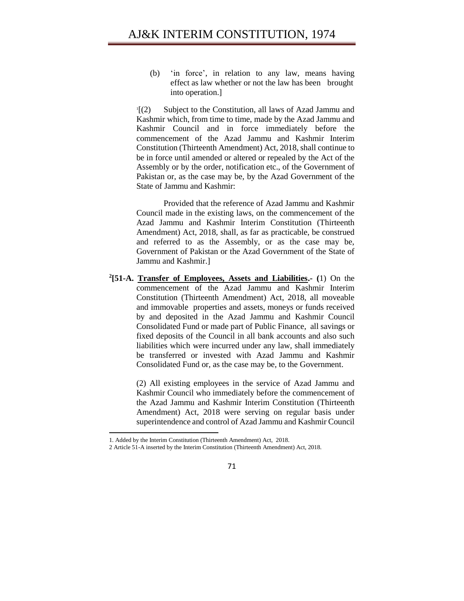(b) 'in force', in relation to any law, means having effect as law whether or not the law has been brought into operation.]

 $\frac{1}{2}$ [(2) Subject to the Constitution, all laws of Azad Jammu and Kashmir which, from time to time, made by the Azad Jammu and Kashmir Council and in force immediately before the commencement of the Azad Jammu and Kashmir Interim Constitution (Thirteenth Amendment) Act, 2018, shall continue to be in force until amended or altered or repealed by the Act of the Assembly or by the order, notification etc., of the Government of Pakistan or, as the case may be, by the Azad Government of the State of Jammu and Kashmir:

Provided that the reference of Azad Jammu and Kashmir Council made in the existing laws, on the commencement of the Azad Jammu and Kashmir Interim Constitution (Thirteenth Amendment) Act, 2018, shall, as far as practicable, be construed and referred to as the Assembly, or as the case may be, Government of Pakistan or the Azad Government of the State of Jammu and Kashmir.]

**2 [51-A. Transfer of Employees, Assets and Liabilities.- (**1) On the commencement of the Azad Jammu and Kashmir Interim Constitution (Thirteenth Amendment) Act, 2018, all moveable and immovable properties and assets, moneys or funds received by and deposited in the Azad Jammu and Kashmir Council Consolidated Fund or made part of Public Finance, all savings or fixed deposits of the Council in all bank accounts and also such liabilities which were incurred under any law, shall immediately be transferred or invested with Azad Jammu and Kashmir Consolidated Fund or, as the case may be, to the Government.

> (2) All existing employees in the service of Azad Jammu and Kashmir Council who immediately before the commencement of the Azad Jammu and Kashmir Interim Constitution (Thirteenth Amendment) Act, 2018 were serving on regular basis under superintendence and control of Azad Jammu and Kashmir Council

l

71

<sup>1.</sup> Added by the Interim Constitution (Thirteenth Amendment) Act, 2018.

<sup>2</sup> Article 51-A inserted by the Interim Constitution (Thirteenth Amendment) Act, 2018.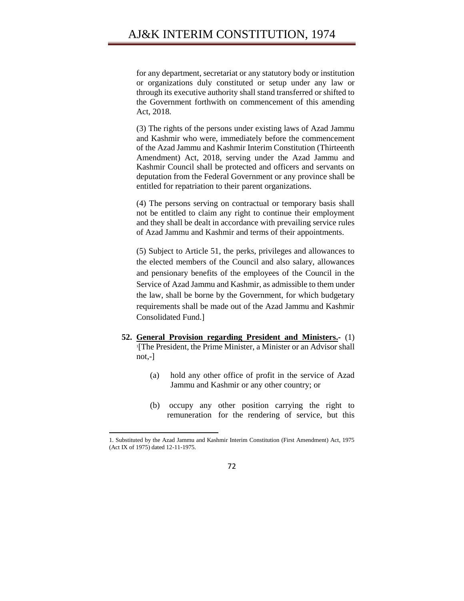for any department, secretariat or any statutory body or institution or organizations duly constituted or setup under any law or through its executive authority shall stand transferred or shifted to the Government forthwith on commencement of this amending Act, 2018.

(3) The rights of the persons under existing laws of Azad Jammu and Kashmir who were, immediately before the commencement of the Azad Jammu and Kashmir Interim Constitution (Thirteenth Amendment) Act, 2018, serving under the Azad Jammu and Kashmir Council shall be protected and officers and servants on deputation from the Federal Government or any province shall be entitled for repatriation to their parent organizations.

(4) The persons serving on contractual or temporary basis shall not be entitled to claim any right to continue their employment and they shall be dealt in accordance with prevailing service rules of Azad Jammu and Kashmir and terms of their appointments.

(5) Subject to Article 51, the perks, privileges and allowances to the elected members of the Council and also salary, allowances and pensionary benefits of the employees of the Council in the Service of Azad Jammu and Kashmir, as admissible to them under the law, shall be borne by the Government, for which budgetary requirements shall be made out of the Azad Jammu and Kashmir Consolidated Fund.]

- **52. General Provision regarding President and Ministers.-** (1) 1 [The President, the Prime Minister, a Minister or an Advisor shall not,-]
	- (a) hold any other office of profit in the service of Azad Jammu and Kashmir or any other country; or
	- (b) occupy any other position carrying the right to remuneration for the rendering of service, but this

l



<sup>1.</sup> Substituted by the Azad Jammu and Kashmir Interim Constitution (First Amendment) Act, 1975 (Act IX of 1975) dated 12-11-1975.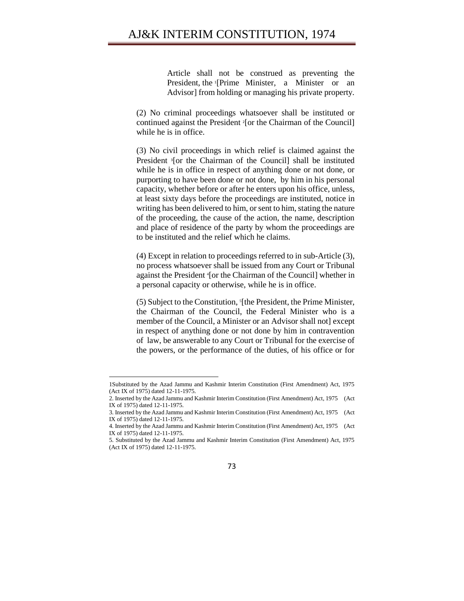Article shall not be construed as preventing the President, the 1[Prime Minister, a Minister or an Advisor] from holding or managing his private property.

(2) No criminal proceedings whatsoever shall be instituted or continued against the President 2[or the Chairman of the Council] while he is in office.

(3) No civil proceedings in which relief is claimed against the President <sup>3</sup> [or the Chairman of the Council] shall be instituted while he is in office in respect of anything done or not done, or purporting to have been done or not done, by him in his personal capacity, whether before or after he enters upon his office, unless, at least sixty days before the proceedings are instituted, notice in writing has been delivered to him, or sent to him, stating the nature of the proceeding, the cause of the action, the name, description and place of residence of the party by whom the proceedings are to be instituted and the relief which he claims.

(4) Except in relation to proceedings referred to in sub-Article (3), no process whatsoever shall be issued from any Court or Tribunal against the President <sup>4</sup> [or the Chairman of the Council] whether in a personal capacity or otherwise, while he is in office.

(5) Subject to the Constitution, 5 [the President, the Prime Minister, the Chairman of the Council, the Federal Minister who is a member of the Council, a Minister or an Advisor shall not] except in respect of anything done or not done by him in contravention of law, be answerable to any Court or Tribunal for the exercise of the powers, or the performance of the duties, of his office or for

 $\overline{a}$ 

<sup>5.</sup> Substituted by the Azad Jammu and Kashmir Interim Constitution (First Amendment) Act, 1975 (Act IX of 1975) dated 12-11-1975.



<sup>1</sup>Substituted by the Azad Jammu and Kashmir Interim Constitution (First Amendment) Act, 1975 (Act IX of 1975) dated 12-11-1975.

<sup>2.</sup> Inserted by the Azad Jammu and Kashmir Interim Constitution (First Amendment) Act, 1975 (Act IX of 1975) dated 12-11-1975.

<sup>3.</sup> Inserted by the Azad Jammu and Kashmir Interim Constitution (First Amendment) Act, 1975 (Act IX of 1975) dated 12-11-1975.

<sup>4.</sup> Inserted by the Azad Jammu and Kashmir Interim Constitution (First Amendment) Act, 1975 (Act IX of 1975) dated 12-11-1975.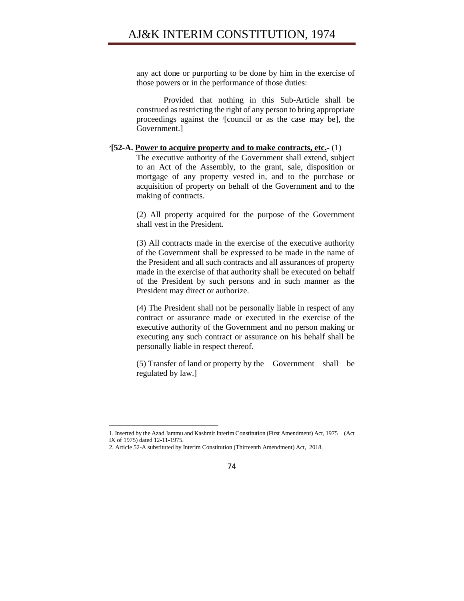any act done or purporting to be done by him in the exercise of those powers or in the performance of those duties:

Provided that nothing in this Sub-Article shall be construed as restricting the right of any person to bring appropriate proceedings against the <sup>1</sup> [council or as the case may be], the Government.]

### **2 [52-A. Power to acquire property and to make contracts, etc.-** (1)

The executive authority of the Government shall extend, subject to an Act of the Assembly, to the grant, sale, disposition or mortgage of any property vested in, and to the purchase or acquisition of property on behalf of the Government and to the making of contracts.

(2) All property acquired for the purpose of the Government shall vest in the President.

(3) All contracts made in the exercise of the executive authority of the Government shall be expressed to be made in the name of the President and all such contracts and all assurances of property made in the exercise of that authority shall be executed on behalf of the President by such persons and in such manner as the President may direct or authorize.

(4) The President shall not be personally liable in respect of any contract or assurance made or executed in the exercise of the executive authority of the Government and no person making or executing any such contract or assurance on his behalf shall be personally liable in respect thereof.

(5) Transfer of land or property by the Government shall be regulated by law.]



<sup>1.</sup> Inserted by the Azad Jammu and Kashmir Interim Constitution (First Amendment) Act, 1975 (Act IX of 1975) dated 12-11-1975.

<sup>2.</sup> Article 52-A substituted by Interim Constitution (Thirteenth Amendment) Act, 2018.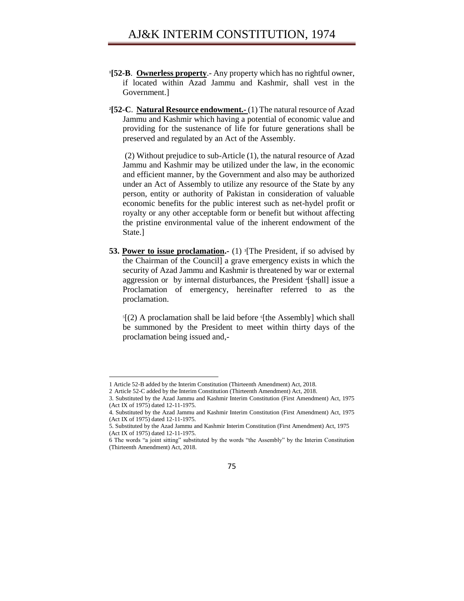- **1 [52-B**. **Ownerless property**.- Any property which has no rightful owner, if located within Azad Jammu and Kashmir, shall vest in the Government.]
- **2 [52-C**. **Natural Resource endowment.-** (1) The natural resource of Azad Jammu and Kashmir which having a potential of economic value and providing for the sustenance of life for future generations shall be preserved and regulated by an Act of the Assembly.

(2) Without prejudice to sub-Article (1), the natural resource of Azad Jammu and Kashmir may be utilized under the law, in the economic and efficient manner, by the Government and also may be authorized under an Act of Assembly to utilize any resource of the State by any person, entity or authority of Pakistan in consideration of valuable economic benefits for the public interest such as net-hydel profit or royalty or any other acceptable form or benefit but without affecting the pristine environmental value of the inherent endowment of the State.]

**53. Power to issue proclamation.** (1) <sup>3</sup>[The President, if so advised by the Chairman of the Council] a grave emergency exists in which the security of Azad Jammu and Kashmir is threatened by war or external aggression or by internal disturbances, the President <sup>4</sup> [shall] issue a Proclamation of emergency, hereinafter referred to as the proclamation.

 $S(2)$  A proclamation shall be laid before  $S[the$  Assembly] which shall be summoned by the President to meet within thirty days of the proclamation being issued and,-

 $\overline{a}$ 

<sup>1</sup> Article 52-B added by the Interim Constitution (Thirteenth Amendment) Act, 2018.

<sup>2</sup> Article 52-C added by the Interim Constitution (Thirteenth Amendment) Act, 2018.

<sup>3.</sup> Substituted by the Azad Jammu and Kashmir Interim Constitution (First Amendment) Act, 1975 (Act IX of 1975) dated 12-11-1975.

<sup>4.</sup> Substituted by the Azad Jammu and Kashmir Interim Constitution (First Amendment) Act, 1975 (Act IX of 1975) dated 12-11-1975.

<sup>5.</sup> Substituted by the Azad Jammu and Kashmir Interim Constitution (First Amendment) Act, 1975 (Act IX of 1975) dated 12-11-1975.

<sup>6</sup> The words "a joint sitting" substituted by the words "the Assembly" by the Interim Constitution (Thirteenth Amendment) Act, 2018.

<sup>75</sup>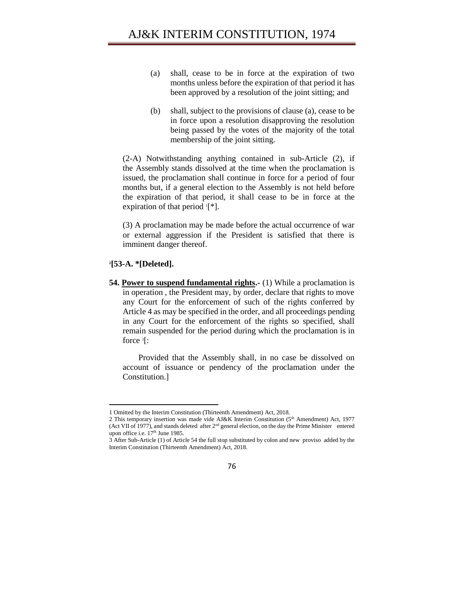- (a) shall, cease to be in force at the expiration of two months unless before the expiration of that period it has been approved by a resolution of the joint sitting; and
- (b) shall, subject to the provisions of clause (a), cease to be in force upon a resolution disapproving the resolution being passed by the votes of the majority of the total membership of the joint sitting.

(2-A) Notwithstanding anything contained in sub-Article (2), if the Assembly stands dissolved at the time when the proclamation is issued, the proclamation shall continue in force for a period of four months but, if a general election to the Assembly is not held before the expiration of that period, it shall cease to be in force at the expiration of that period  $[$ <sup>\*</sup>].

(3) A proclamation may be made before the actual occurrence of war or external aggression if the President is satisfied that there is imminent danger thereof.

#### **2 [53-A. \*[Deleted].**

 $\overline{a}$ 

**54. Power to suspend fundamental rights.-** (1) While a proclamation is in operation , the President may, by order, declare that rights to move any Court for the enforcement of such of the rights conferred by Article 4 as may be specified in the order, and all proceedings pending in any Court for the enforcement of the rights so specified, shall remain suspended for the period during which the proclamation is in force <sup>3</sup> [:

Provided that the Assembly shall, in no case be dissolved on account of issuance or pendency of the proclamation under the Constitution.]

<sup>1</sup> Omitted by the Interim Constitution (Thirteenth Amendment) Act, 2018.

<sup>2</sup> This temporary insertion was made vide AJ&K Interim Constitution ( $5<sup>th</sup>$  Amendment) Act, 1977 (Act VII of 1977), and stands deleted after 2nd general election, on the day the Prime Minister entered upon office i.e.  $17<sup>th</sup>$  June 1985.

<sup>3</sup> After Sub-Article (1) of Article 54 the full stop substituted by colon and new proviso added by the Interim Constitution (Thirteenth Amendment) Act, 2018.

<sup>76</sup>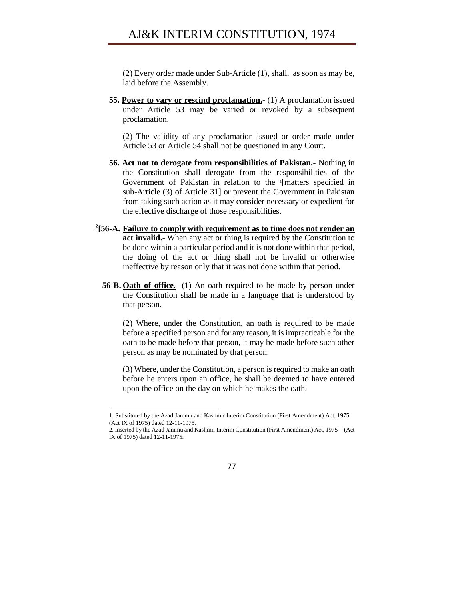(2) Every order made under Sub-Article (1), shall, as soon as may be, laid before the Assembly.

**55. Power to vary or rescind proclamation.-** (1) A proclamation issued under Article 53 may be varied or revoked by a subsequent proclamation.

(2) The validity of any proclamation issued or order made under Article 53 or Article 54 shall not be questioned in any Court.

- **56. Act not to derogate from responsibilities of Pakistan.-** Nothing in the Constitution shall derogate from the responsibilities of the Government of Pakistan in relation to the '[matters specified in sub-Article (3) of Article 31] or prevent the Government in Pakistan from taking such action as it may consider necessary or expedient for the effective discharge of those responsibilities.
- **2 [56-A. Failure to comply with requirement as to time does not render an act invalid.**- When any act or thing is required by the Constitution to be done within a particular period and it is not done within that period, the doing of the act or thing shall not be invalid or otherwise ineffective by reason only that it was not done within that period.
	- **56-B. Oath of office.-** (1) An oath required to be made by person under the Constitution shall be made in a language that is understood by that person.

(2) Where, under the Constitution, an oath is required to be made before a specified person and for any reason, it is impracticable for the oath to be made before that person, it may be made before such other person as may be nominated by that person.

(3) Where, under the Constitution, a person is required to make an oath before he enters upon an office, he shall be deemed to have entered upon the office on the day on which he makes the oath.

 $\overline{a}$ 

<sup>1.</sup> Substituted by the Azad Jammu and Kashmir Interim Constitution (First Amendment) Act, 1975 (Act IX of 1975) dated 12-11-1975.

<sup>2.</sup> Inserted by the Azad Jammu and Kashmir Interim Constitution (First Amendment) Act, 1975 (Act IX of 1975) dated 12-11-1975.

<sup>77</sup>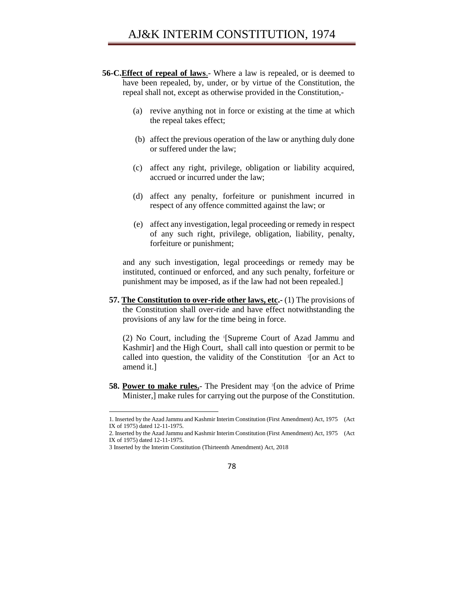- **56-C.Effect of repeal of laws**.- Where a law is repealed, or is deemed to have been repealed, by, under, or by virtue of the Constitution, the repeal shall not, except as otherwise provided in the Constitution,-
	- (a) revive anything not in force or existing at the time at which the repeal takes effect;
	- (b) affect the previous operation of the law or anything duly done or suffered under the law;
	- (c) affect any right, privilege, obligation or liability acquired, accrued or incurred under the law;
	- (d) affect any penalty, forfeiture or punishment incurred in respect of any offence committed against the law; or
	- (e) affect any investigation, legal proceeding or remedy in respect of any such right, privilege, obligation, liability, penalty, forfeiture or punishment;

and any such investigation, legal proceedings or remedy may be instituted, continued or enforced, and any such penalty, forfeiture or punishment may be imposed, as if the law had not been repealed.]

**57. The Constitution to over-ride other laws, etc.-** (1) The provisions of the Constitution shall over-ride and have effect notwithstanding the provisions of any law for the time being in force.

(2) No Court, including the <sup>1</sup> [Supreme Court of Azad Jammu and Kashmir] and the High Court, shall call into question or permit to be called into question, the validity of the Constitution  $2$ [or an Act to amend it.]

**58. Power to make rules.** The President may <sup>3</sup>[on the advice of Prime Minister,] make rules for carrying out the purpose of the Constitution.

<sup>1.</sup> Inserted by the Azad Jammu and Kashmir Interim Constitution (First Amendment) Act, 1975 (Act IX of 1975) dated 12-11-1975.

<sup>2.</sup> Inserted by the Azad Jammu and Kashmir Interim Constitution (First Amendment) Act, 1975 (Act IX of 1975) dated 12-11-1975.

<sup>3</sup> Inserted by the Interim Constitution (Thirteenth Amendment) Act, 2018

<sup>78</sup>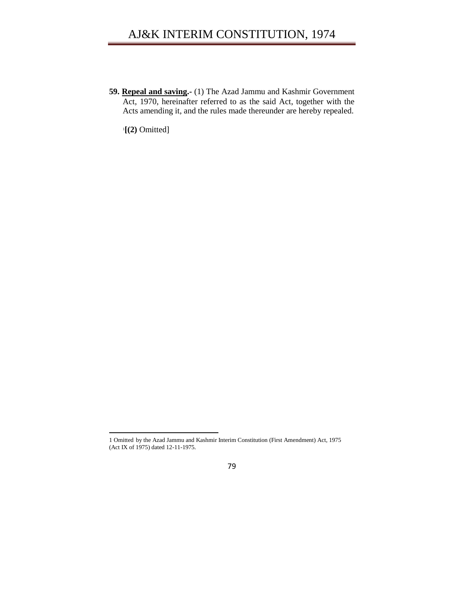**59. Repeal and saving.-** (1) The Azad Jammu and Kashmir Government Act, 1970, hereinafter referred to as the said Act, together with the Acts amending it, and the rules made thereunder are hereby repealed.

1 **[(2)** Omitted]

l

<sup>1</sup> Omitted by the Azad Jammu and Kashmir Interim Constitution (First Amendment) Act, 1975 (Act IX of 1975) dated 12-11-1975.

<sup>79</sup>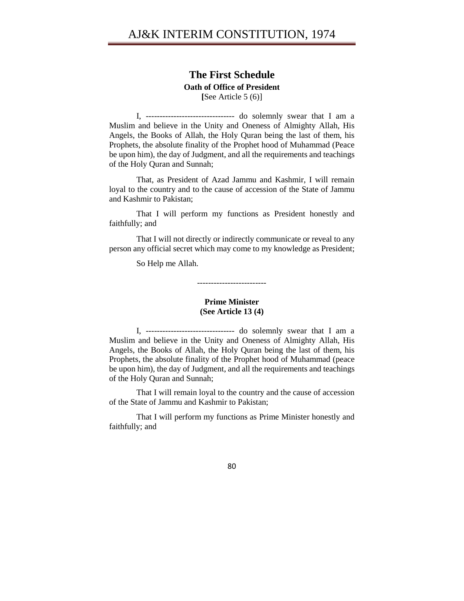### **The First Schedule**

**Oath of Office of President**

**[**See Article 5 (6)]

I, -------------------------------- do solemnly swear that I am a Muslim and believe in the Unity and Oneness of Almighty Allah, His Angels, the Books of Allah, the Holy Quran being the last of them, his Prophets, the absolute finality of the Prophet hood of Muhammad (Peace be upon him), the day of Judgment, and all the requirements and teachings of the Holy Quran and Sunnah;

That, as President of Azad Jammu and Kashmir, I will remain loyal to the country and to the cause of accession of the State of Jammu and Kashmir to Pakistan;

That I will perform my functions as President honestly and faithfully; and

That I will not directly or indirectly communicate or reveal to any person any official secret which may come to my knowledge as President;

So Help me Allah.

-------------------------

### **Prime Minister (See Article 13 (4)**

I, -------------------------------- do solemnly swear that I am a Muslim and believe in the Unity and Oneness of Almighty Allah, His Angels, the Books of Allah, the Holy Quran being the last of them, his Prophets, the absolute finality of the Prophet hood of Muhammad (peace be upon him), the day of Judgment, and all the requirements and teachings of the Holy Quran and Sunnah;

That I will remain loyal to the country and the cause of accession of the State of Jammu and Kashmir to Pakistan;

That I will perform my functions as Prime Minister honestly and faithfully; and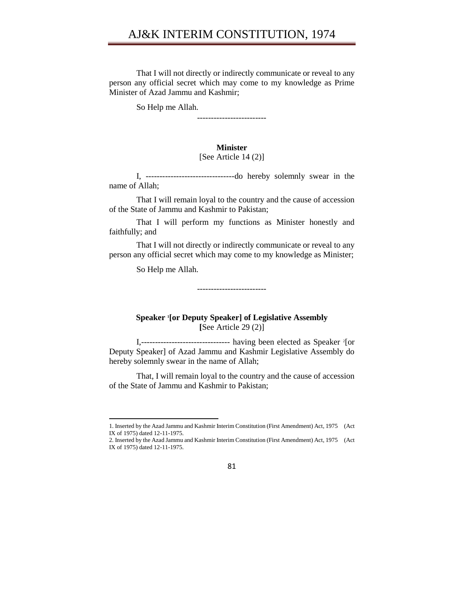That I will not directly or indirectly communicate or reveal to any person any official secret which may come to my knowledge as Prime Minister of Azad Jammu and Kashmir;

So Help me Allah.

-------------------------

### **Minister**

#### [See Article 14 (2)]

I, --------------------------------do hereby solemnly swear in the name of Allah;

That I will remain loyal to the country and the cause of accession of the State of Jammu and Kashmir to Pakistan;

That I will perform my functions as Minister honestly and faithfully; and

That I will not directly or indirectly communicate or reveal to any person any official secret which may come to my knowledge as Minister;

So Help me Allah.

 $\overline{\phantom{a}}$ 

-------------------------

**Speaker <sup>1</sup> [or Deputy Speaker] of Legislative Assembly [**See Article 29 (2)]

I,--------------------------------- having been elected as Speaker <sup>2</sup>[or Deputy Speaker] of Azad Jammu and Kashmir Legislative Assembly do hereby solemnly swear in the name of Allah;

That, I will remain loyal to the country and the cause of accession of the State of Jammu and Kashmir to Pakistan;

<sup>2.</sup> Inserted by the Azad Jammu and Kashmir Interim Constitution (First Amendment) Act, 1975 (Act IX of 1975) dated 12-11-1975.



<sup>1.</sup> Inserted by the Azad Jammu and Kashmir Interim Constitution (First Amendment) Act, 1975 (Act IX of 1975) dated 12-11-1975.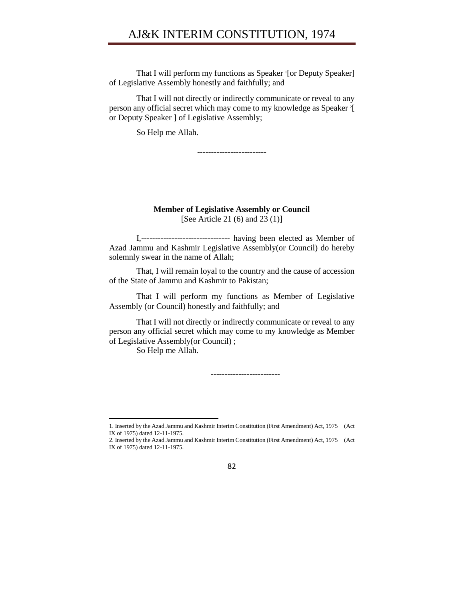That I will perform my functions as Speaker <sup>1</sup>[or Deputy Speaker] of Legislative Assembly honestly and faithfully; and

That I will not directly or indirectly communicate or reveal to any person any official secret which may come to my knowledge as Speaker <sup>2</sup> [ or Deputy Speaker ] of Legislative Assembly;

So Help me Allah.

-------------------------

**Member of Legislative Assembly or Council** [See Article 21 (6) and 23 (1)]

I,-------------------------------- having been elected as Member of Azad Jammu and Kashmir Legislative Assembly(or Council) do hereby solemnly swear in the name of Allah;

That, I will remain loyal to the country and the cause of accession of the State of Jammu and Kashmir to Pakistan;

That I will perform my functions as Member of Legislative Assembly (or Council) honestly and faithfully; and

That I will not directly or indirectly communicate or reveal to any person any official secret which may come to my knowledge as Member of Legislative Assembly(or Council) ;

So Help me Allah.

 $\overline{\phantom{a}}$ 

-------------------------

<sup>2.</sup> Inserted by the Azad Jammu and Kashmir Interim Constitution (First Amendment) Act, 1975 (Act IX of 1975) dated 12-11-1975.



<sup>1.</sup> Inserted by the Azad Jammu and Kashmir Interim Constitution (First Amendment) Act, 1975 (Act IX of 1975) dated 12-11-1975.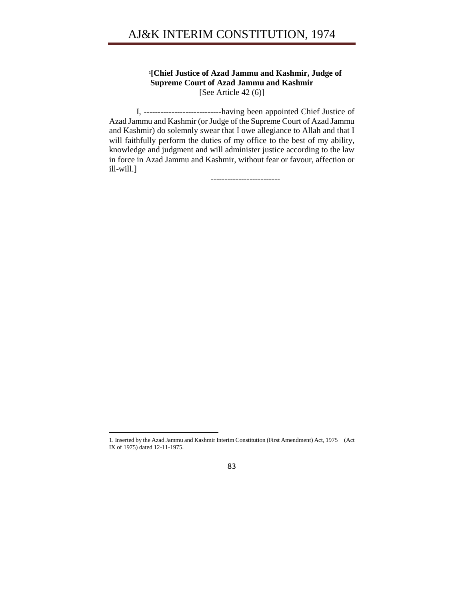### **1 [Chief Justice of Azad Jammu and Kashmir, Judge of Supreme Court of Azad Jammu and Kashmir** [See Article 42 (6)]

I, ----------------------------having been appointed Chief Justice of Azad Jammu and Kashmir (or Judge of the Supreme Court of Azad Jammu and Kashmir) do solemnly swear that I owe allegiance to Allah and that I will faithfully perform the duties of my office to the best of my ability, knowledge and judgment and will administer justice according to the law in force in Azad Jammu and Kashmir, without fear or favour, affection or ill-will.]

-------------------------

l

<sup>1.</sup> Inserted by the Azad Jammu and Kashmir Interim Constitution (First Amendment) Act, 1975 (Act IX of 1975) dated 12-11-1975.

<sup>83</sup>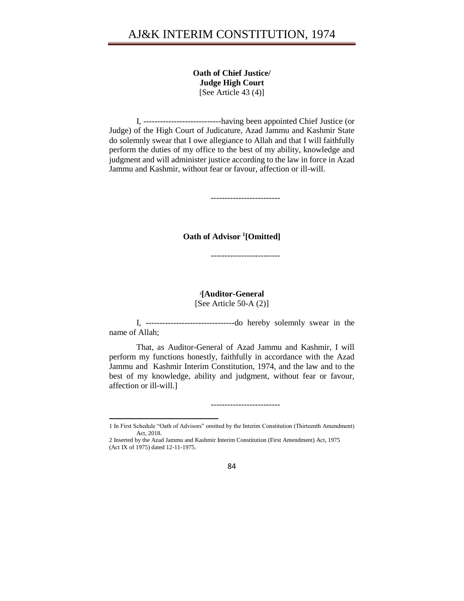**Oath of Chief Justice/ Judge High Court** [See Article 43 (4)]

I, ----------------------------having been appointed Chief Justice (or Judge) of the High Court of Judicature, Azad Jammu and Kashmir State do solemnly swear that I owe allegiance to Allah and that I will faithfully perform the duties of my office to the best of my ability, knowledge and judgment and will administer justice according to the law in force in Azad Jammu and Kashmir, without fear or favour, affection or ill-will.

-------------------------

**Oath of Advisor <sup>1</sup> [Omitted]**

-------------------------

## **2 [Auditor-General**

[See Article 50-A (2)]

I, --------------------------------do hereby solemnly swear in the name of Allah;

That, as Auditor-General of Azad Jammu and Kashmir, I will perform my functions honestly, faithfully in accordance with the Azad Jammu and Kashmir Interim Constitution, 1974, and the law and to the best of my knowledge, ability and judgment, without fear or favour, affection or ill-will.]

-------------------------



<sup>1</sup> In First Schedule "Oath of Advisors" omitted by the Interim Constitution (Thirteenth Amendment) Act, 2018.

<sup>2</sup> Inserted by the Azad Jammu and Kashmir Interim Constitution (First Amendment) Act, 1975 (Act IX of 1975) dated 12-11-1975.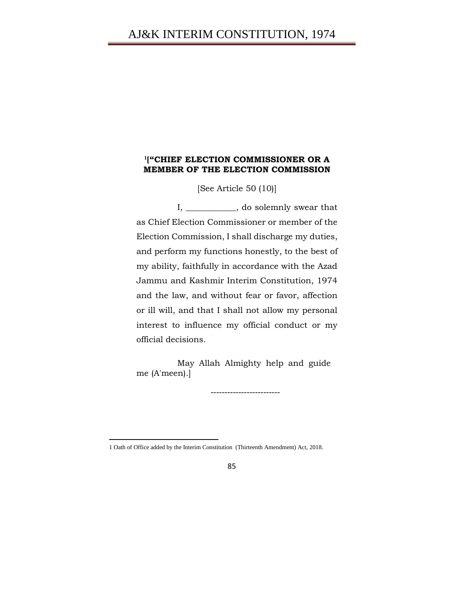### **1 ["CHIEF ELECTION COMMISSIONER OR A MEMBER OF THE ELECTION COMMISSION**

[See Article 50 (10)]

I, \_\_\_\_\_\_\_\_\_\_\_\_, do solemnly swear that as Chief Election Commissioner or member of the Election Commission, I shall discharge my duties, and perform my functions honestly, to the best of my ability, faithfully in accordance with the Azad Jammu and Kashmir Interim Constitution, 1974 and the law, and without fear or favor, affection or ill will, and that I shall not allow my personal interest to influence my official conduct or my official decisions.

May Allah Almighty help and guide me (A'meen).]

-------------------------

<sup>1</sup> Oath of Office added by the Interim Constitution (Thirteenth Amendment) Act, 2018.

<sup>85</sup>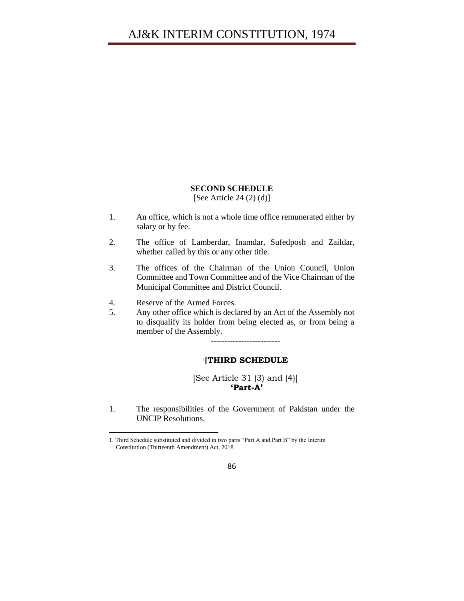### **SECOND SCHEDULE**

### [See Article 24 (2) (d)]

- 1. An office, which is not a whole time office remunerated either by salary or by fee.
- 2. The office of Lamberdar, Inamdar, Sufedposh and Zaildar, whether called by this or any other title.
- 3. The offices of the Chairman of the Union Council, Union Committee and Town Committee and of the Vice Chairman of the Municipal Committee and District Council.
- 4. Reserve of the Armed Forces.

l

5. Any other office which is declared by an Act of the Assembly not to disqualify its holder from being elected as, or from being a member of the Assembly.

-------------------------

#### 1 **[THIRD SCHEDULE**

[See Article 31 (3) and (4)] **'Part-A'**

1. The responsibilities of the Government of Pakistan under the UNCIP Resolutions.

<sup>1.</sup> Third Schedule substituted and divided in two parts "Part A and Part B" by the Interim Constitution (Thirteenth Amendment) Act, 2018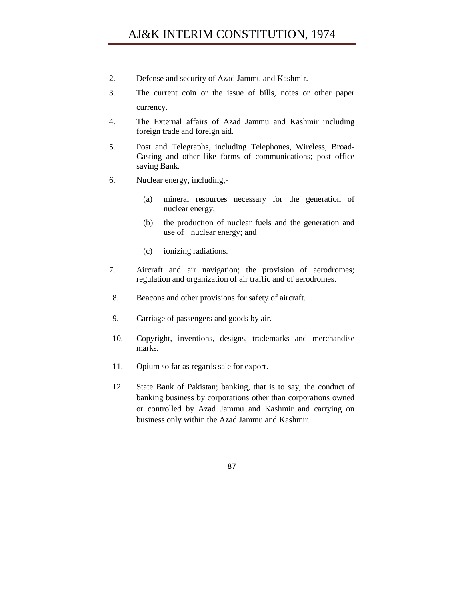- 2. Defense and security of Azad Jammu and Kashmir.
- 3. The current coin or the issue of bills, notes or other paper currency.
- 4. The External affairs of Azad Jammu and Kashmir including foreign trade and foreign aid.
- 5. Post and Telegraphs, including Telephones, Wireless, Broad-Casting and other like forms of communications; post office saving Bank.
- 6. Nuclear energy, including,-
	- (a) mineral resources necessary for the generation of nuclear energy;
	- (b) the production of nuclear fuels and the generation and use of nuclear energy; and
	- (c) ionizing radiations.
- 7. Aircraft and air navigation; the provision of aerodromes; regulation and organization of air traffic and of aerodromes.
- 8. Beacons and other provisions for safety of aircraft.
- 9. Carriage of passengers and goods by air.
- 10. Copyright, inventions, designs, trademarks and merchandise marks.
- 11. Opium so far as regards sale for export.
- 12. State Bank of Pakistan; banking, that is to say, the conduct of banking business by corporations other than corporations owned or controlled by Azad Jammu and Kashmir and carrying on business only within the Azad Jammu and Kashmir.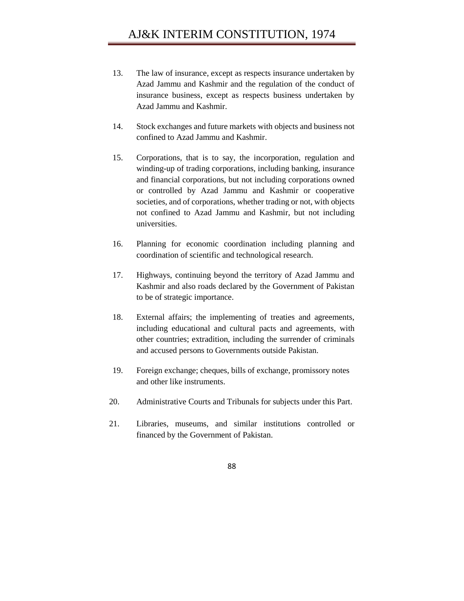- 13. The law of insurance, except as respects insurance undertaken by Azad Jammu and Kashmir and the regulation of the conduct of insurance business, except as respects business undertaken by Azad Jammu and Kashmir.
- 14. Stock exchanges and future markets with objects and business not confined to Azad Jammu and Kashmir.
- 15. Corporations, that is to say, the incorporation, regulation and winding-up of trading corporations, including banking, insurance and financial corporations, but not including corporations owned or controlled by Azad Jammu and Kashmir or cooperative societies, and of corporations, whether trading or not, with objects not confined to Azad Jammu and Kashmir, but not including universities.
- 16. Planning for economic coordination including planning and coordination of scientific and technological research.
- 17. Highways, continuing beyond the territory of Azad Jammu and Kashmir and also roads declared by the Government of Pakistan to be of strategic importance.
- 18. External affairs; the implementing of treaties and agreements, including educational and cultural pacts and agreements, with other countries; extradition, including the surrender of criminals and accused persons to Governments outside Pakistan.
- 19. Foreign exchange; cheques, bills of exchange, promissory notes and other like instruments.
- 20. Administrative Courts and Tribunals for subjects under this Part.
- 21. Libraries, museums, and similar institutions controlled or financed by the Government of Pakistan.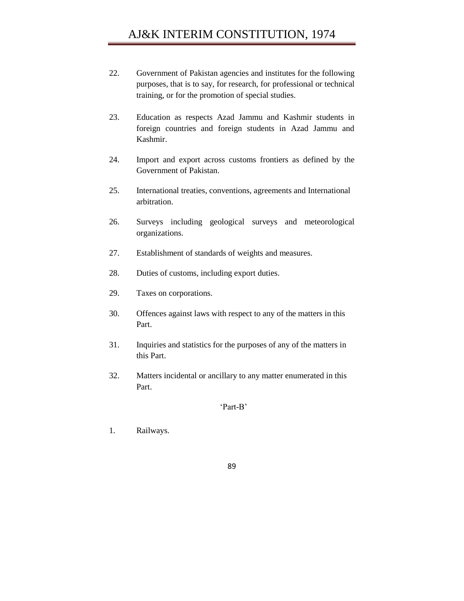- 22. Government of Pakistan agencies and institutes for the following purposes, that is to say, for research, for professional or technical training, or for the promotion of special studies.
- 23. Education as respects Azad Jammu and Kashmir students in foreign countries and foreign students in Azad Jammu and Kashmir.
- 24. Import and export across customs frontiers as defined by the Government of Pakistan.
- 25. International treaties, conventions, agreements and International arbitration.
- 26. Surveys including geological surveys and meteorological organizations.
- 27. Establishment of standards of weights and measures.
- 28. Duties of customs, including export duties.
- 29. Taxes on corporations.
- 30. Offences against laws with respect to any of the matters in this Part.
- 31. Inquiries and statistics for the purposes of any of the matters in this Part.
- 32. Matters incidental or ancillary to any matter enumerated in this Part.

### 'Part-B'

1. Railways.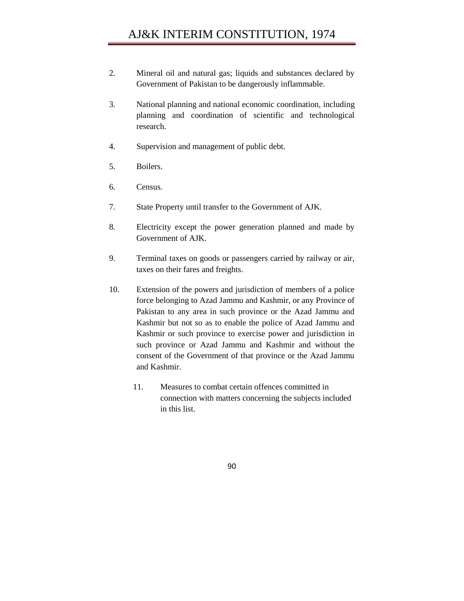- 2. Mineral oil and natural gas; liquids and substances declared by Government of Pakistan to be dangerously inflammable.
- 3. National planning and national economic coordination, including planning and coordination of scientific and technological research.
- 4. Supervision and management of public debt.
- 5. Boilers.
- 6. Census.
- 7. State Property until transfer to the Government of AJK.
- 8. Electricity except the power generation planned and made by Government of AJK.
- 9. Terminal taxes on goods or passengers carried by railway or air, taxes on their fares and freights.
- 10. Extension of the powers and jurisdiction of members of a police force belonging to Azad Jammu and Kashmir, or any Province of Pakistan to any area in such province or the Azad Jammu and Kashmir but not so as to enable the police of Azad Jammu and Kashmir or such province to exercise power and jurisdiction in such province or Azad Jammu and Kashmir and without the consent of the Government of that province or the Azad Jammu and Kashmir.
	- 11. Measures to combat certain offences committed in connection with matters concerning the subjects included in this list.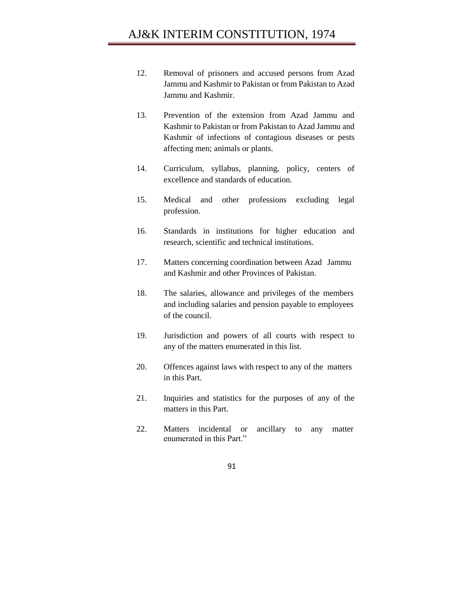- 12. Removal of prisoners and accused persons from Azad Jammu and Kashmir to Pakistan or from Pakistan to Azad Jammu and Kashmir.
- 13. Prevention of the extension from Azad Jammu and Kashmir to Pakistan or from Pakistan to Azad Jammu and Kashmir of infections of contagious diseases or pests affecting men; animals or plants.
- 14. Curriculum, syllabus, planning, policy, centers of excellence and standards of education.
- 15. Medical and other professions excluding legal profession.
- 16. Standards in institutions for higher education and research, scientific and technical institutions.
- 17. Matters concerning coordination between Azad Jammu and Kashmir and other Provinces of Pakistan.
- 18. The salaries, allowance and privileges of the members and including salaries and pension payable to employees of the council.
- 19. Jurisdiction and powers of all courts with respect to any of the matters enumerated in this list.
- 20. Offences against laws with respect to any of the matters in this Part.
- 21. Inquiries and statistics for the purposes of any of the matters in this Part.
- 22. Matters incidental or ancillary to any matter enumerated in this Part."